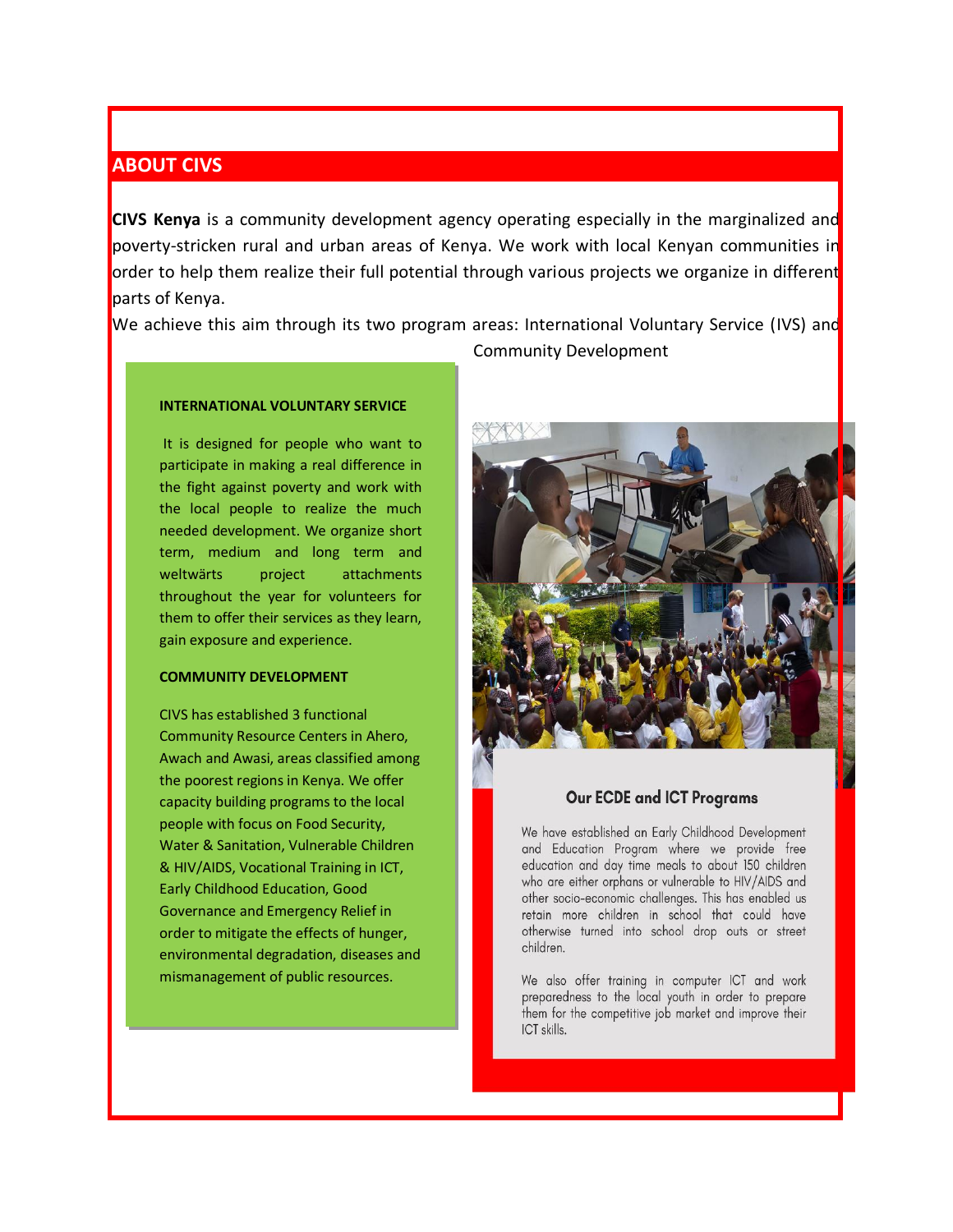### <span id="page-0-0"></span>**ABOUT CIVS**

**CIVS Kenya** is a community development agency operating especially in the marginalized and poverty-stricken rural and urban areas of Kenya. We work with local Kenyan communities in order to help them realize their full potential through various projects we organize in different parts of Kenya.

We achieve this aim through its two program areas: International Voluntary Service (IVS) and

#### **INTERNATIONAL VOLUNTARY SERVICE**

It is designed for people who want to participate in making a real difference in the fight against poverty and work with the local people to realize the much needed development. We organize short term, medium and long term and weltwärts project attachments throughout the year for volunteers for them to offer their services as they learn, gain exposure and experience.

#### **COMMUNITY DEVELOPMENT**

CIVS has established 3 functional Community Resource Centers in Ahero, Awach and Awasi, areas classified among the poorest regions in Kenya. We offer capacity building programs to the local people with focus on Food Security, Water & Sanitation, Vulnerable Children & HIV/AIDS, Vocational Training in ICT, Early Childhood Education, Good Governance and Emergency Relief in order to mitigate the effects of hunger, environmental degradation, diseases and mismanagement of public resources.

Community Development



#### **Our ECDE and ICT Programs**

We have established an Early Childhood Development and Education Program where we provide free education and day time meals to about 150 children who are either orphans or vulnerable to HIV/AIDS and other socio-economic challenges. This has enabled us retain more children in school that could have otherwise turned into school drop outs or street children.

We also offer training in computer ICT and work preparedness to the local youth in order to prepare them for the competitive job market and improve their ICT skills.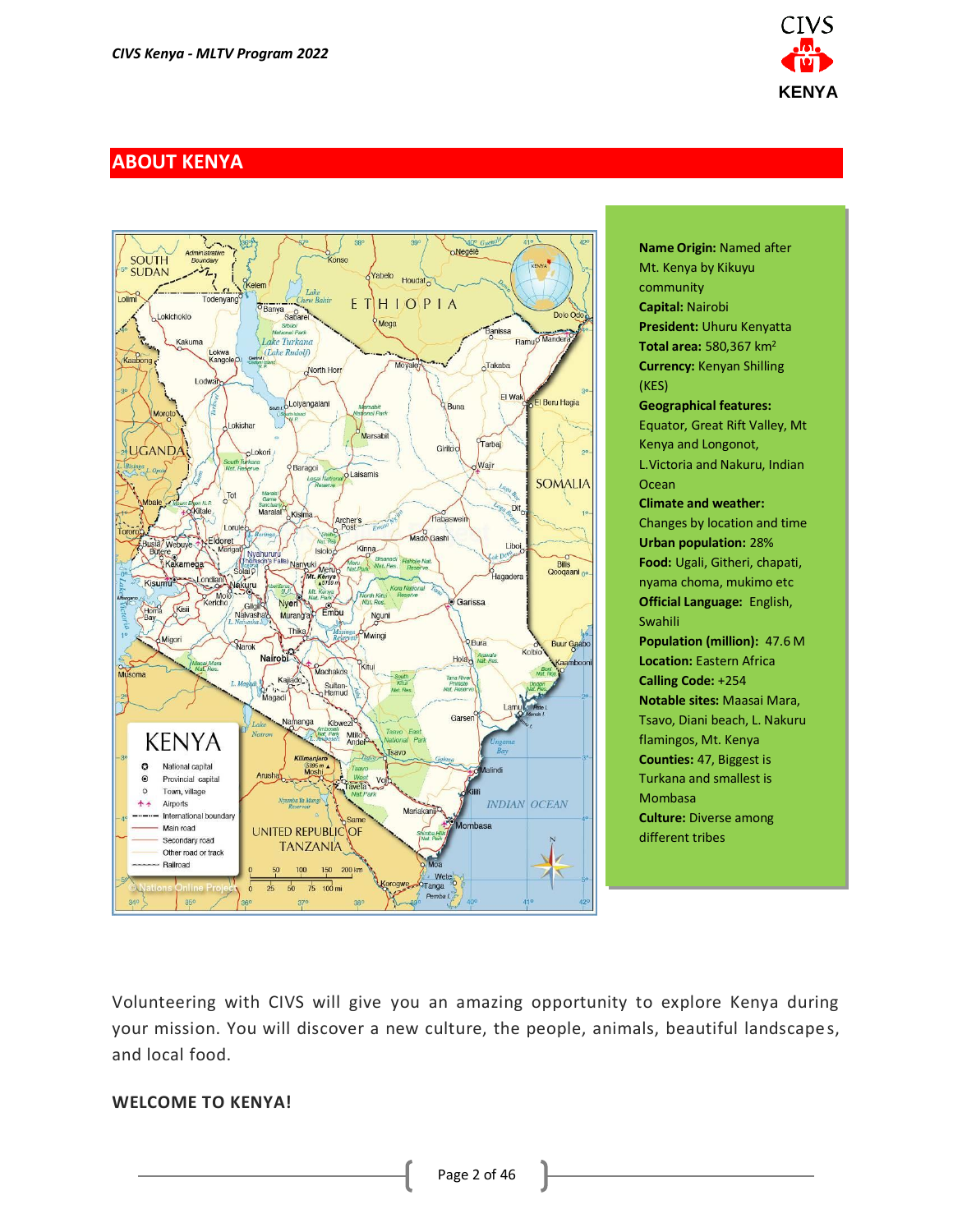

# <span id="page-1-0"></span>**ABOUT KENYA**



**Name Origin:** Named after Mt. Kenya by Kikuyu community **Capital:** Nairobi **President:** Uhuru Kenyatta **Total area:** 580,367 km<sup>2</sup> **Currency:** Kenyan Shilling (KES) **Geographical features:** Equator, Great Rift Valley, Mt Kenya and Longonot, L.Victoria and Nakuru, Indian **Ocean Climate and weather:** Changes by location and time **Urban population:** 28% **Food:** Ugali, Githeri, chapati, nyama choma, mukimo etc **Official Language:** English, Swahili **Population (million):** 47.6 M **Location: Eastern Africa Calling Code:** +254 **Notable sites:** Maasai Mara, Tsavo, Diani beach, L. Nakuru flamingos, Mt. Kenya **Counties:** 47, Biggest is Turkana and smallest is Mombasa **Culture:** Diverse among different tribes

Volunteering with CIVS will give you an amazing opportunity to explore Kenya during your mission. You will discover a new culture, the people, animals, beautiful landscapes, and local food.

#### **WELCOME TO KENYA!**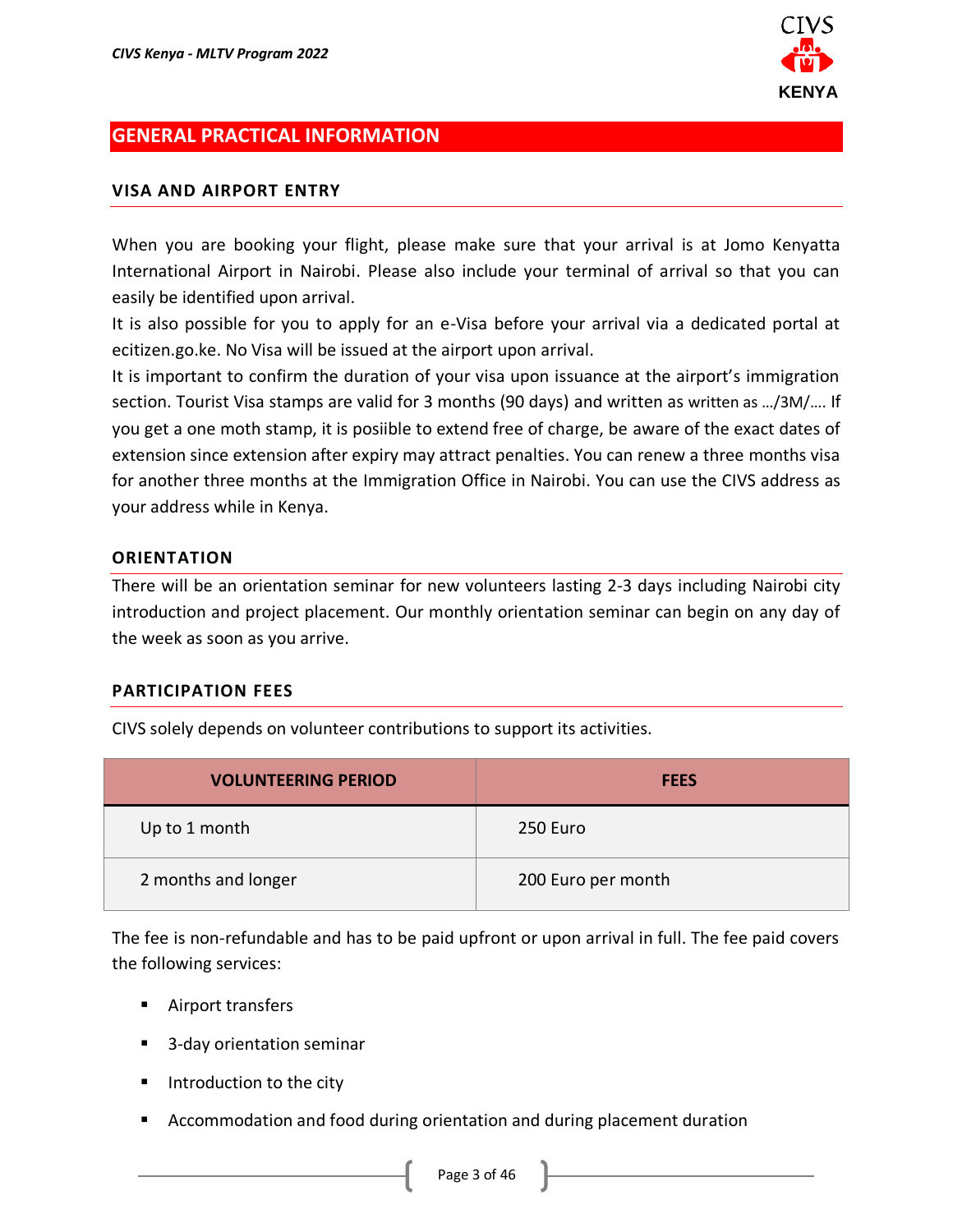

### <span id="page-2-0"></span>**GENERAL PRACTICAL INFORMATION**

#### **VISA AND AIRPORT ENTRY**

When you are booking your flight, please make sure that your arrival is at Jomo Kenyatta International Airport in Nairobi. Please also include your terminal of arrival so that you can easily be identified upon arrival.

It is also possible for you to apply for an e-Visa before your arrival via a dedicated portal at ecitizen.go.ke. No Visa will be issued at the airport upon arrival.

It is important to confirm the duration of your visa upon issuance at the airport's immigration section. Tourist Visa stamps are valid for 3 months (90 days) and written as written as …/3M/…. If you get a one moth stamp, it is posiible to extend free of charge, be aware of the exact dates of extension since extension after expiry may attract penalties. You can renew a three months visa for another three months at the Immigration Office in Nairobi. You can use the CIVS address as your address while in Kenya.

#### **ORIENTATION**

There will be an orientation seminar for new volunteers lasting 2-3 days including Nairobi city introduction and project placement. Our monthly orientation seminar can begin on any day of the week as soon as you arrive.

#### **PARTICIPATION FEES**

CIVS solely depends on volunteer contributions to support its activities.

| <b>VOLUNTEERING PERIOD</b> | <b>FEES</b>        |
|----------------------------|--------------------|
| Up to 1 month              | 250 Euro           |
| 2 months and longer        | 200 Euro per month |

The fee is non-refundable and has to be paid upfront or upon arrival in full. The fee paid covers the following services:

- Airport transfers
- 3-day orientation seminar
- Introduction to the city
- Accommodation and food during orientation and during placement duration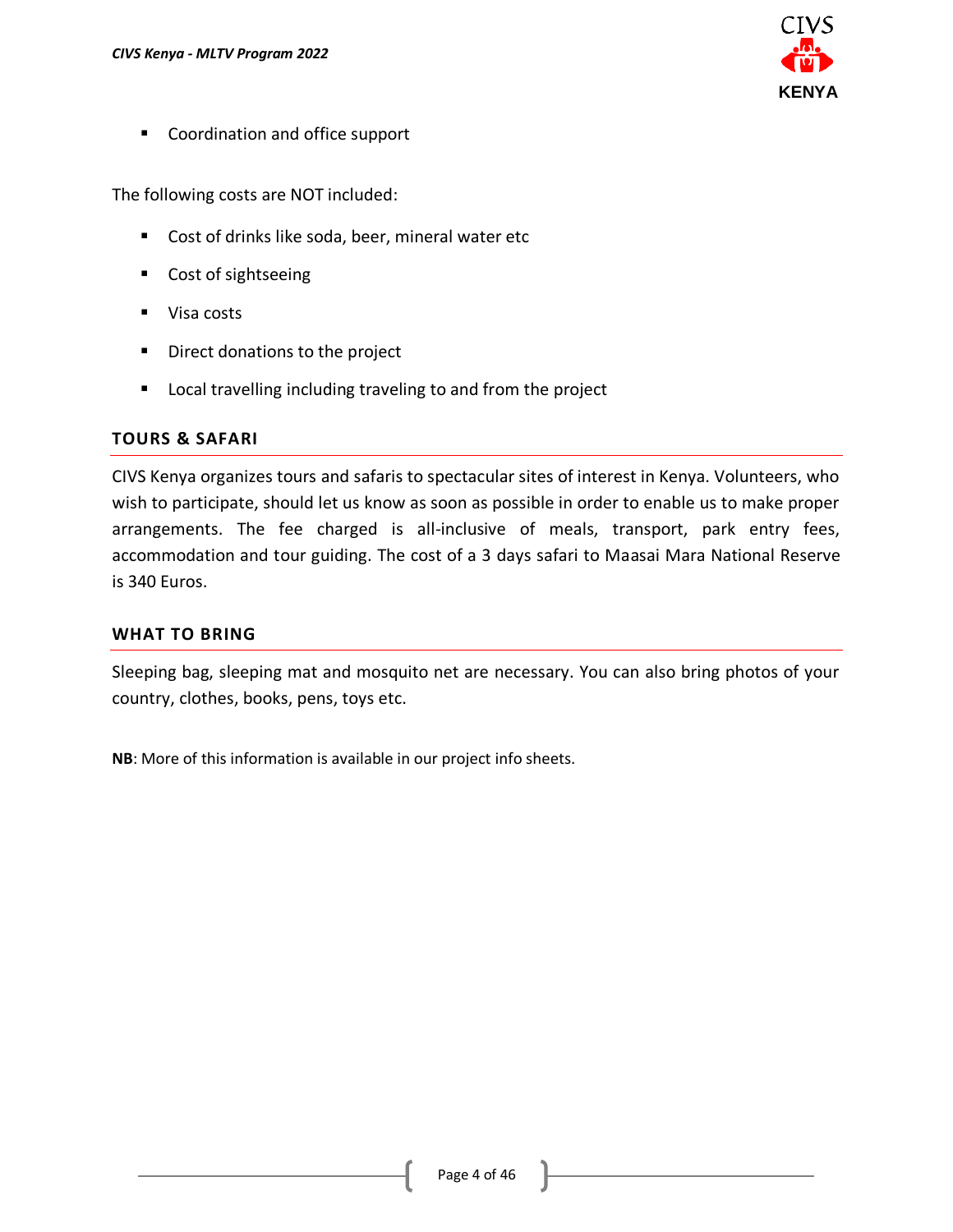

■ Coordination and office support

The following costs are NOT included:

- Cost of drinks like soda, beer, mineral water etc
- Cost of sightseeing
- Visa costs
- Direct donations to the project
- Local travelling including traveling to and from the project

### **TOURS & SAFARI**

CIVS Kenya organizes tours and safaris to spectacular sites of interest in Kenya. Volunteers, who wish to participate, should let us know as soon as possible in order to enable us to make proper arrangements. The fee charged is all-inclusive of meals, transport, park entry fees, accommodation and tour guiding. The cost of a 3 days safari to Maasai Mara National Reserve is 340 Euros.

#### **WHAT TO BRING**

Sleeping bag, sleeping mat and mosquito net are necessary. You can also bring photos of your country, clothes, books, pens, toys etc.

**NB**: More of this information is available in our project info sheets.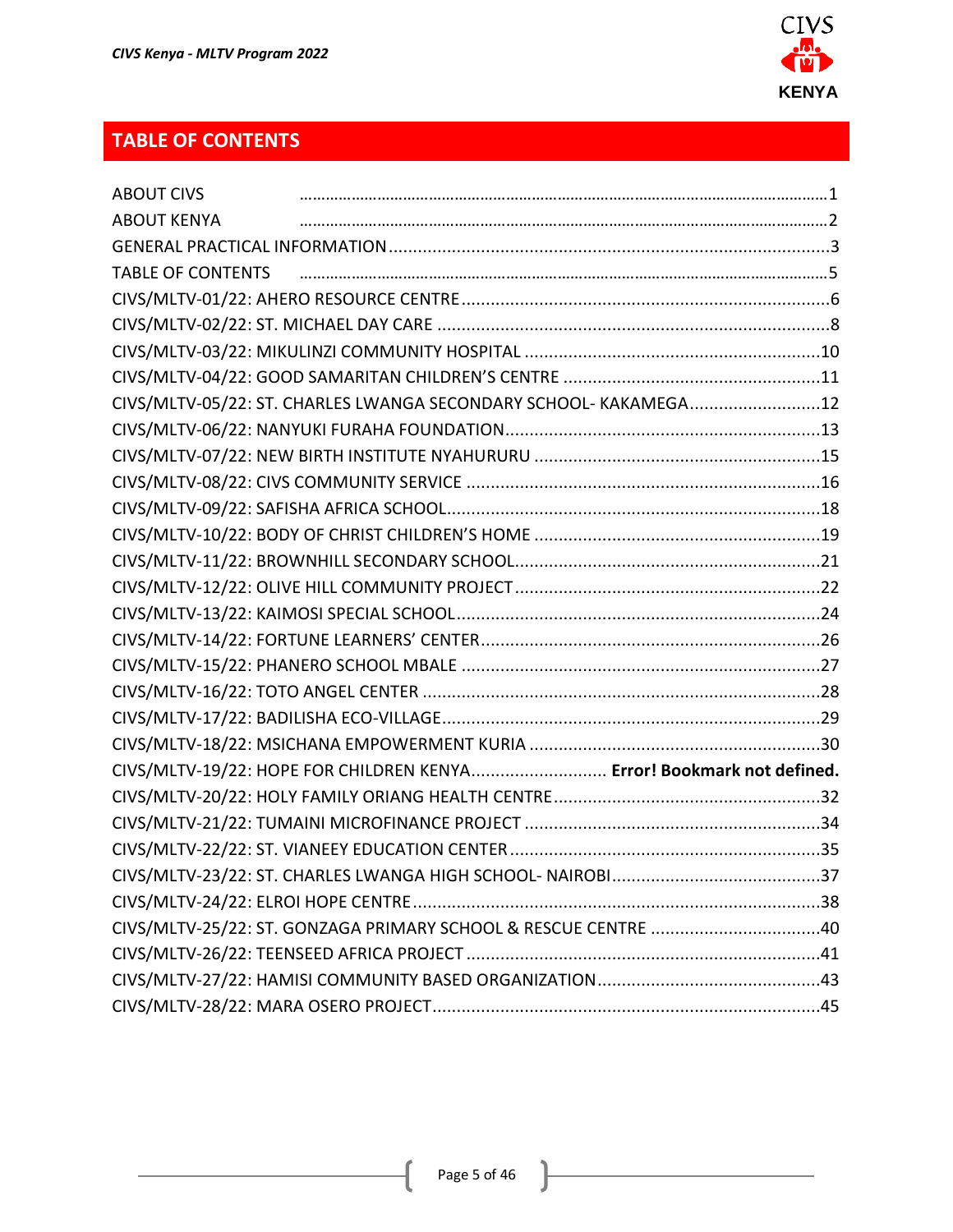

# <span id="page-4-0"></span>**TABLE OF CONTENTS**

| <b>ABOUT CIVS</b>        |                                                                       |  |
|--------------------------|-----------------------------------------------------------------------|--|
| <b>ABOUT KENYA</b>       |                                                                       |  |
|                          |                                                                       |  |
| <b>TABLE OF CONTENTS</b> |                                                                       |  |
|                          |                                                                       |  |
|                          |                                                                       |  |
|                          |                                                                       |  |
|                          |                                                                       |  |
|                          | CIVS/MLTV-05/22: ST. CHARLES LWANGA SECONDARY SCHOOL- KAKAMEGA12      |  |
|                          |                                                                       |  |
|                          |                                                                       |  |
|                          |                                                                       |  |
|                          |                                                                       |  |
|                          |                                                                       |  |
|                          |                                                                       |  |
|                          |                                                                       |  |
|                          |                                                                       |  |
|                          |                                                                       |  |
|                          |                                                                       |  |
|                          |                                                                       |  |
|                          |                                                                       |  |
|                          |                                                                       |  |
|                          | CIVS/MLTV-19/22: HOPE FOR CHILDREN KENYA Error! Bookmark not defined. |  |
|                          |                                                                       |  |
|                          |                                                                       |  |
|                          |                                                                       |  |
|                          |                                                                       |  |
|                          |                                                                       |  |
|                          | CIVS/MLTV-25/22: ST. GONZAGA PRIMARY SCHOOL & RESCUE CENTRE 40        |  |
|                          |                                                                       |  |
|                          |                                                                       |  |
|                          |                                                                       |  |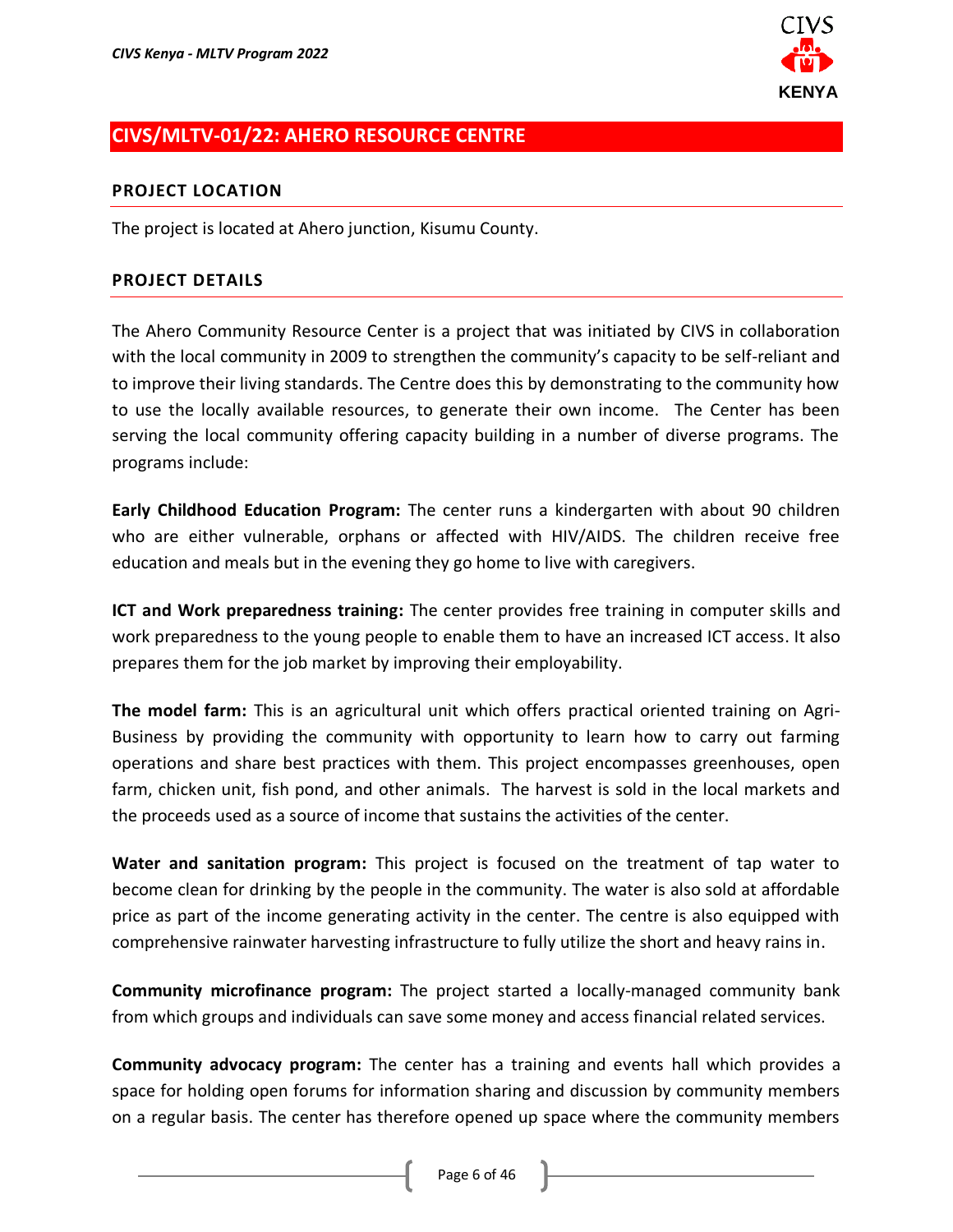

# <span id="page-5-0"></span>**CIVS/MLTV-01/22: AHERO RESOURCE CENTRE**

#### **PROJECT LOCATION**

The project is located at Ahero junction, Kisumu County.

#### **PROJECT DETAILS**

The Ahero Community Resource Center is a project that was initiated by CIVS in collaboration with the local community in 2009 to strengthen the community's capacity to be self-reliant and to improve their living standards. The Centre does this by demonstrating to the community how to use the locally available resources, to generate their own income. The Center has been serving the local community offering capacity building in a number of diverse programs. The programs include:

**Early Childhood Education Program:** The center runs a kindergarten with about 90 children who are either vulnerable, orphans or affected with HIV/AIDS. The children receive free education and meals but in the evening they go home to live with caregivers.

**ICT and Work preparedness training:** The center provides free training in computer skills and work preparedness to the young people to enable them to have an increased ICT access. It also prepares them for the job market by improving their employability.

**The model farm:** This is an agricultural unit which offers practical oriented training on Agri-Business by providing the community with opportunity to learn how to carry out farming operations and share best practices with them. This project encompasses greenhouses, open farm, chicken unit, fish pond, and other animals. The harvest is sold in the local markets and the proceeds used as a source of income that sustains the activities of the center.

**Water and sanitation program:** This project is focused on the treatment of tap water to become clean for drinking by the people in the community. The water is also sold at affordable price as part of the income generating activity in the center. The centre is also equipped with comprehensive rainwater harvesting infrastructure to fully utilize the short and heavy rains in.

**Community microfinance program:** The project started a locally-managed community bank from which groups and individuals can save some money and access financial related services.

**Community advocacy program:** The center has a training and events hall which provides a space for holding open forums for information sharing and discussion by community members on a regular basis. The center has therefore opened up space where the community members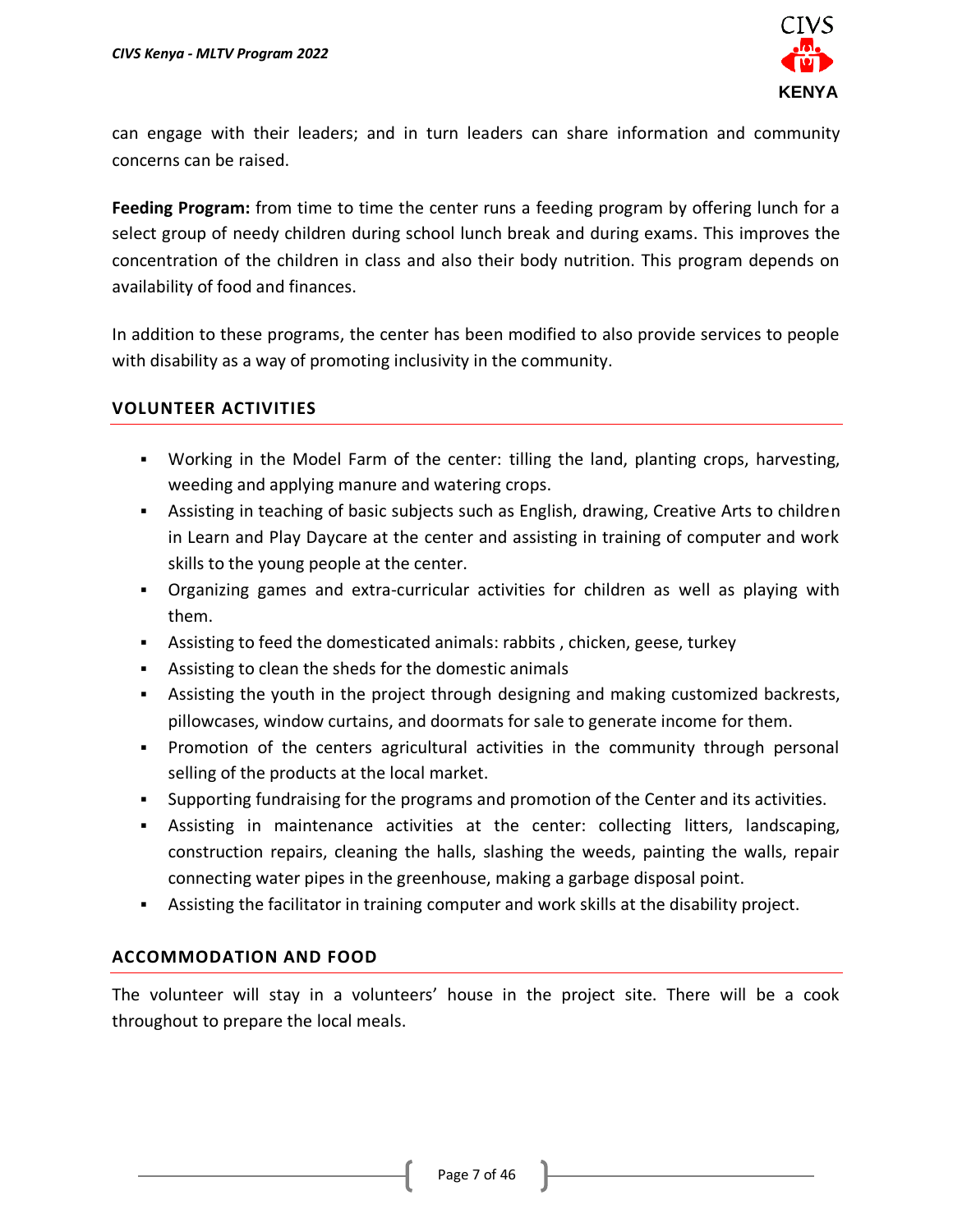

can engage with their leaders; and in turn leaders can share information and community concerns can be raised.

**Feeding Program:** from time to time the center runs a feeding program by offering lunch for a select group of needy children during school lunch break and during exams. This improves the concentration of the children in class and also their body nutrition. This program depends on availability of food and finances.

In addition to these programs, the center has been modified to also provide services to people with disability as a way of promoting inclusivity in the community.

### **VOLUNTEER ACTIVITIES**

- Working in the Model Farm of the center: tilling the land, planting crops, harvesting, weeding and applying manure and watering crops.
- **EXECT** Assisting in teaching of basic subjects such as English, drawing, Creative Arts to children in Learn and Play Daycare at the center and assisting in training of computer and work skills to the young people at the center.
- Organizing games and extra-curricular activities for children as well as playing with them.
- **EXEDENSIM** 1.4 Assisting to feed the domesticated animals: rabbits, chicken, geese, turkey
- Assisting to clean the sheds for the domestic animals
- **•** Assisting the youth in the project through designing and making customized backrests, pillowcases, window curtains, and doormats for sale to generate income for them.
- Promotion of the centers agricultural activities in the community through personal selling of the products at the local market.
- Supporting fundraising for the programs and promotion of the Center and its activities.
- Assisting in maintenance activities at the center: collecting litters, landscaping, construction repairs, cleaning the halls, slashing the weeds, painting the walls, repair connecting water pipes in the greenhouse, making a garbage disposal point.
- **EXECT** Assisting the facilitator in training computer and work skills at the disability project.

### **ACCOMMODATION AND FOOD**

The volunteer will stay in a volunteers' house in the project site. There will be a cook throughout to prepare the local meals.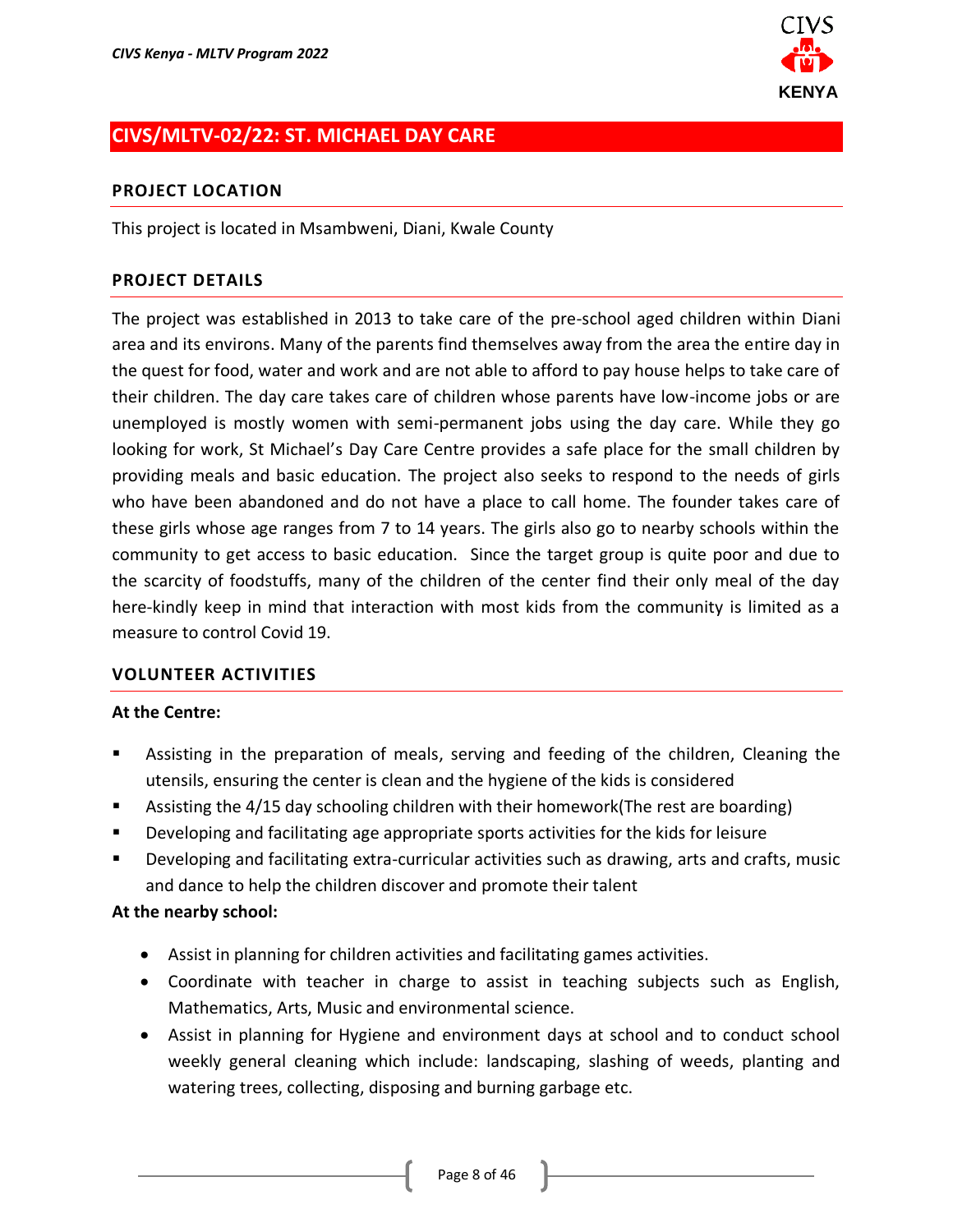

# <span id="page-7-0"></span>**CIVS/MLTV-02/22: ST. MICHAEL DAY CARE**

#### **PROJECT LOCATION**

This project is located in Msambweni, Diani, Kwale County

#### **PROJECT DETAILS**

The project was established in 2013 to take care of the pre-school aged children within Diani area and its environs. Many of the parents find themselves away from the area the entire day in the quest for food, water and work and are not able to afford to pay house helps to take care of their children. The day care takes care of children whose parents have low-income jobs or are unemployed is mostly women with semi-permanent jobs using the day care. While they go looking for work, St Michael's Day Care Centre provides a safe place for the small children by providing meals and basic education. The project also seeks to respond to the needs of girls who have been abandoned and do not have a place to call home. The founder takes care of these girls whose age ranges from 7 to 14 years. The girls also go to nearby schools within the community to get access to basic education. Since the target group is quite poor and due to the scarcity of foodstuffs, many of the children of the center find their only meal of the day here-kindly keep in mind that interaction with most kids from the community is limited as a measure to control Covid 19.

#### **VOLUNTEER ACTIVITIES**

#### **At the Centre:**

- Assisting in the preparation of meals, serving and feeding of the children, Cleaning the utensils, ensuring the center is clean and the hygiene of the kids is considered
- Assisting the 4/15 day schooling children with their homework(The rest are boarding)
- Developing and facilitating age appropriate sports activities for the kids for leisure
- Developing and facilitating extra-curricular activities such as drawing, arts and crafts, music and dance to help the children discover and promote their talent

#### **At the nearby school:**

- Assist in planning for children activities and facilitating games activities.
- Coordinate with teacher in charge to assist in teaching subjects such as English, Mathematics, Arts, Music and environmental science.
- Assist in planning for Hygiene and environment days at school and to conduct school weekly general cleaning which include: landscaping, slashing of weeds, planting and watering trees, collecting, disposing and burning garbage etc.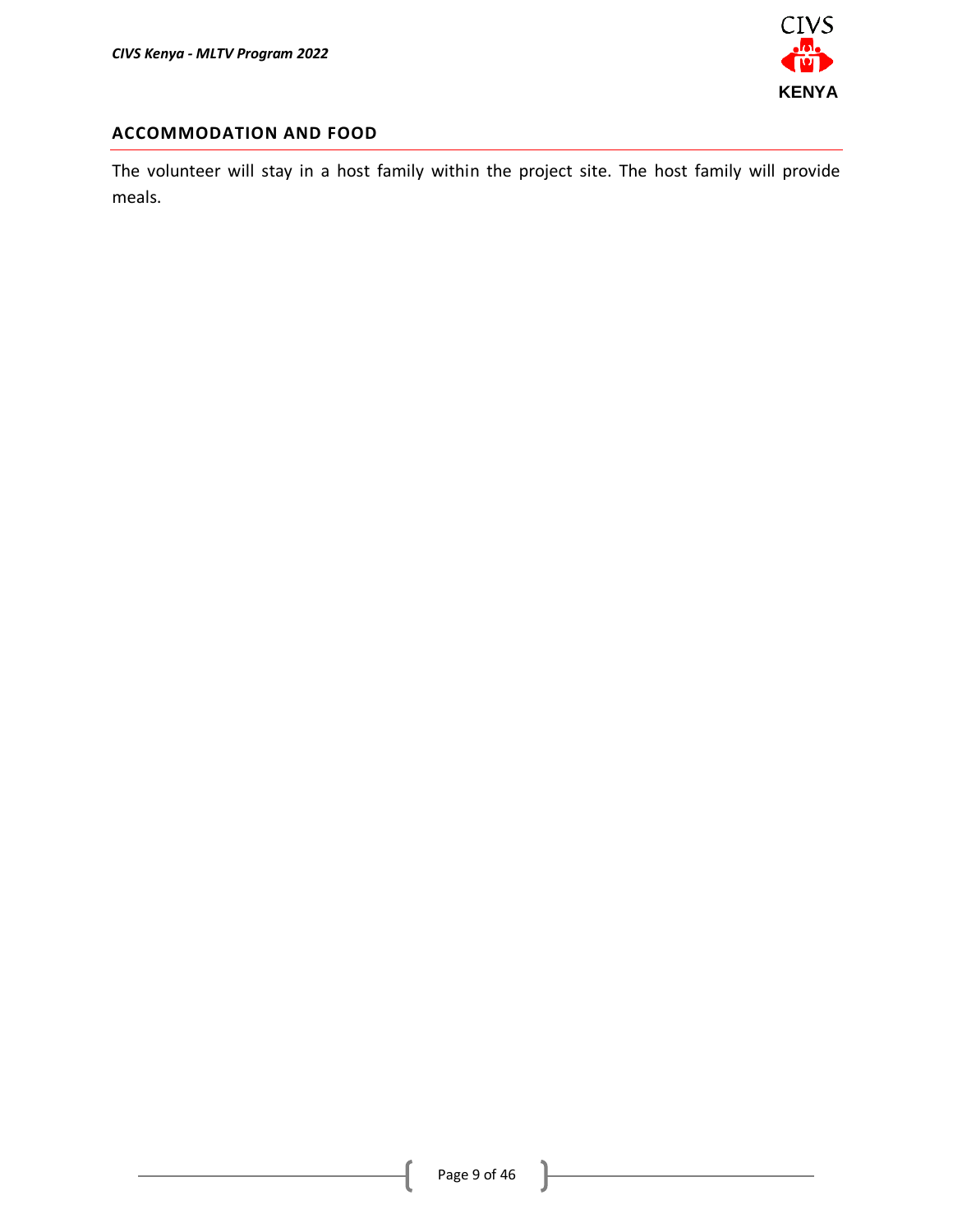

### **ACCOMMODATION AND FOOD**

The volunteer will stay in a host family within the project site. The host family will provide meals.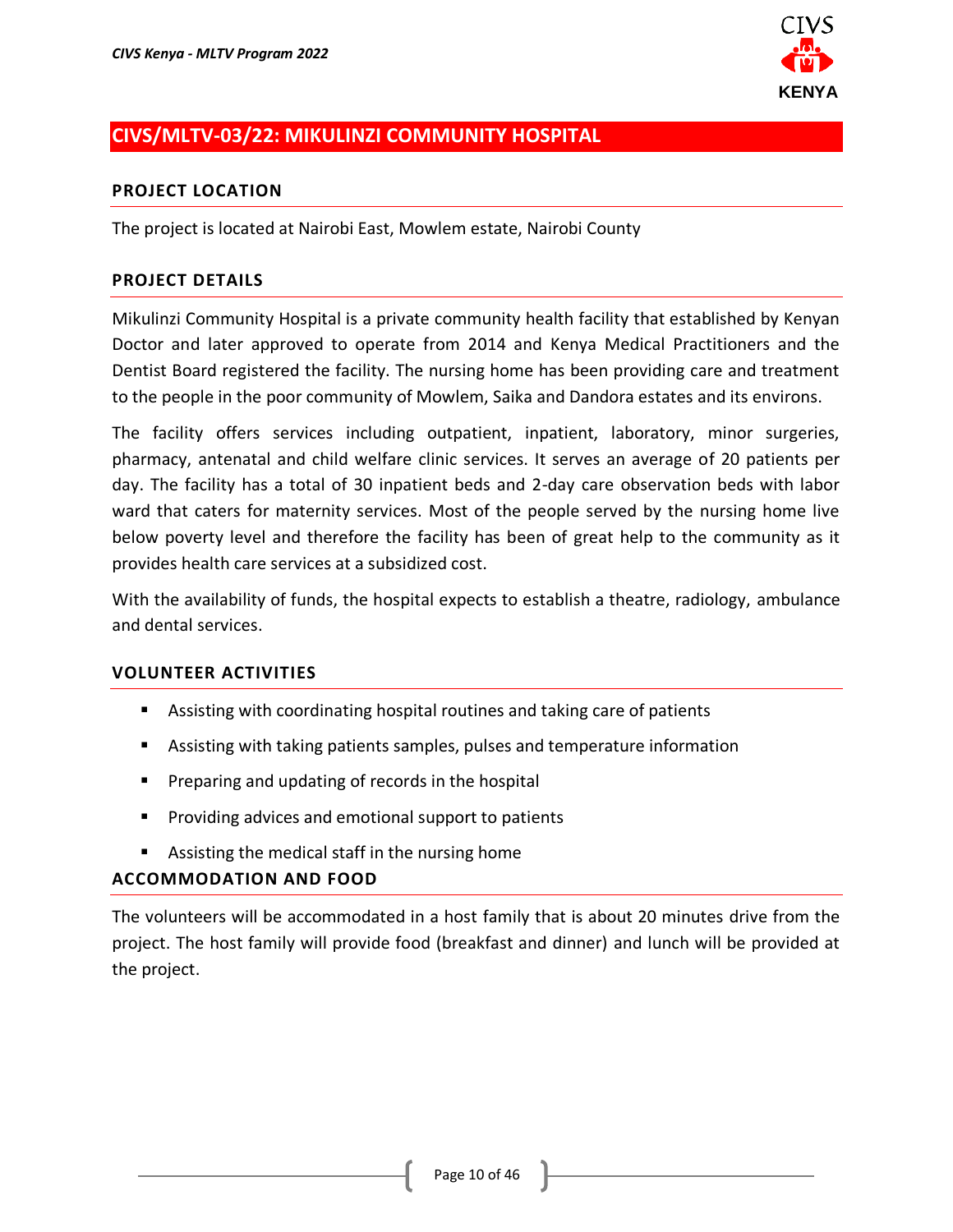

# <span id="page-9-0"></span>**CIVS/MLTV-03/22: MIKULINZI COMMUNITY HOSPITAL**

#### **PROJECT LOCATION**

The project is located at Nairobi East, Mowlem estate, Nairobi County

#### **PROJECT DETAILS**

Mikulinzi Community Hospital is a private community health facility that established by Kenyan Doctor and later approved to operate from 2014 and Kenya Medical Practitioners and the Dentist Board registered the facility. The nursing home has been providing care and treatment to the people in the poor community of Mowlem, Saika and Dandora estates and its environs.

The facility offers services including outpatient, inpatient, laboratory, minor surgeries, pharmacy, antenatal and child welfare clinic services. It serves an average of 20 patients per day. The facility has a total of 30 inpatient beds and 2-day care observation beds with labor ward that caters for maternity services. Most of the people served by the nursing home live below poverty level and therefore the facility has been of great help to the community as it provides health care services at a subsidized cost.

With the availability of funds, the hospital expects to establish a theatre, radiology, ambulance and dental services.

#### **VOLUNTEER ACTIVITIES**

- Assisting with coordinating hospital routines and taking care of patients
- Assisting with taking patients samples, pulses and temperature information
- **•** Preparing and updating of records in the hospital
- Providing advices and emotional support to patients
- Assisting the medical staff in the nursing home

#### **ACCOMMODATION AND FOOD**

The volunteers will be accommodated in a host family that is about 20 minutes drive from the project. The host family will provide food (breakfast and dinner) and lunch will be provided at the project.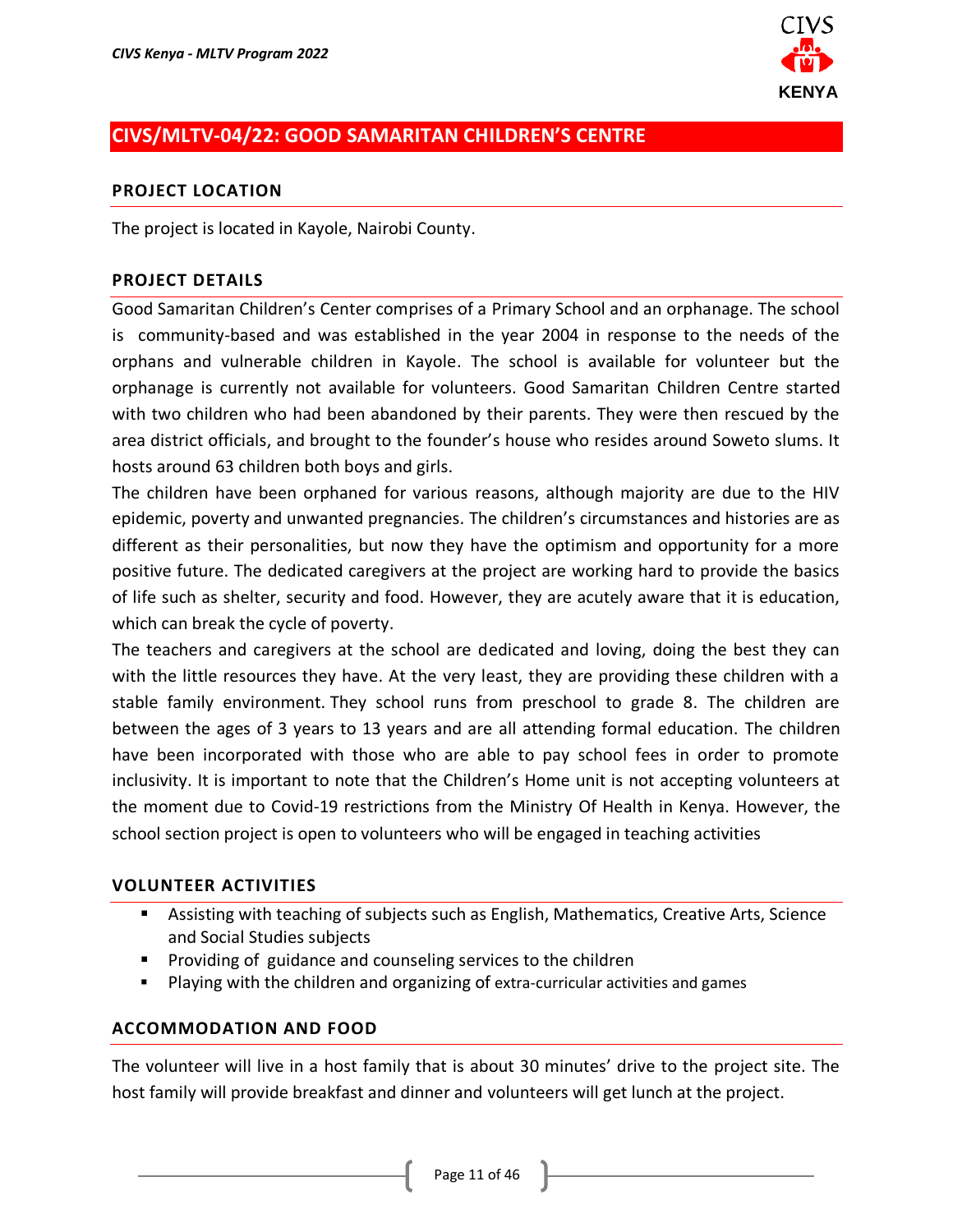

# <span id="page-10-0"></span>**CIVS/MLTV-04/22: GOOD SAMARITAN CHILDREN'S CENTRE**

#### **PROJECT LOCATION**

The project is located in Kayole, Nairobi County.

#### **PROJECT DETAILS**

Good Samaritan Children's Center comprises of a Primary School and an orphanage. The school is community-based and was established in the year 2004 in response to the needs of the orphans and vulnerable children in Kayole. The school is available for volunteer but the orphanage is currently not available for volunteers. Good Samaritan Children Centre started with two children who had been abandoned by their parents. They were then rescued by the area district officials, and brought to the founder's house who resides around Soweto slums. It hosts around 63 children both boys and girls.

The children have been orphaned for various reasons, although majority are due to the HIV epidemic, poverty and unwanted pregnancies. The children's circumstances and histories are as different as their personalities, but now they have the optimism and opportunity for a more positive future. The dedicated caregivers at the project are working hard to provide the basics of life such as shelter, security and food. However, they are acutely aware that it is education, which can break the cycle of poverty.

The teachers and caregivers at the school are dedicated and loving, doing the best they can with the little resources they have. At the very least, they are providing these children with a stable family environment. They school runs from preschool to grade 8. The children are between the ages of 3 years to 13 years and are all attending formal education. The children have been incorporated with those who are able to pay school fees in order to promote inclusivity. It is important to note that the Children's Home unit is not accepting volunteers at the moment due to Covid-19 restrictions from the Ministry Of Health in Kenya. However, the school section project is open to volunteers who will be engaged in teaching activities

### **VOLUNTEER ACTIVITIES**

- Assisting with teaching of subjects such as English, Mathematics, Creative Arts, Science and Social Studies subjects
- Providing of guidance and counseling services to the children
- Playing with the children and organizing of extra-curricular activities and games

#### **ACCOMMODATION AND FOOD**

The volunteer will live in a host family that is about 30 minutes' drive to the project site. The host family will provide breakfast and dinner and volunteers will get lunch at the project.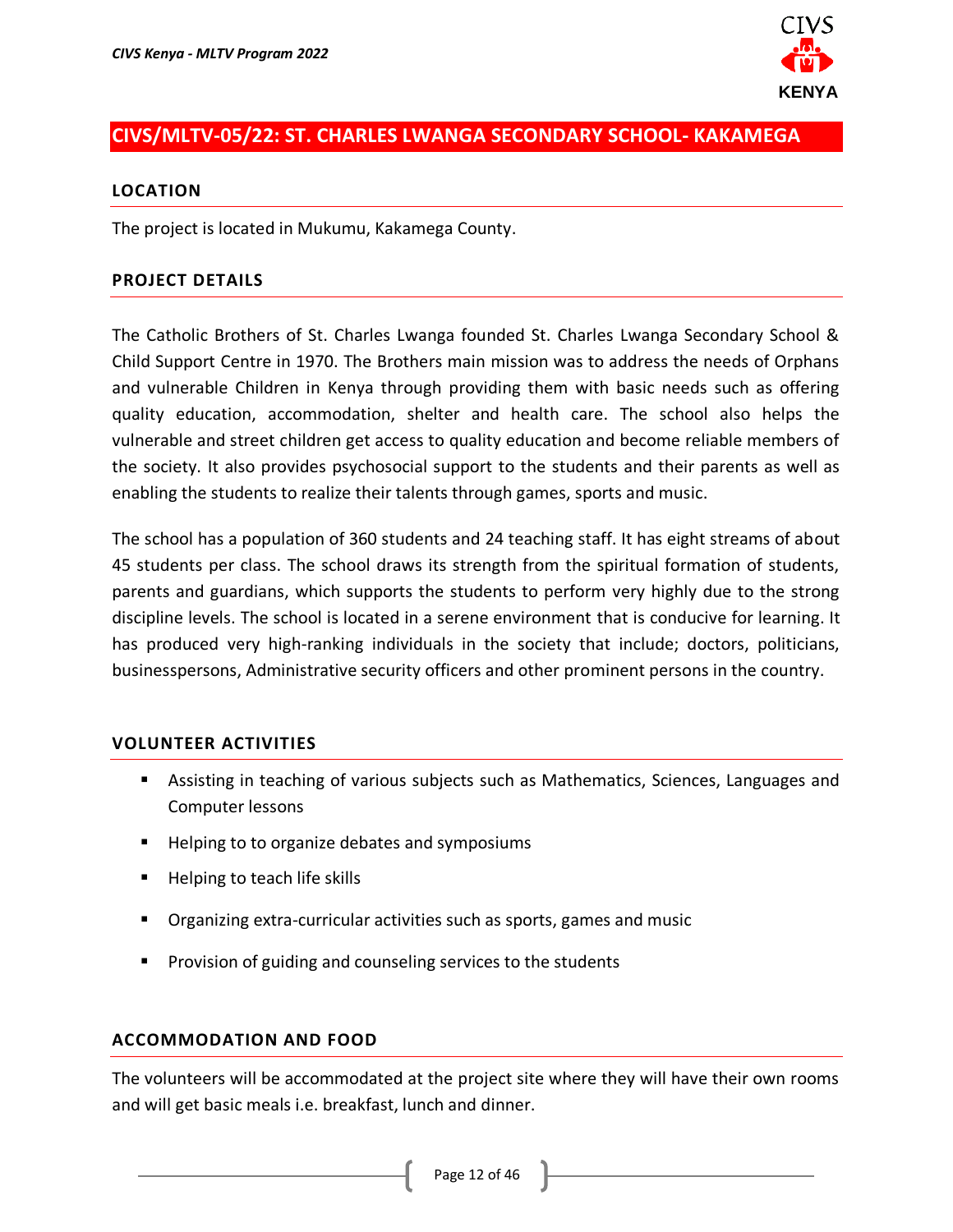

# <span id="page-11-0"></span>**CIVS/MLTV-05/22: ST. CHARLES LWANGA SECONDARY SCHOOL- KAKAMEGA**

#### **LOCATION**

The project is located in Mukumu, Kakamega County.

#### **PROJECT DETAILS**

The Catholic Brothers of St. Charles Lwanga founded St. Charles Lwanga Secondary School & Child Support Centre in 1970. The Brothers main mission was to address the needs of Orphans and vulnerable Children in Kenya through providing them with basic needs such as offering quality education, accommodation, shelter and health care. The school also helps the vulnerable and street children get access to quality education and become reliable members of the society. It also provides psychosocial support to the students and their parents as well as enabling the students to realize their talents through games, sports and music.

The school has a population of 360 students and 24 teaching staff. It has eight streams of about 45 students per class. The school draws its strength from the spiritual formation of students, parents and guardians, which supports the students to perform very highly due to the strong discipline levels. The school is located in a serene environment that is conducive for learning. It has produced very high-ranking individuals in the society that include; doctors, politicians, businesspersons, Administrative security officers and other prominent persons in the country.

#### **VOLUNTEER ACTIVITIES**

- **E** Assisting in teaching of various subjects such as Mathematics, Sciences, Languages and Computer lessons
- Helping to to organize debates and symposiums
- Helping to teach life skills
- Organizing extra-curricular activities such as sports, games and music
- Provision of guiding and counseling services to the students

#### **ACCOMMODATION AND FOOD**

The volunteers will be accommodated at the project site where they will have their own rooms and will get basic meals i.e. breakfast, lunch and dinner.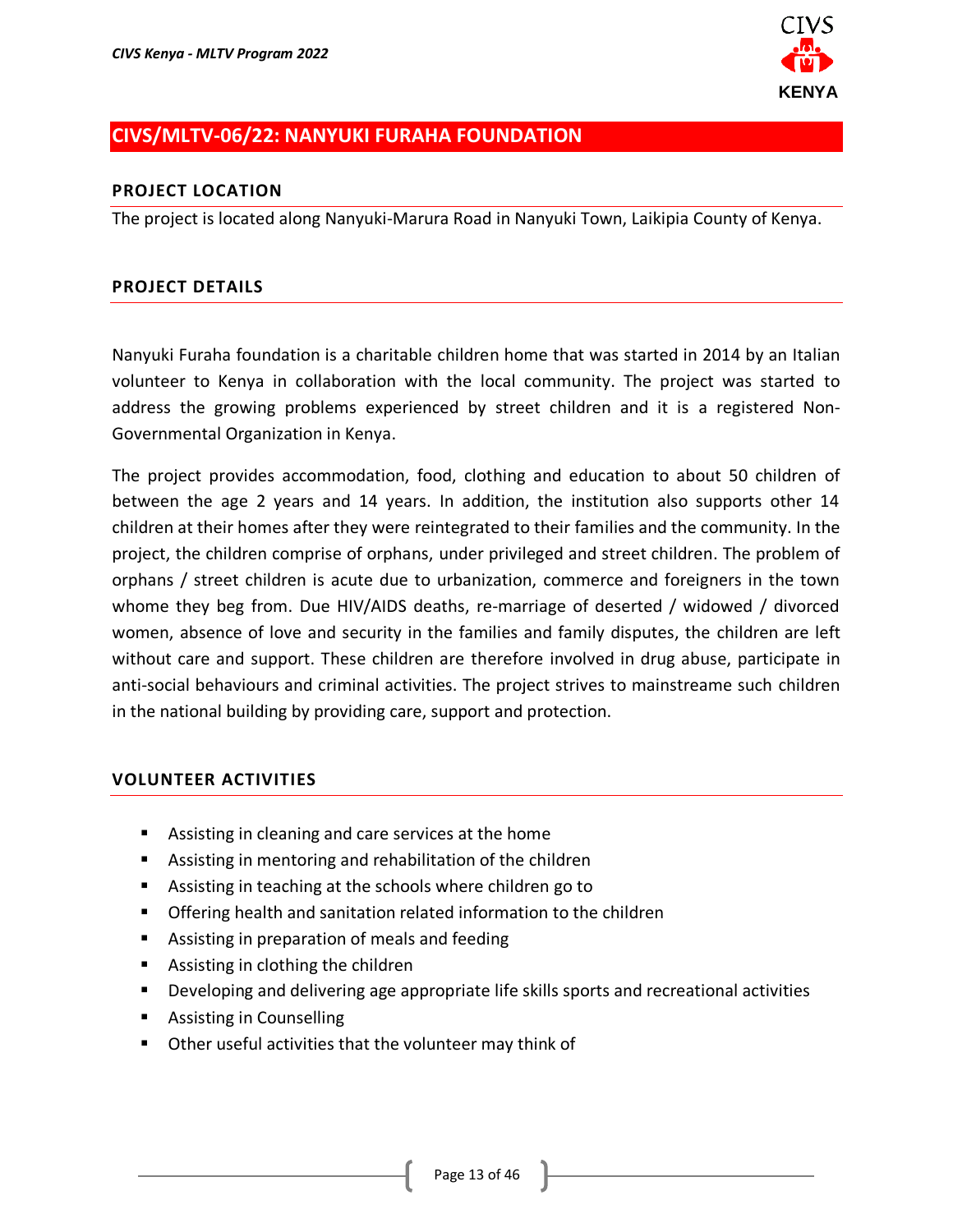

# <span id="page-12-0"></span>**CIVS/MLTV-06/22: NANYUKI FURAHA FOUNDATION**

### **PROJECT LOCATION**

The project is located along Nanyuki-Marura Road in Nanyuki Town, Laikipia County of Kenya.

### **PROJECT DETAILS**

Nanyuki Furaha foundation is a charitable children home that was started in 2014 by an Italian volunteer to Kenya in collaboration with the local community. The project was started to address the growing problems experienced by street children and it is a registered Non-Governmental Organization in Kenya.

The project provides accommodation, food, clothing and education to about 50 children of between the age 2 years and 14 years. In addition, the institution also supports other 14 children at their homes after they were reintegrated to their families and the community. In the project, the children comprise of orphans, under privileged and street children. The problem of orphans / street children is acute due to urbanization, commerce and foreigners in the town whome they beg from. Due HIV/AIDS deaths, re-marriage of deserted / widowed / divorced women, absence of love and security in the families and family disputes, the children are left without care and support. These children are therefore involved in drug abuse, participate in anti-social behaviours and criminal activities. The project strives to mainstreame such children in the national building by providing care, support and protection.

- Assisting in cleaning and care services at the home
- Assisting in mentoring and rehabilitation of the children
- Assisting in teaching at the schools where children go to
- Offering health and sanitation related information to the children
- Assisting in preparation of meals and feeding
- Assisting in clothing the children
- Developing and delivering age appropriate life skills sports and recreational activities
- Assisting in Counselling
- Other useful activities that the volunteer may think of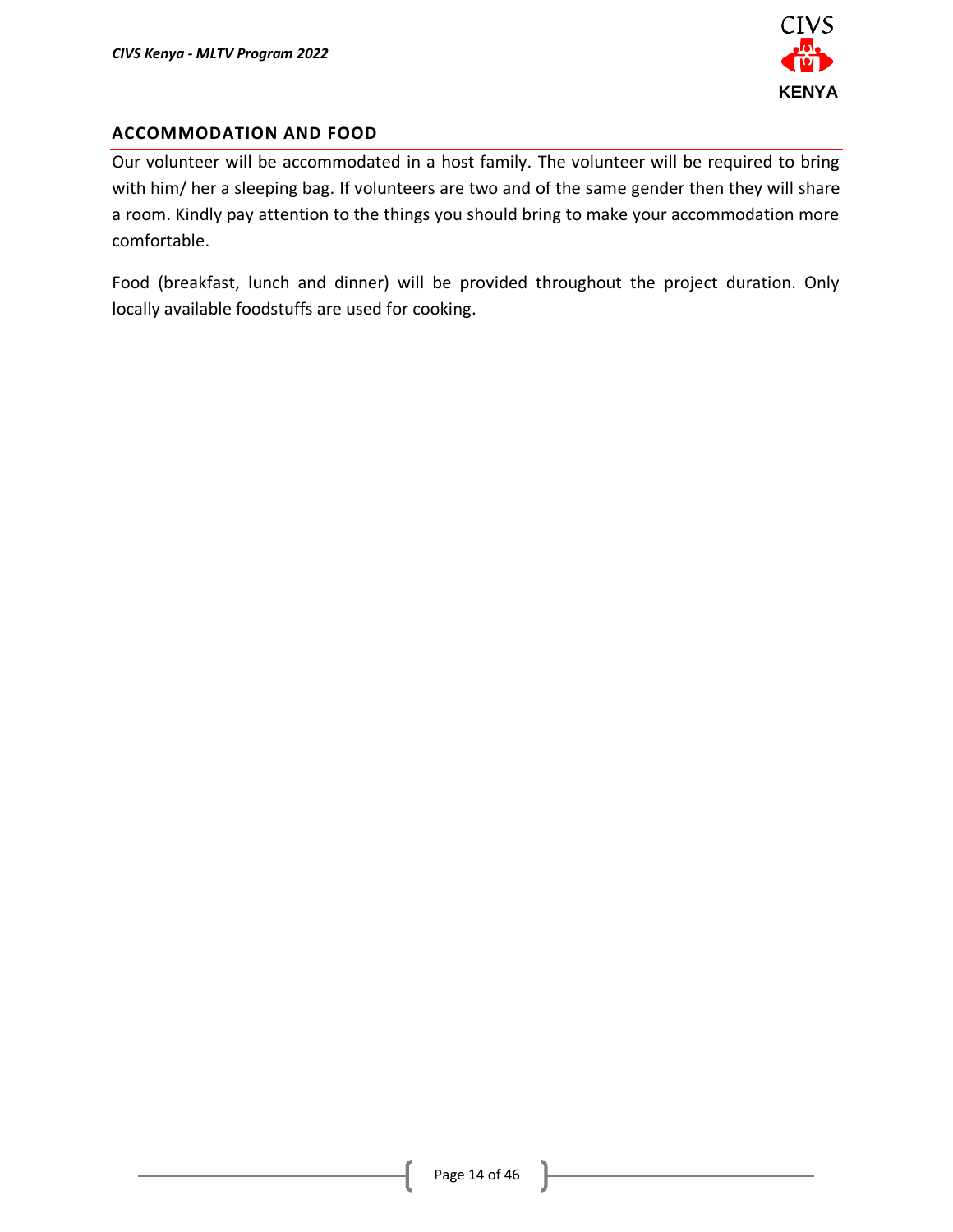

### **ACCOMMODATION AND FOOD**

Our volunteer will be accommodated in a host family. The volunteer will be required to bring with him/ her a sleeping bag. If volunteers are two and of the same gender then they will share a room. Kindly pay attention to the things you should bring to make your accommodation more comfortable.

Food (breakfast, lunch and dinner) will be provided throughout the project duration. Only locally available foodstuffs are used for cooking.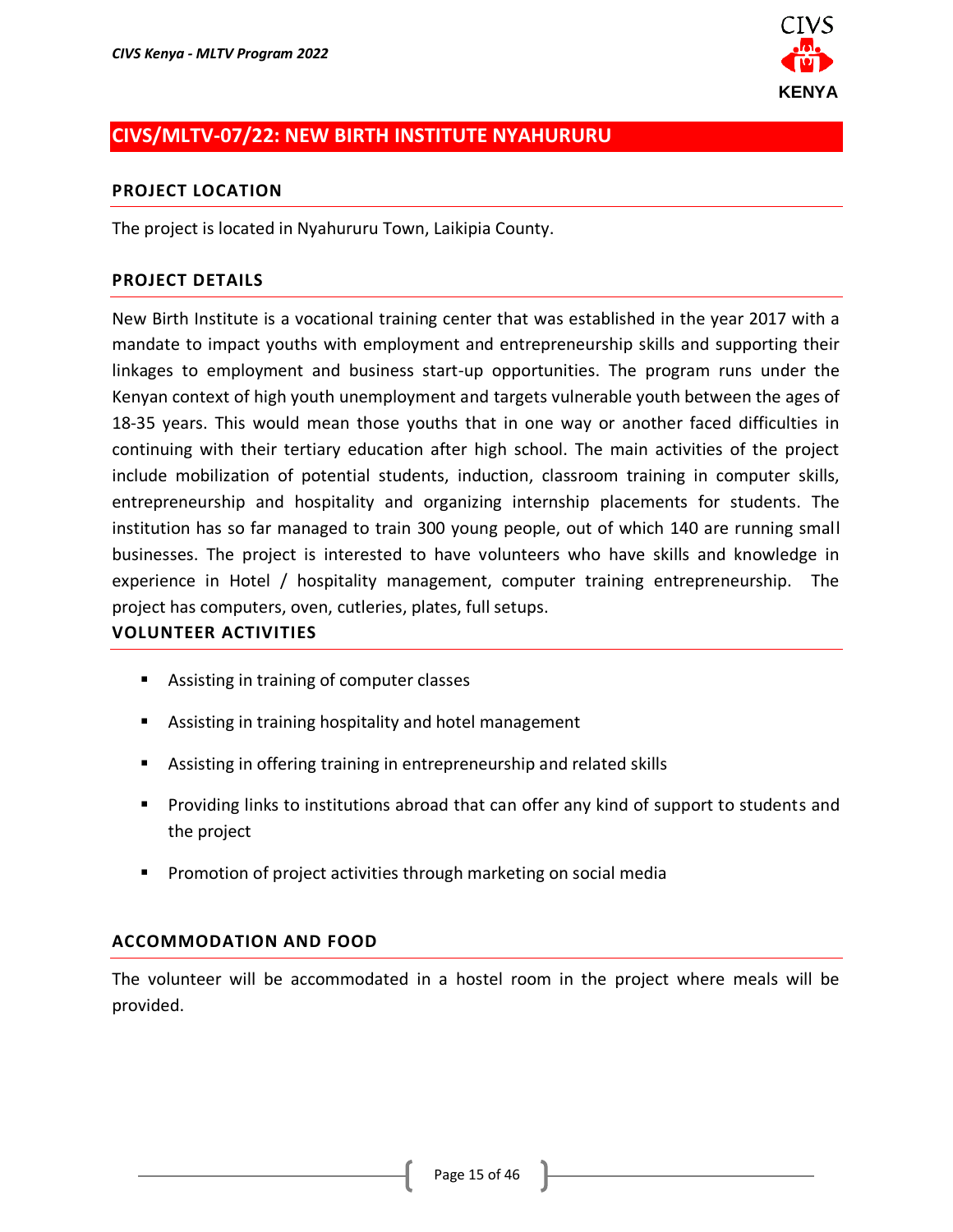

# <span id="page-14-0"></span>**CIVS/MLTV-07/22: NEW BIRTH INSTITUTE NYAHURURU**

#### **PROJECT LOCATION**

The project is located in Nyahururu Town, Laikipia County.

#### **PROJECT DETAILS**

New Birth Institute is a vocational training center that was established in the year 2017 with a mandate to impact youths with employment and entrepreneurship skills and supporting their linkages to employment and business start-up opportunities. The program runs under the Kenyan context of high youth unemployment and targets vulnerable youth between the ages of 18-35 years. This would mean those youths that in one way or another faced difficulties in continuing with their tertiary education after high school. The main activities of the project include mobilization of potential students, induction, classroom training in computer skills, entrepreneurship and hospitality and organizing internship placements for students. The institution has so far managed to train 300 young people, out of which 140 are running small businesses. The project is interested to have volunteers who have skills and knowledge in experience in Hotel / hospitality management, computer training entrepreneurship. The project has computers, oven, cutleries, plates, full setups.

### **VOLUNTEER ACTIVITIES**

- Assisting in training of computer classes
- Assisting in training hospitality and hotel management
- Assisting in offering training in entrepreneurship and related skills
- Providing links to institutions abroad that can offer any kind of support to students and the project
- Promotion of project activities through marketing on social media

#### **ACCOMMODATION AND FOOD**

The volunteer will be accommodated in a hostel room in the project where meals will be provided.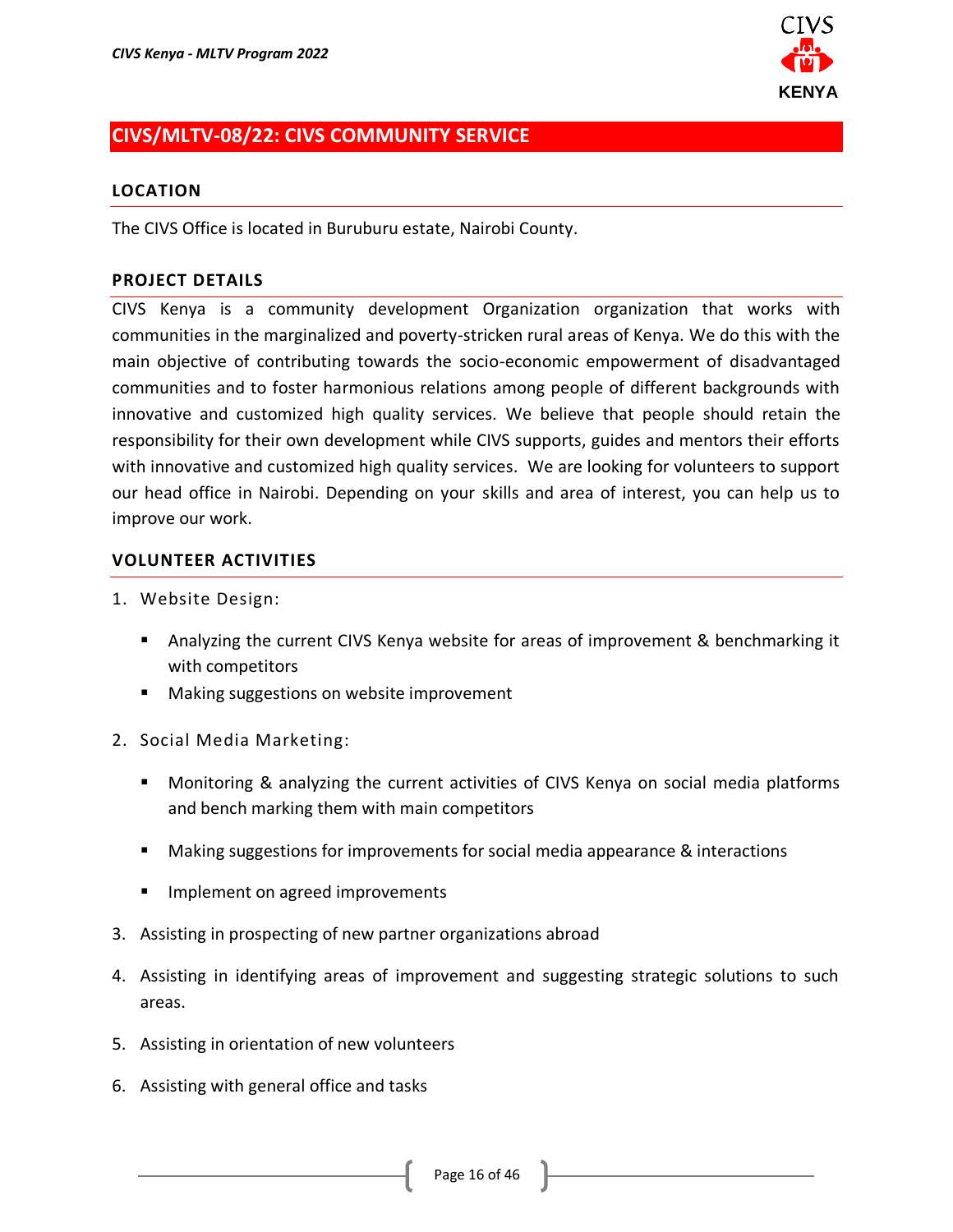

# <span id="page-15-0"></span>**CIVS/MLTV-08/22: CIVS COMMUNITY SERVICE**

#### **LOCATION**

The CIVS Office is located in Buruburu estate, Nairobi County.

#### **PROJECT DETAILS**

CIVS Kenya is a community development Organization organization that works with communities in the marginalized and poverty-stricken rural areas of Kenya. We do this with the main objective of contributing towards the socio-economic empowerment of disadvantaged communities and to foster harmonious relations among people of different backgrounds with innovative and customized high quality services. We believe that people should retain the responsibility for their own development while CIVS supports, guides and mentors their efforts with innovative and customized high quality services. We are looking for volunteers to support our head office in Nairobi. Depending on your skills and area of interest, you can help us to improve our work.

- 1. Website Design:
	- Analyzing the current CIVS Kenya website for areas of improvement & benchmarking it with competitors
	- Making suggestions on website improvement
- 2. Social Media Marketing:
	- Monitoring & analyzing the current activities of CIVS Kenya on social media platforms and bench marking them with main competitors
	- Making suggestions for improvements for social media appearance & interactions
	- **■** Implement on agreed improvements
- 3. Assisting in prospecting of new partner organizations abroad
- 4. Assisting in identifying areas of improvement and suggesting strategic solutions to such areas.
- 5. Assisting in orientation of new volunteers
- 6. Assisting with general office and tasks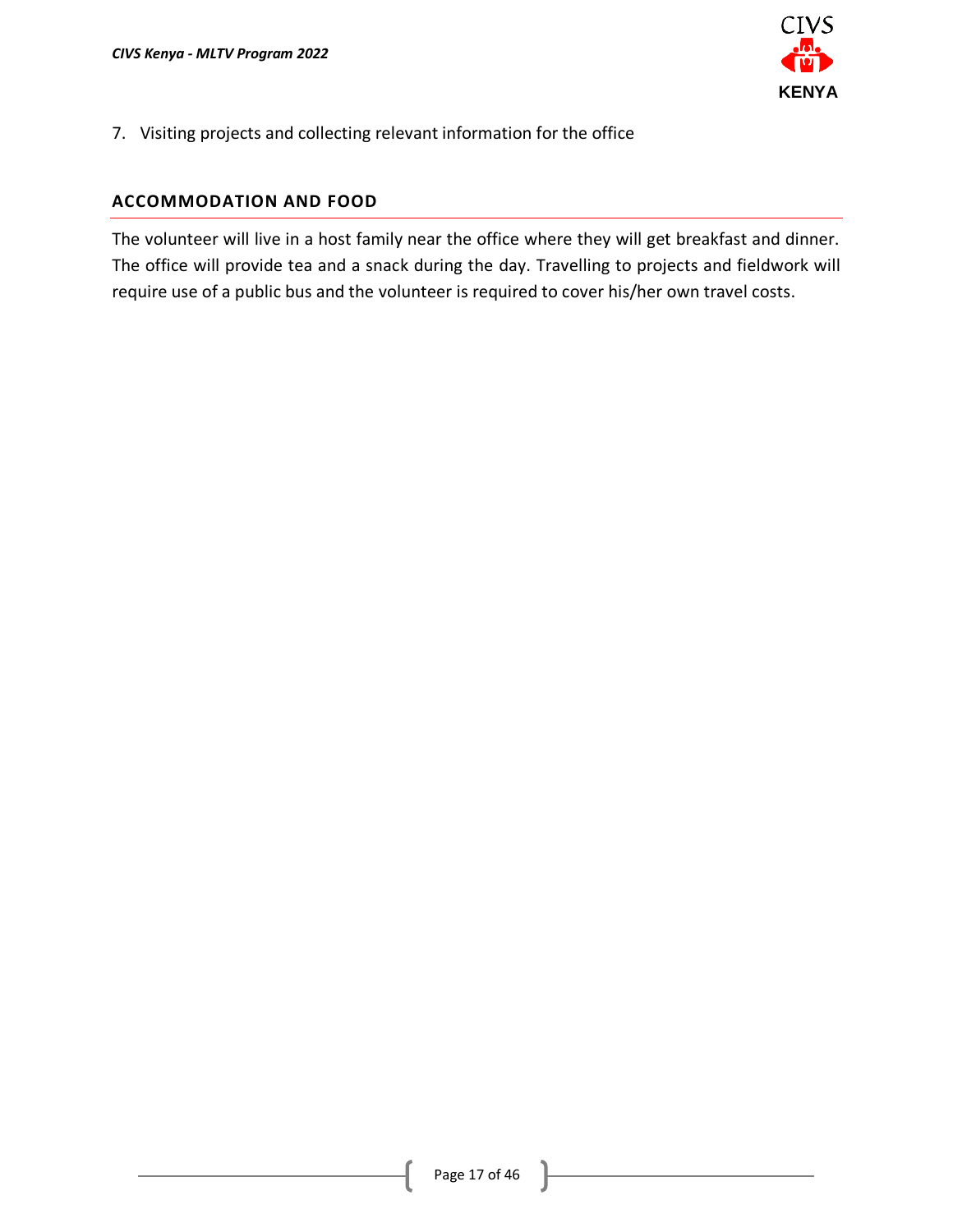

7. Visiting projects and collecting relevant information for the office

### **ACCOMMODATION AND FOOD**

The volunteer will live in a host family near the office where they will get breakfast and dinner. The office will provide tea and a snack during the day. Travelling to projects and fieldwork will require use of a public bus and the volunteer is required to cover his/her own travel costs.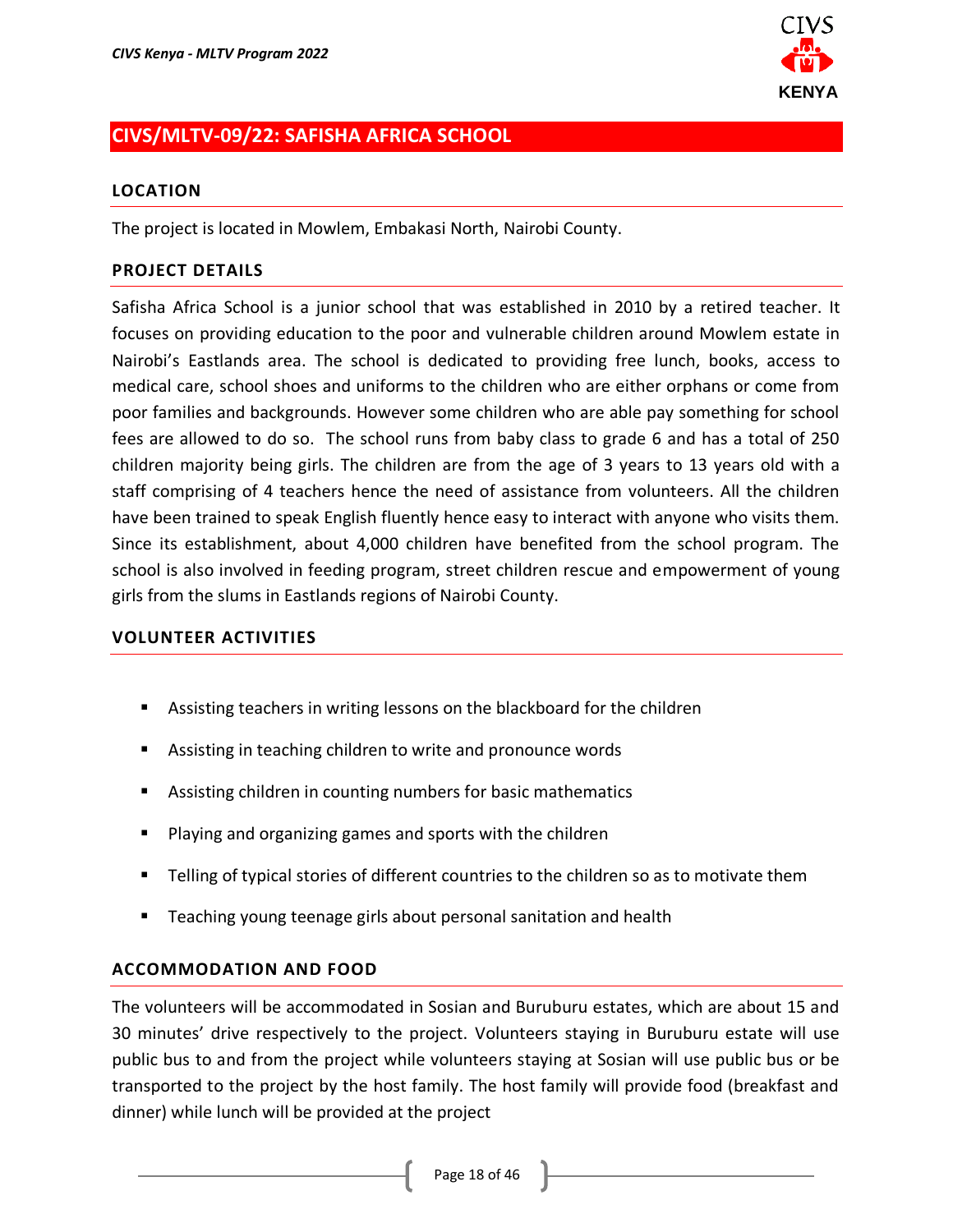

# <span id="page-17-0"></span>**CIVS/MLTV-09/22: SAFISHA AFRICA SCHOOL**

#### **LOCATION**

The project is located in Mowlem, Embakasi North, Nairobi County.

### **PROJECT DETAILS**

Safisha Africa School is a junior school that was established in 2010 by a retired teacher. It focuses on providing education to the poor and vulnerable children around Mowlem estate in Nairobi's Eastlands area. The school is dedicated to providing free lunch, books, access to medical care, school shoes and uniforms to the children who are either orphans or come from poor families and backgrounds. However some children who are able pay something for school fees are allowed to do so. The school runs from baby class to grade 6 and has a total of 250 children majority being girls. The children are from the age of 3 years to 13 years old with a staff comprising of 4 teachers hence the need of assistance from volunteers. All the children have been trained to speak English fluently hence easy to interact with anyone who visits them. Since its establishment, about 4,000 children have benefited from the school program. The school is also involved in feeding program, street children rescue and empowerment of young girls from the slums in Eastlands regions of Nairobi County.

#### **VOLUNTEER ACTIVITIES**

- Assisting teachers in writing lessons on the blackboard for the children
- Assisting in teaching children to write and pronounce words
- Assisting children in counting numbers for basic mathematics
- Playing and organizing games and sports with the children
- Telling of typical stories of different countries to the children so as to motivate them
- Teaching young teenage girls about personal sanitation and health

### **ACCOMMODATION AND FOOD**

The volunteers will be accommodated in Sosian and Buruburu estates, which are about 15 and 30 minutes' drive respectively to the project. Volunteers staying in Buruburu estate will use public bus to and from the project while volunteers staying at Sosian will use public bus or be transported to the project by the host family. The host family will provide food (breakfast and dinner) while lunch will be provided at the project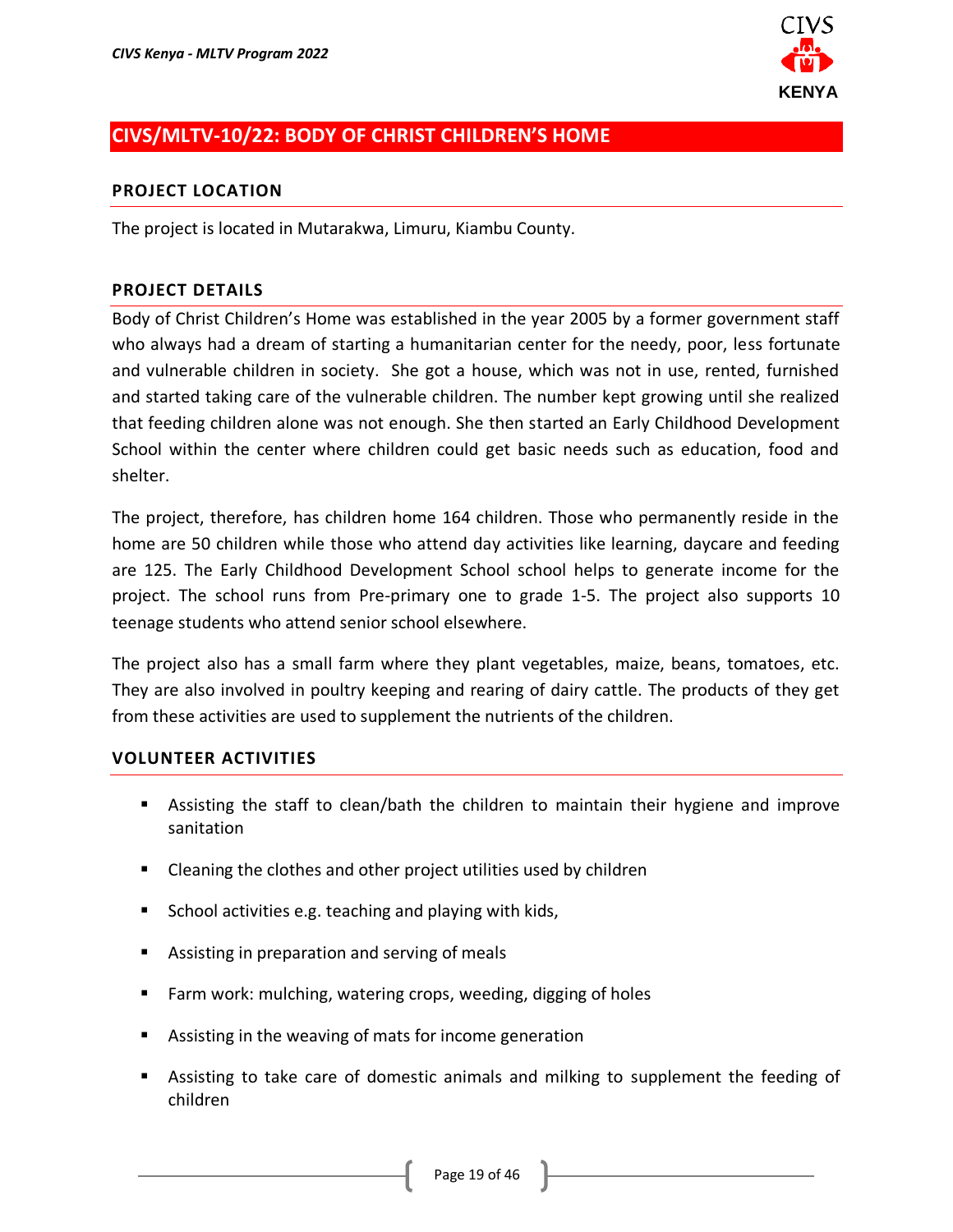

# <span id="page-18-0"></span>**CIVS/MLTV-10/22: BODY OF CHRIST CHILDREN'S HOME**

#### **PROJECT LOCATION**

The project is located in Mutarakwa, Limuru, Kiambu County.

#### **PROJECT DETAILS**

Body of Christ Children's Home was established in the year 2005 by a former government staff who always had a dream of starting a humanitarian center for the needy, poor, less fortunate and vulnerable children in society. She got a house, which was not in use, rented, furnished and started taking care of the vulnerable children. The number kept growing until she realized that feeding children alone was not enough. She then started an Early Childhood Development School within the center where children could get basic needs such as education, food and shelter.

The project, therefore, has children home 164 children. Those who permanently reside in the home are 50 children while those who attend day activities like learning, daycare and feeding are 125. The Early Childhood Development School school helps to generate income for the project. The school runs from Pre-primary one to grade 1-5. The project also supports 10 teenage students who attend senior school elsewhere.

The project also has a small farm where they plant vegetables, maize, beans, tomatoes, etc. They are also involved in poultry keeping and rearing of dairy cattle. The products of they get from these activities are used to supplement the nutrients of the children.

- Assisting the staff to clean/bath the children to maintain their hygiene and improve sanitation
- Cleaning the clothes and other project utilities used by children
- School activities e.g. teaching and playing with kids,
- Assisting in preparation and serving of meals
- Farm work: mulching, watering crops, weeding, digging of holes
- Assisting in the weaving of mats for income generation
- Assisting to take care of domestic animals and milking to supplement the feeding of children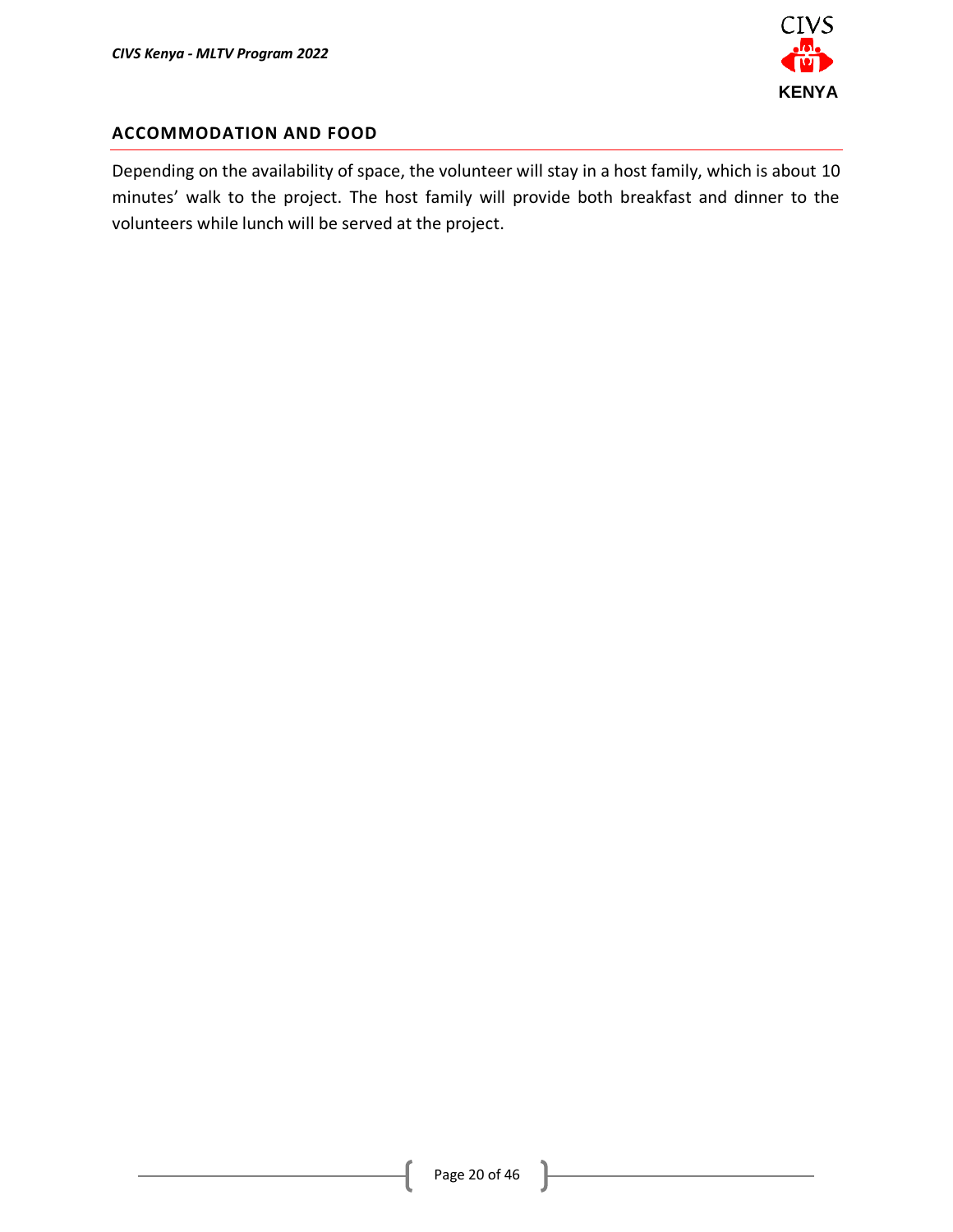

### **ACCOMMODATION AND FOOD**

Depending on the availability of space, the volunteer will stay in a host family, which is about 10 minutes' walk to the project. The host family will provide both breakfast and dinner to the volunteers while lunch will be served at the project.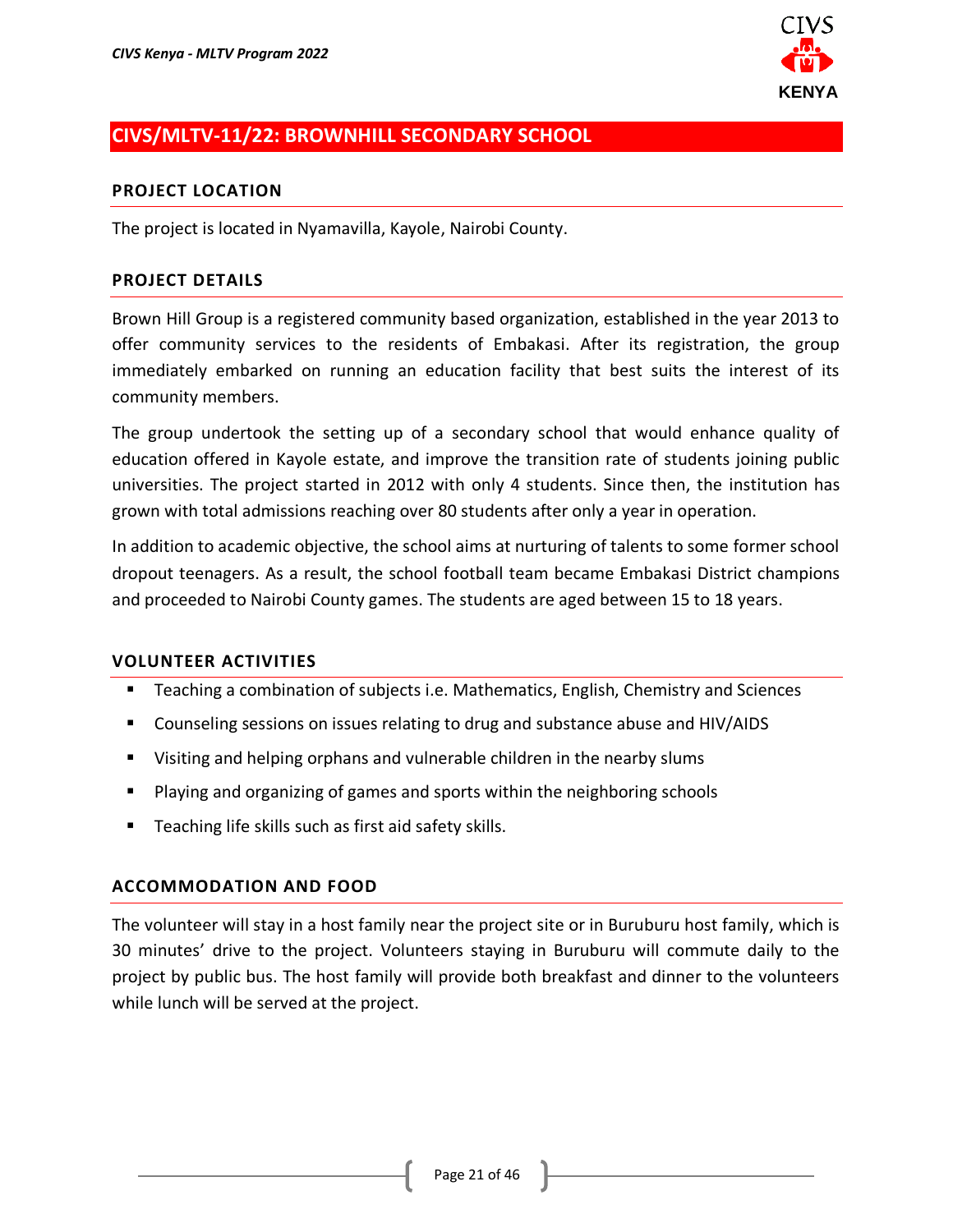

# <span id="page-20-0"></span>**CIVS/MLTV-11/22: BROWNHILL SECONDARY SCHOOL**

#### **PROJECT LOCATION**

The project is located in Nyamavilla, Kayole, Nairobi County.

#### **PROJECT DETAILS**

Brown Hill Group is a registered community based organization, established in the year 2013 to offer community services to the residents of Embakasi. After its registration, the group immediately embarked on running an education facility that best suits the interest of its community members.

The group undertook the setting up of a secondary school that would enhance quality of education offered in Kayole estate, and improve the transition rate of students joining public universities. The project started in 2012 with only 4 students. Since then, the institution has grown with total admissions reaching over 80 students after only a year in operation.

In addition to academic objective, the school aims at nurturing of talents to some former school dropout teenagers. As a result, the school football team became Embakasi District champions and proceeded to Nairobi County games. The students are aged between 15 to 18 years.

#### **VOLUNTEER ACTIVITIES**

- Teaching a combination of subjects i.e. Mathematics, English, Chemistry and Sciences
- Counseling sessions on issues relating to drug and substance abuse and HIV/AIDS
- Visiting and helping orphans and vulnerable children in the nearby slums
- Playing and organizing of games and sports within the neighboring schools
- Teaching life skills such as first aid safety skills.

#### **ACCOMMODATION AND FOOD**

The volunteer will stay in a host family near the project site or in Buruburu host family, which is 30 minutes' drive to the project. Volunteers staying in Buruburu will commute daily to the project by public bus. The host family will provide both breakfast and dinner to the volunteers while lunch will be served at the project.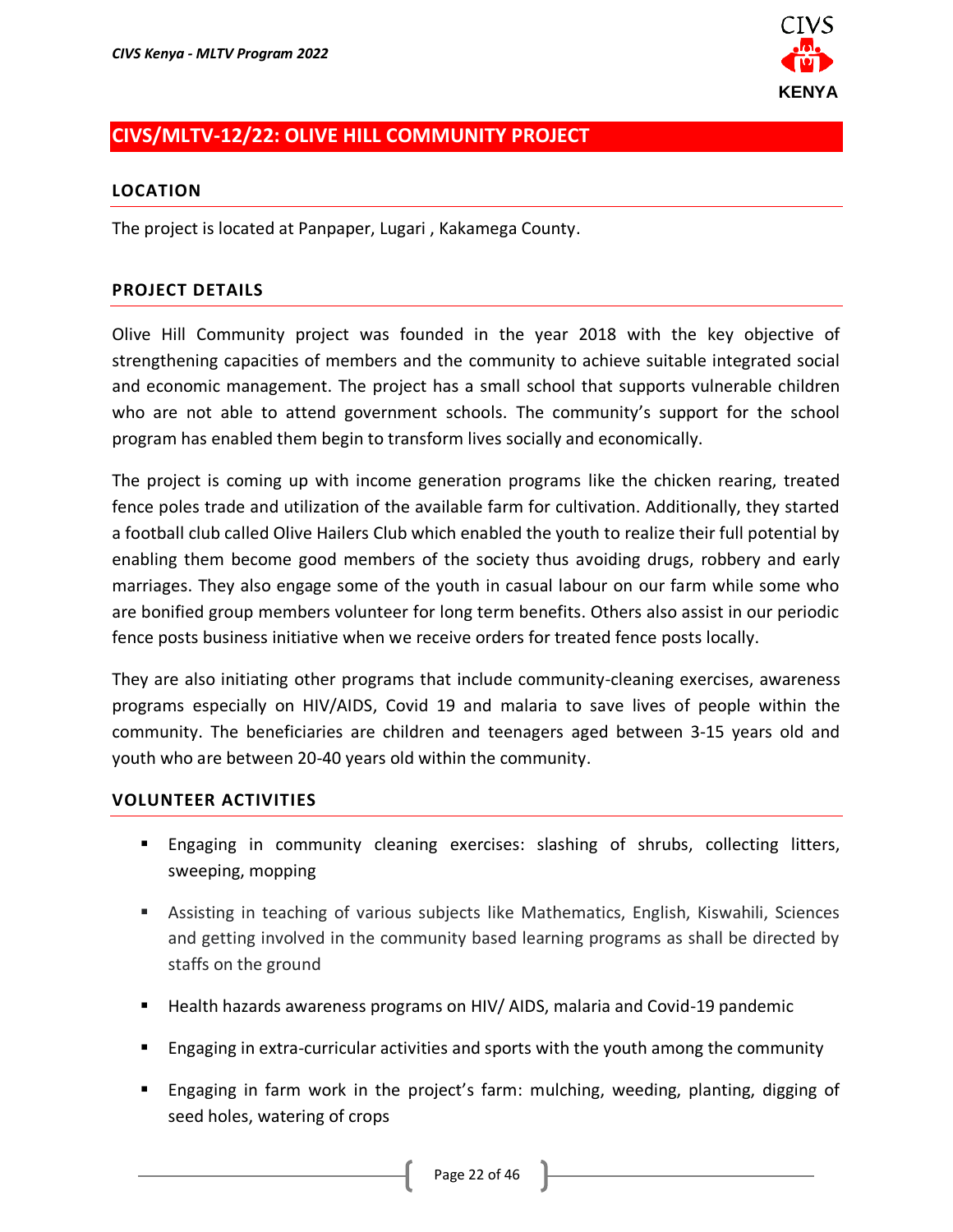

# <span id="page-21-0"></span>**CIVS/MLTV-12/22: OLIVE HILL COMMUNITY PROJECT**

#### **LOCATION**

The project is located at Panpaper, Lugari , Kakamega County.

### **PROJECT DETAILS**

Olive Hill Community project was founded in the year 2018 with the key objective of strengthening capacities of members and the community to achieve suitable integrated social and economic management. The project has a small school that supports vulnerable children who are not able to attend government schools. The community's support for the school program has enabled them begin to transform lives socially and economically.

The project is coming up with income generation programs like the chicken rearing, treated fence poles trade and utilization of the available farm for cultivation. Additionally, they started a football club called Olive Hailers Club which enabled the youth to realize their full potential by enabling them become good members of the society thus avoiding drugs, robbery and early marriages. They also engage some of the youth in casual labour on our farm while some who are bonified group members volunteer for long term benefits. Others also assist in our periodic fence posts business initiative when we receive orders for treated fence posts locally.

They are also initiating other programs that include community-cleaning exercises, awareness programs especially on HIV/AIDS, Covid 19 and malaria to save lives of people within the community. The beneficiaries are children and teenagers aged between 3-15 years old and youth who are between 20-40 years old within the community.

- Engaging in community cleaning exercises: slashing of shrubs, collecting litters, sweeping, mopping
- Assisting in teaching of various subjects like Mathematics, English, Kiswahili, Sciences and getting involved in the community based learning programs as shall be directed by staffs on the ground
- Health hazards awareness programs on HIV/ AIDS, malaria and Covid-19 pandemic
- Engaging in extra-curricular activities and sports with the youth among the community
- Engaging in farm work in the project's farm: mulching, weeding, planting, digging of seed holes, watering of crops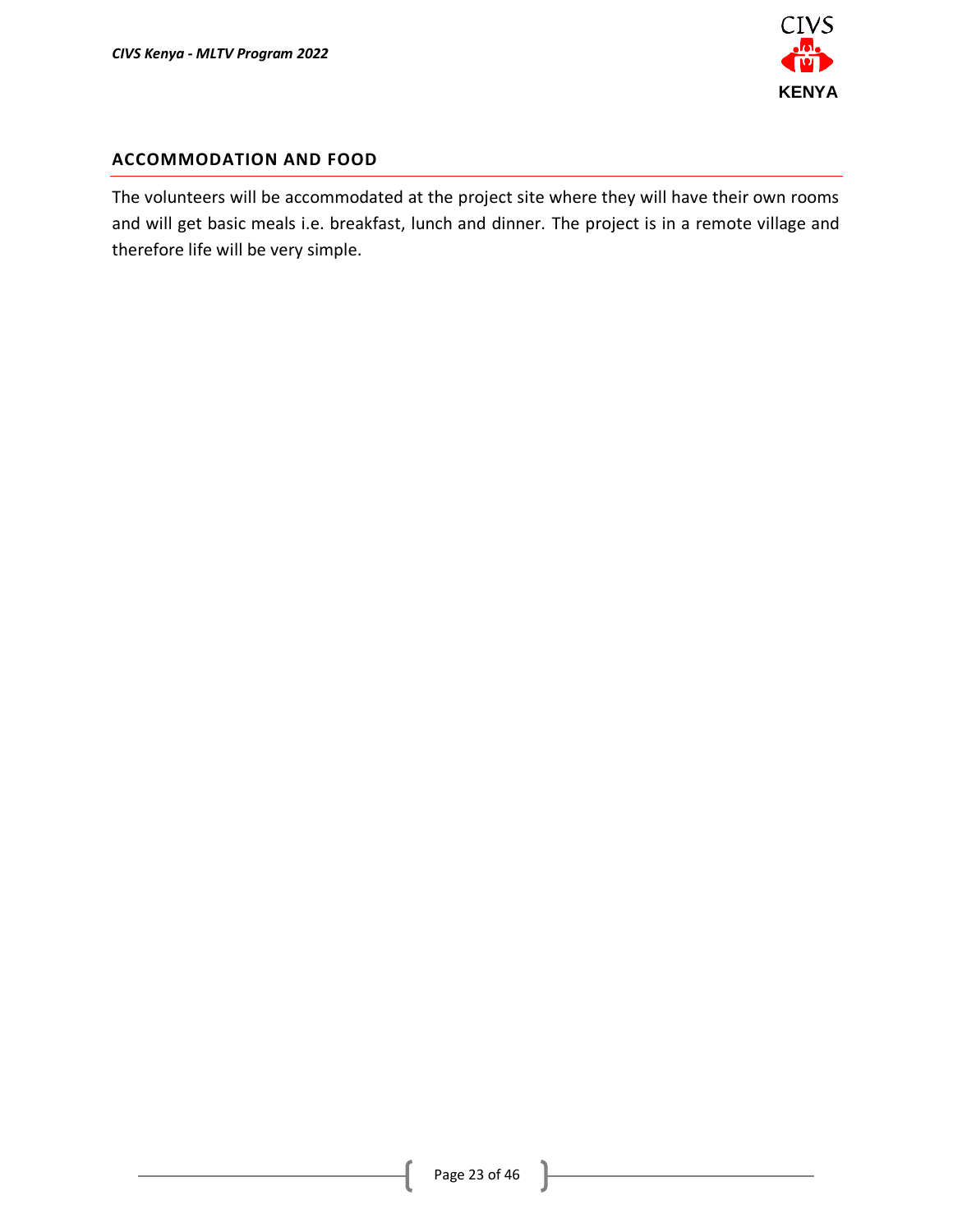

#### **ACCOMMODATION AND FOOD**

The volunteers will be accommodated at the project site where they will have their own rooms and will get basic meals i.e. breakfast, lunch and dinner. The project is in a remote village and therefore life will be very simple.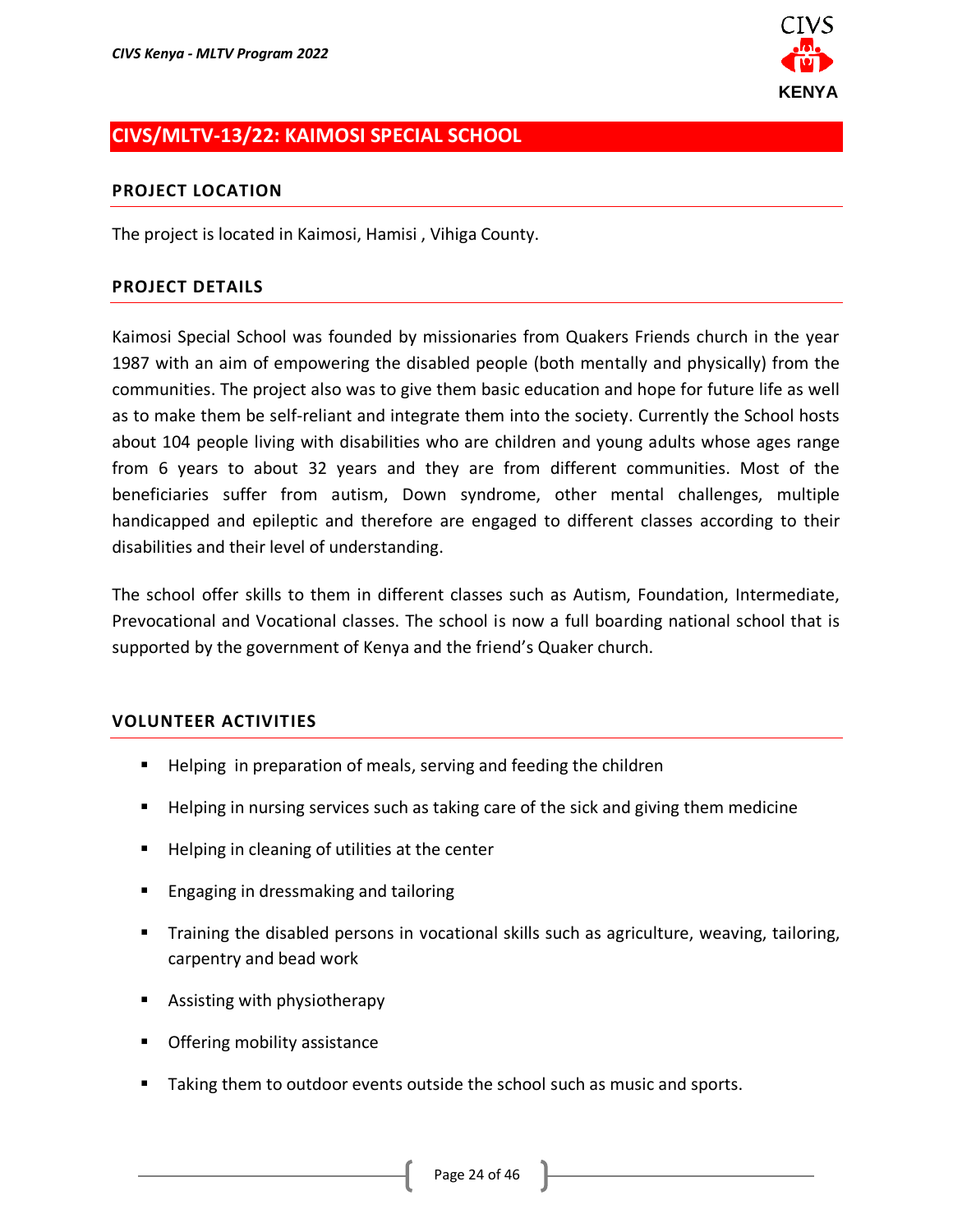

# <span id="page-23-0"></span>**CIVS/MLTV-13/22: KAIMOSI SPECIAL SCHOOL**

#### **PROJECT LOCATION**

The project is located in Kaimosi, Hamisi , Vihiga County.

#### **PROJECT DETAILS**

Kaimosi Special School was founded by missionaries from Quakers Friends church in the year 1987 with an aim of empowering the disabled people (both mentally and physically) from the communities. The project also was to give them basic education and hope for future life as well as to make them be self-reliant and integrate them into the society. Currently the School hosts about 104 people living with disabilities who are children and young adults whose ages range from 6 years to about 32 years and they are from different communities. Most of the beneficiaries suffer from autism, Down syndrome, other mental challenges, multiple handicapped and epileptic and therefore are engaged to different classes according to their disabilities and their level of understanding.

The school offer skills to them in different classes such as Autism, Foundation, Intermediate, Prevocational and Vocational classes. The school is now a full boarding national school that is supported by the government of Kenya and the friend's Quaker church.

- Helping in preparation of meals, serving and feeding the children
- Helping in nursing services such as taking care of the sick and giving them medicine
- Helping in cleaning of utilities at the center
- Engaging in dressmaking and tailoring
- Training the disabled persons in vocational skills such as agriculture, weaving, tailoring, carpentry and bead work
- Assisting with physiotherapy
- Offering mobility assistance
- Taking them to outdoor events outside the school such as music and sports.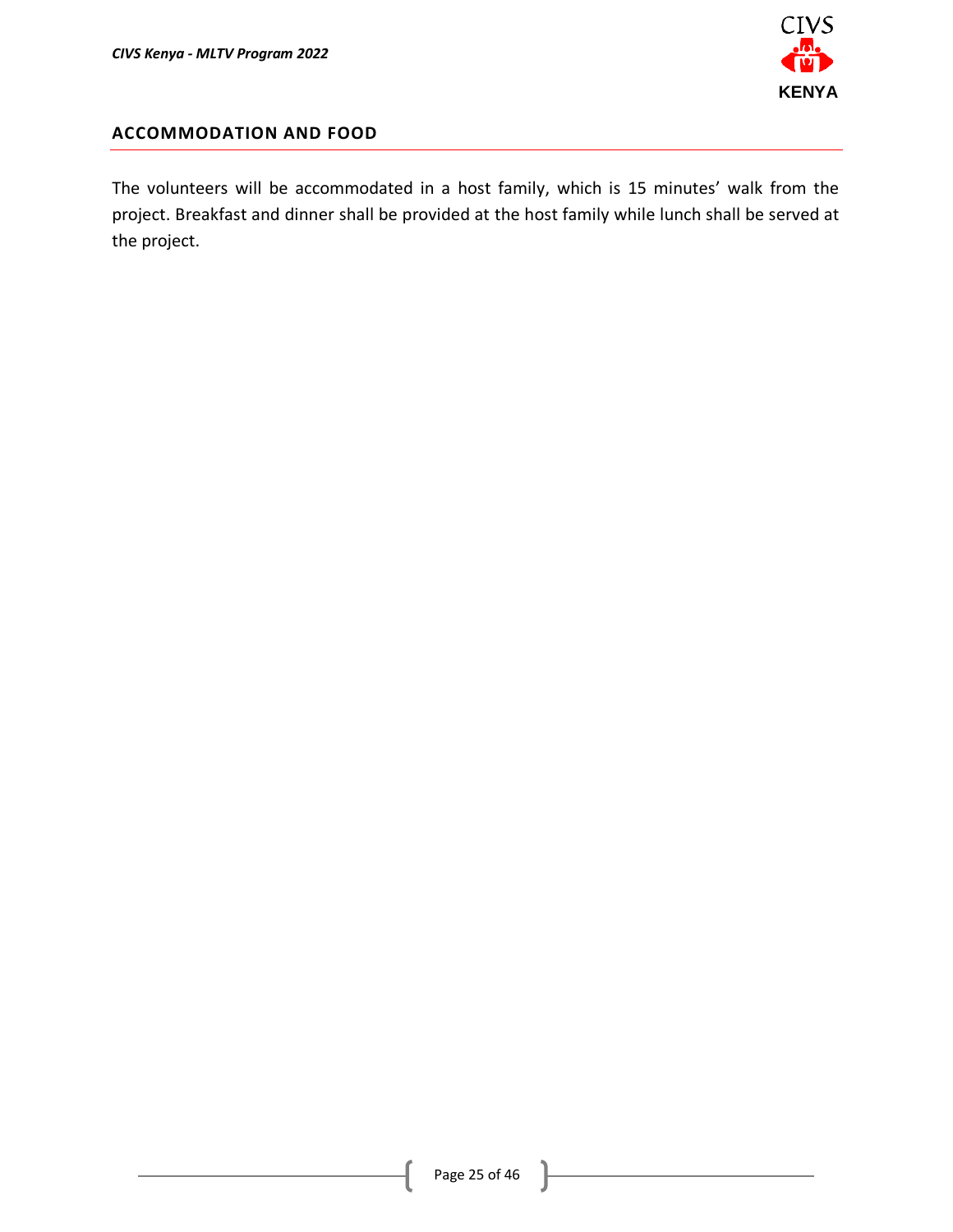

### **ACCOMMODATION AND FOOD**

The volunteers will be accommodated in a host family, which is 15 minutes' walk from the project. Breakfast and dinner shall be provided at the host family while lunch shall be served at the project.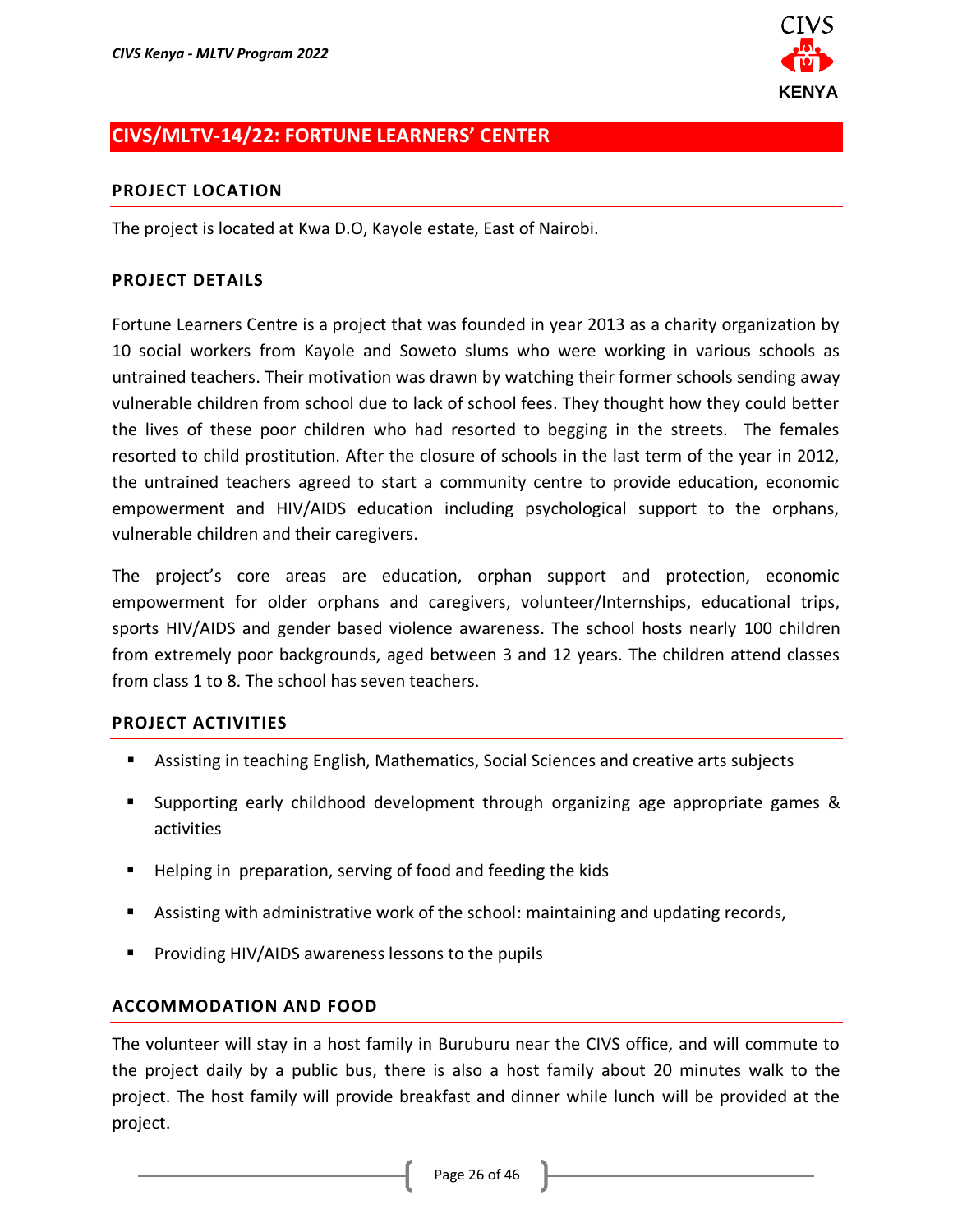

# <span id="page-25-0"></span>**CIVS/MLTV-14/22: FORTUNE LEARNERS' CENTER**

### **PROJECT LOCATION**

The project is located at Kwa D.O, Kayole estate, East of Nairobi.

### **PROJECT DETAILS**

Fortune Learners Centre is a project that was founded in year 2013 as a charity organization by 10 social workers from Kayole and Soweto slums who were working in various schools as untrained teachers. Their motivation was drawn by watching their former schools sending away vulnerable children from school due to lack of school fees. They thought how they could better the lives of these poor children who had resorted to begging in the streets. The females resorted to child prostitution. After the closure of schools in the last term of the year in 2012, the untrained teachers agreed to start a community centre to provide education, economic empowerment and HIV/AIDS education including psychological support to the orphans, vulnerable children and their caregivers.

The project's core areas are education, orphan support and protection, economic empowerment for older orphans and caregivers, volunteer/Internships, educational trips, sports HIV/AIDS and gender based violence awareness. The school hosts nearly 100 children from extremely poor backgrounds, aged between 3 and 12 years. The children attend classes from class 1 to 8. The school has seven teachers.

#### **PROJECT ACTIVITIES**

- Assisting in teaching English, Mathematics, Social Sciences and creative arts subjects
- Supporting early childhood development through organizing age appropriate games & activities
- Helping in preparation, serving of food and feeding the kids
- Assisting with administrative work of the school: maintaining and updating records,
- Providing HIV/AIDS awareness lessons to the pupils

### **ACCOMMODATION AND FOOD**

The volunteer will stay in a host family in Buruburu near the CIVS office, and will commute to the project daily by a public bus, there is also a host family about 20 minutes walk to the project. The host family will provide breakfast and dinner while lunch will be provided at the project.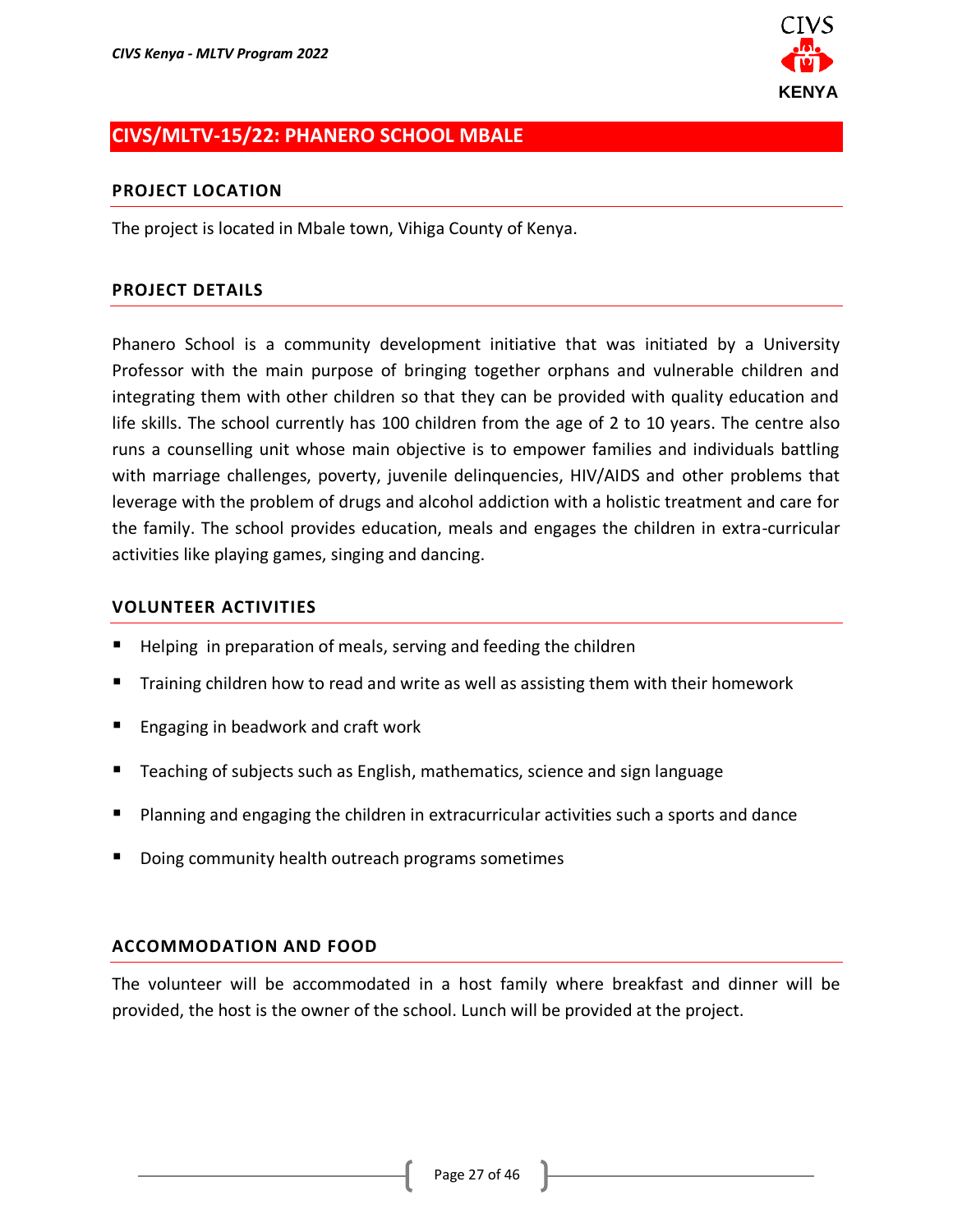

# <span id="page-26-0"></span>**CIVS/MLTV-15/22: PHANERO SCHOOL MBALE**

#### **PROJECT LOCATION**

The project is located in Mbale town, Vihiga County of Kenya.

### **PROJECT DETAILS**

Phanero School is a community development initiative that was initiated by a University Professor with the main purpose of bringing together orphans and vulnerable children and integrating them with other children so that they can be provided with quality education and life skills. The school currently has 100 children from the age of 2 to 10 years. The centre also runs a counselling unit whose main objective is to empower families and individuals battling with marriage challenges, poverty, juvenile delinquencies, HIV/AIDS and other problems that leverage with the problem of drugs and alcohol addiction with a holistic treatment and care for the family. The school provides education, meals and engages the children in extra-curricular activities like playing games, singing and dancing.

#### **VOLUNTEER ACTIVITIES**

- Helping in preparation of meals, serving and feeding the children
- Training children how to read and write as well as assisting them with their homework
- Engaging in beadwork and craft work
- Teaching of subjects such as English, mathematics, science and sign language
- Planning and engaging the children in extracurricular activities such a sports and dance
- Doing community health outreach programs sometimes

#### **ACCOMMODATION AND FOOD**

The volunteer will be accommodated in a host family where breakfast and dinner will be provided, the host is the owner of the school. Lunch will be provided at the project.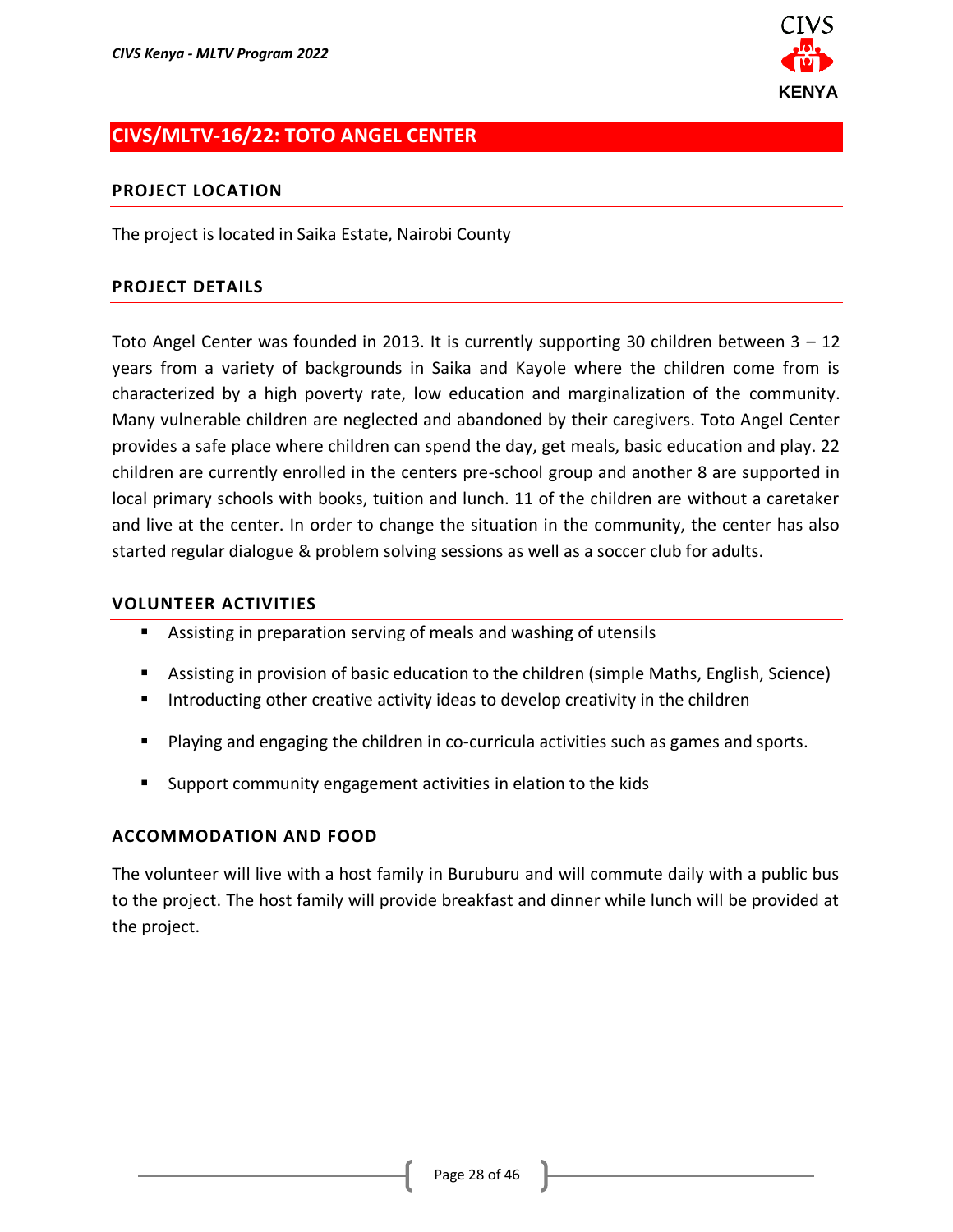

# <span id="page-27-0"></span>**CIVS/MLTV-16/22: TOTO ANGEL CENTER**

#### **PROJECT LOCATION**

The project is located in Saika Estate, Nairobi County

### **PROJECT DETAILS**

Toto Angel Center was founded in 2013. It is currently supporting 30 children between 3 – 12 years from a variety of backgrounds in Saika and Kayole where the children come from is characterized by a high poverty rate, low education and marginalization of the community. Many vulnerable children are neglected and abandoned by their caregivers. Toto Angel Center provides a safe place where children can spend the day, get meals, basic education and play. 22 children are currently enrolled in the centers pre-school group and another 8 are supported in local primary schools with books, tuition and lunch. 11 of the children are without a caretaker and live at the center. In order to change the situation in the community, the center has also started regular dialogue & problem solving sessions as well as a soccer club for adults.

#### **VOLUNTEER ACTIVITIES**

- Assisting in preparation serving of meals and washing of utensils
- Assisting in provision of basic education to the children (simple Maths, English, Science)
- Introducting other creative activity ideas to develop creativity in the children
- Playing and engaging the children in co-curricula activities such as games and sports.
- Support community engagement activities in elation to the kids

#### **ACCOMMODATION AND FOOD**

The volunteer will live with a host family in Buruburu and will commute daily with a public bus to the project. The host family will provide breakfast and dinner while lunch will be provided at the project.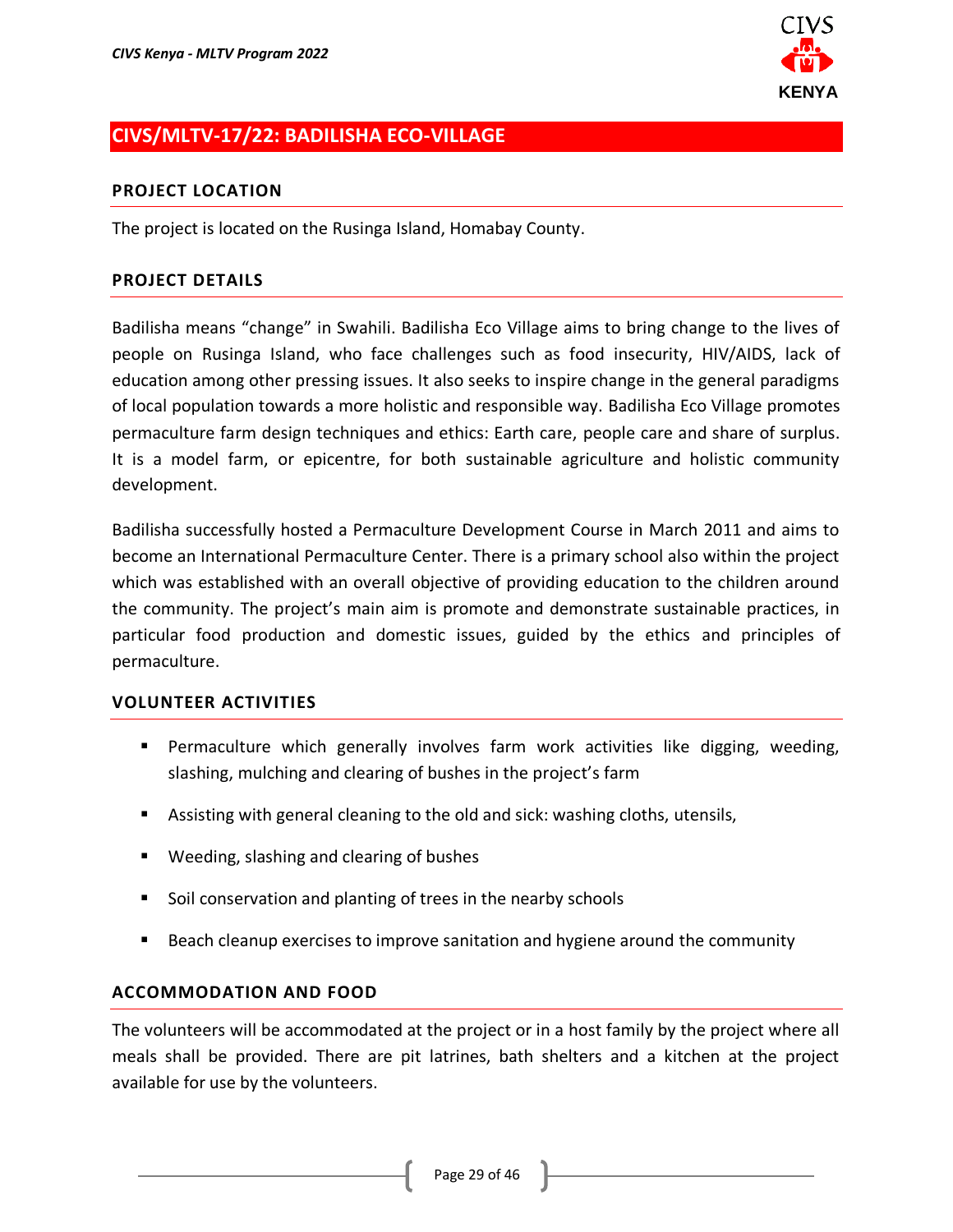

# <span id="page-28-0"></span>**CIVS/MLTV-17/22: BADILISHA ECO-VILLAGE**

#### **PROJECT LOCATION**

The project is located on the Rusinga Island, Homabay County.

#### **PROJECT DETAILS**

Badilisha means "change" in Swahili. Badilisha Eco Village aims to bring change to the lives of people on Rusinga Island, who face challenges such as food insecurity, HIV/AIDS, lack of education among other pressing issues. It also seeks to inspire change in the general paradigms of local population towards a more holistic and responsible way. Badilisha Eco Village promotes permaculture farm design techniques and ethics: Earth care, people care and share of surplus. It is a model farm, or epicentre, for both sustainable agriculture and holistic community development.

Badilisha successfully hosted a Permaculture Development Course in March 2011 and aims to become an International Permaculture Center. There is a primary school also within the project which was established with an overall objective of providing education to the children around the community. The project's main aim is promote and demonstrate sustainable practices, in particular food production and domestic issues, guided by the ethics and principles of permaculture.

#### **VOLUNTEER ACTIVITIES**

- Permaculture which generally involves farm work activities like digging, weeding, slashing, mulching and clearing of bushes in the project's farm
- Assisting with general cleaning to the old and sick: washing cloths, utensils,
- Weeding, slashing and clearing of bushes
- Soil conservation and planting of trees in the nearby schools
- Beach cleanup exercises to improve sanitation and hygiene around the community

#### **ACCOMMODATION AND FOOD**

The volunteers will be accommodated at the project or in a host family by the project where all meals shall be provided. There are pit latrines, bath shelters and a kitchen at the project available for use by the volunteers.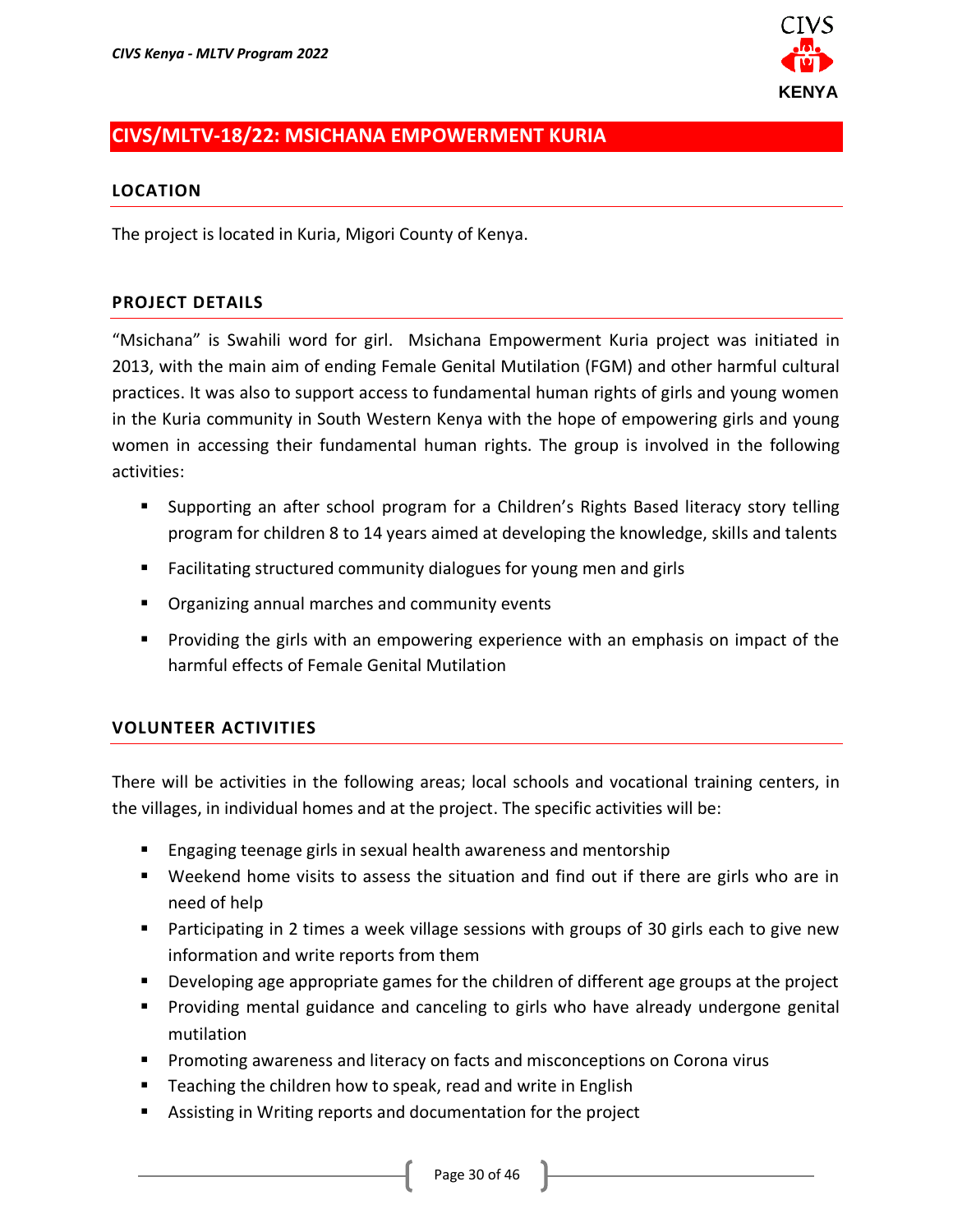

# <span id="page-29-0"></span>**CIVS/MLTV-18/22: MSICHANA EMPOWERMENT KURIA**

#### **LOCATION**

The project is located in Kuria, Migori County of Kenya.

#### **PROJECT DETAILS**

"Msichana" is Swahili word for girl. Msichana Empowerment Kuria project was initiated in 2013, with the main aim of ending Female Genital Mutilation (FGM) and other harmful cultural practices. It was also to support access to fundamental human rights of girls and young women in the Kuria community in South Western Kenya with the hope of empowering girls and young women in accessing their fundamental human rights. The group is involved in the following activities:

- Supporting an after school program for a Children's Rights Based literacy story telling program for children 8 to 14 years aimed at developing the knowledge, skills and talents
- Facilitating structured community dialogues for young men and girls
- Organizing annual marches and community events
- Providing the girls with an empowering experience with an emphasis on impact of the harmful effects of Female Genital Mutilation

### **VOLUNTEER ACTIVITIES**

There will be activities in the following areas; local schools and vocational training centers, in the villages, in individual homes and at the project. The specific activities will be:

- Engaging teenage girls in sexual health awareness and mentorship
- Weekend home visits to assess the situation and find out if there are girls who are in need of help
- Participating in 2 times a week village sessions with groups of 30 girls each to give new information and write reports from them
- Developing age appropriate games for the children of different age groups at the project
- Providing mental guidance and canceling to girls who have already undergone genital mutilation
- Promoting awareness and literacy on facts and misconceptions on Corona virus
- Teaching the children how to speak, read and write in English
- Assisting in Writing reports and documentation for the project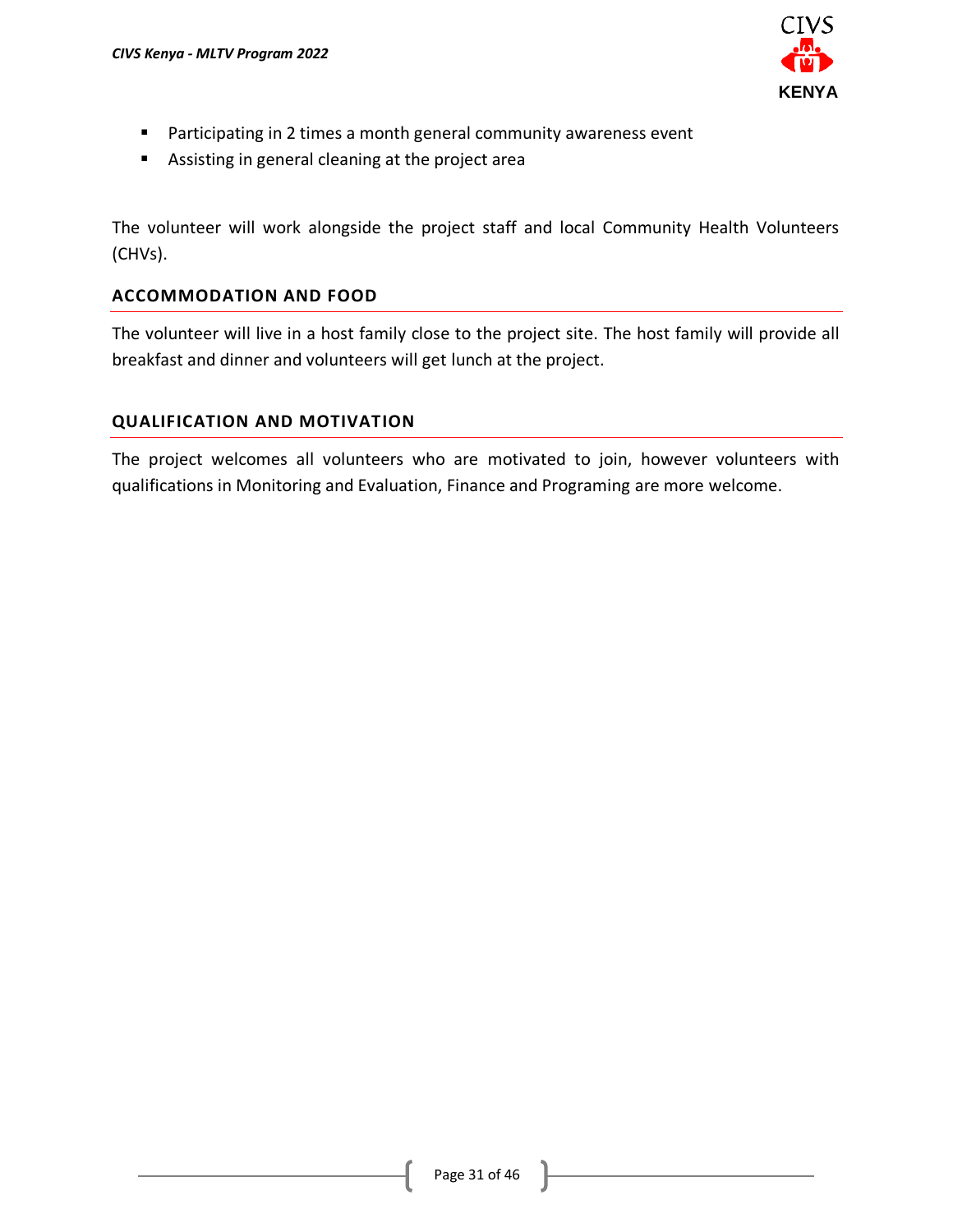

- Participating in 2 times a month general community awareness event
- Assisting in general cleaning at the project area

The volunteer will work alongside the project staff and local Community Health Volunteers (CHVs).

### **ACCOMMODATION AND FOOD**

The volunteer will live in a host family close to the project site. The host family will provide all breakfast and dinner and volunteers will get lunch at the project.

#### **QUALIFICATION AND MOTIVATION**

The project welcomes all volunteers who are motivated to join, however volunteers with qualifications in Monitoring and Evaluation, Finance and Programing are more welcome.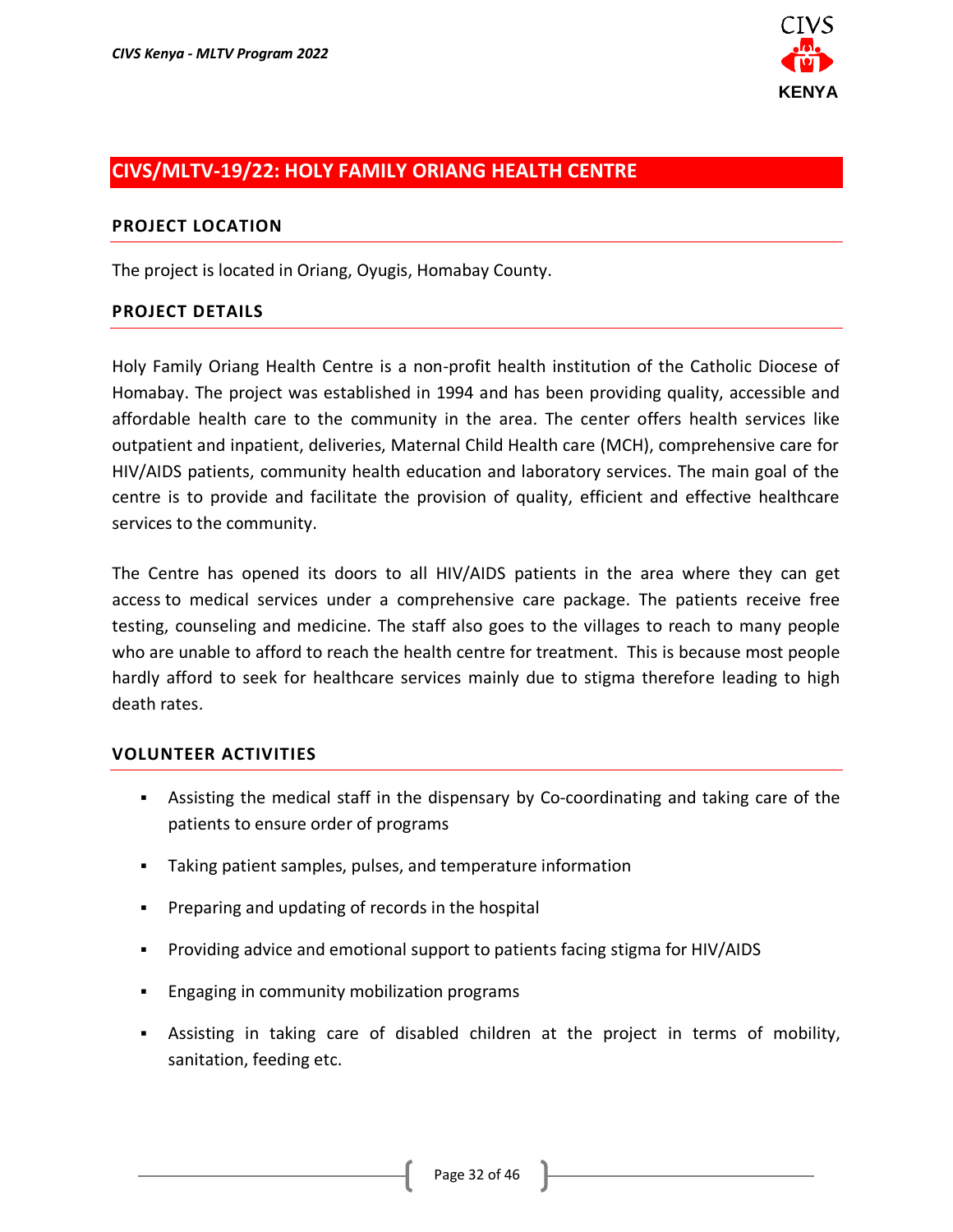

### <span id="page-31-0"></span>**CIVS/MLTV-19/22: HOLY FAMILY ORIANG HEALTH CENTRE**

### **PROJECT LOCATION**

The project is located in Oriang, Oyugis, Homabay County.

### **PROJECT DETAILS**

Holy Family Oriang Health Centre is a non-profit health institution of the Catholic Diocese of Homabay. The project was established in 1994 and has been providing quality, accessible and affordable health care to the community in the area. The center offers health services like outpatient and inpatient, deliveries, Maternal Child Health care (MCH), comprehensive care for HIV/AIDS patients, community health education and laboratory services. The main goal of the centre is to provide and facilitate the provision of quality, efficient and effective healthcare services to the community.

The Centre has opened its doors to all HIV/AIDS patients in the area where they can get access to medical services under a comprehensive care package. The patients receive free testing, counseling and medicine. The staff also goes to the villages to reach to many people who are unable to afford to reach the health centre for treatment. This is because most people hardly afford to seek for healthcare services mainly due to stigma therefore leading to high death rates.

- **EXED** Assisting the medical staff in the dispensary by Co-coordinating and taking care of the patients to ensure order of programs
- Taking patient samples, pulses, and temperature information
- Preparing and updating of records in the hospital
- Providing advice and emotional support to patients facing stigma for HIV/AIDS
- Engaging in community mobilization programs
- **EXEL Assisting in taking care of disabled children at the project in terms of mobility,** sanitation, feeding etc.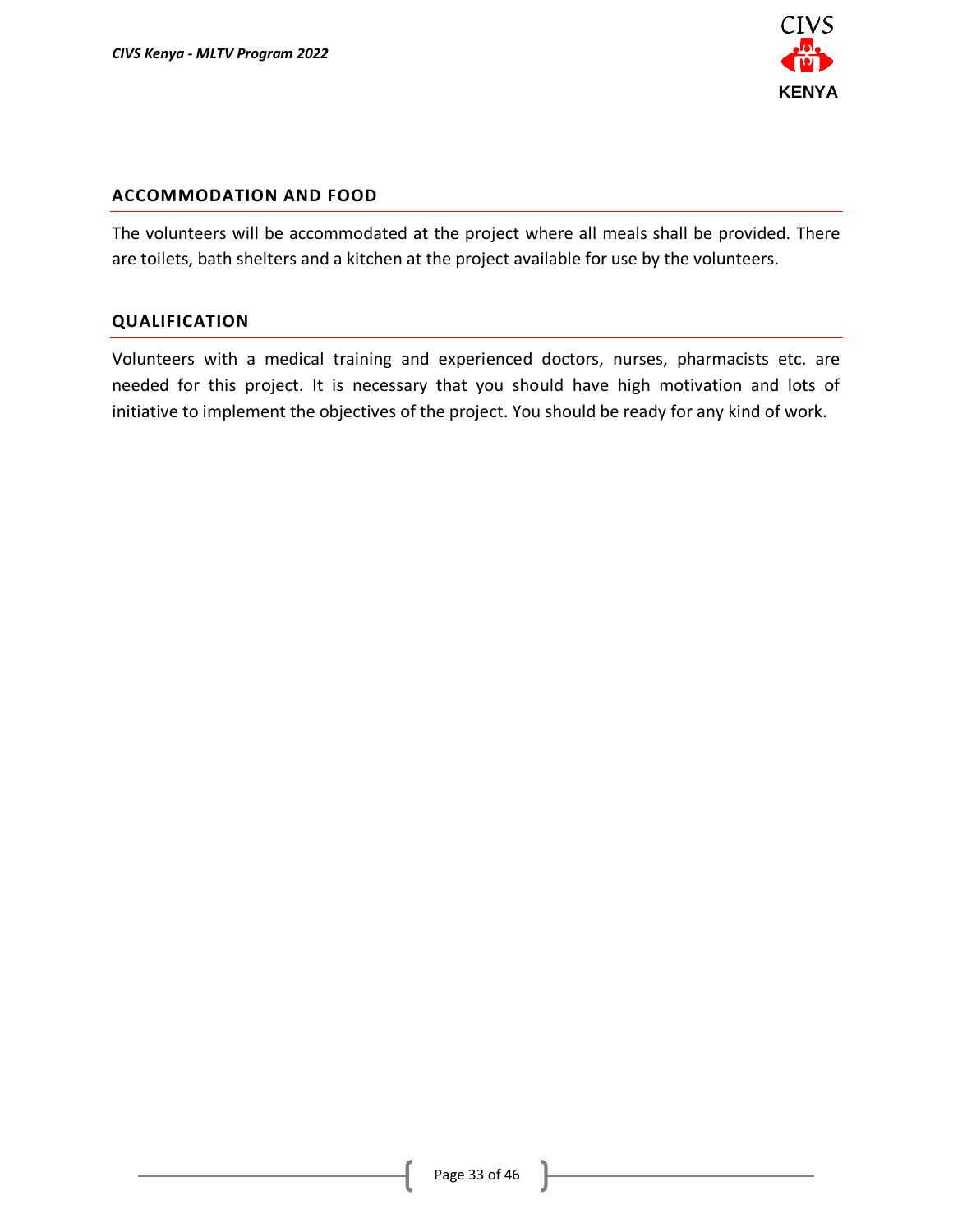

#### **ACCOMMODATION AND FOOD**

The volunteers will be accommodated at the project where all meals shall be provided. There are toilets, bath shelters and a kitchen at the project available for use by the volunteers.

#### **QUALIFICATION**

Volunteers with a medical training and experienced doctors, nurses, pharmacists etc. are needed for this project. It is necessary that you should have high motivation and lots of initiative to implement the objectives of the project. You should be ready for any kind of work.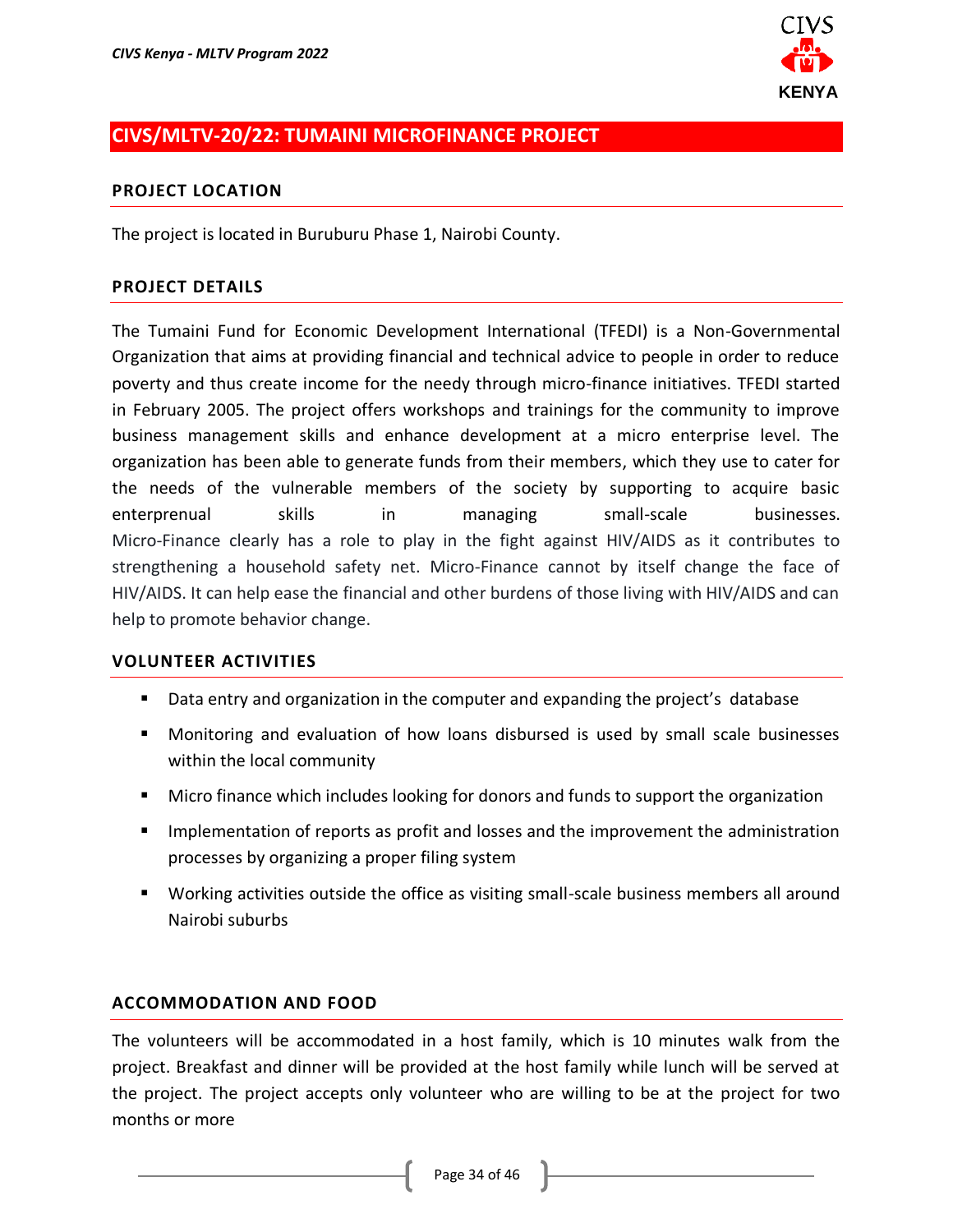

# <span id="page-33-0"></span>**CIVS/MLTV-20/22: TUMAINI MICROFINANCE PROJECT**

#### **PROJECT LOCATION**

The project is located in Buruburu Phase 1, Nairobi County.

#### **PROJECT DETAILS**

The Tumaini Fund for Economic Development International (TFEDI) is a Non-Governmental Organization that aims at providing financial and technical advice to people in order to reduce poverty and thus create income for the needy through micro-finance initiatives. TFEDI started in February 2005. The project offers workshops and trainings for the community to improve business management skills and enhance development at a micro enterprise level. The organization has been able to generate funds from their members, which they use to cater for the needs of the vulnerable members of the society by supporting to acquire basic enterprenual skills in managing small-scale businesses. Micro-Finance clearly has a role to play in the fight against HIV/AIDS as it contributes to strengthening a household safety net. Micro-Finance cannot by itself change the face of HIV/AIDS. It can help ease the financial and other burdens of those living with HIV/AIDS and can help to promote behavior change.

#### **VOLUNTEER ACTIVITIES**

- Data entry and organization in the computer and expanding the project's database
- Monitoring and evaluation of how loans disbursed is used by small scale businesses within the local community
- Micro finance which includes looking for donors and funds to support the organization
- **■** Implementation of reports as profit and losses and the improvement the administration processes by organizing a proper filing system
- Working activities outside the office as visiting small-scale business members all around Nairobi suburbs

#### **ACCOMMODATION AND FOOD**

The volunteers will be accommodated in a host family, which is 10 minutes walk from the project. Breakfast and dinner will be provided at the host family while lunch will be served at the project. The project accepts only volunteer who are willing to be at the project for two months or more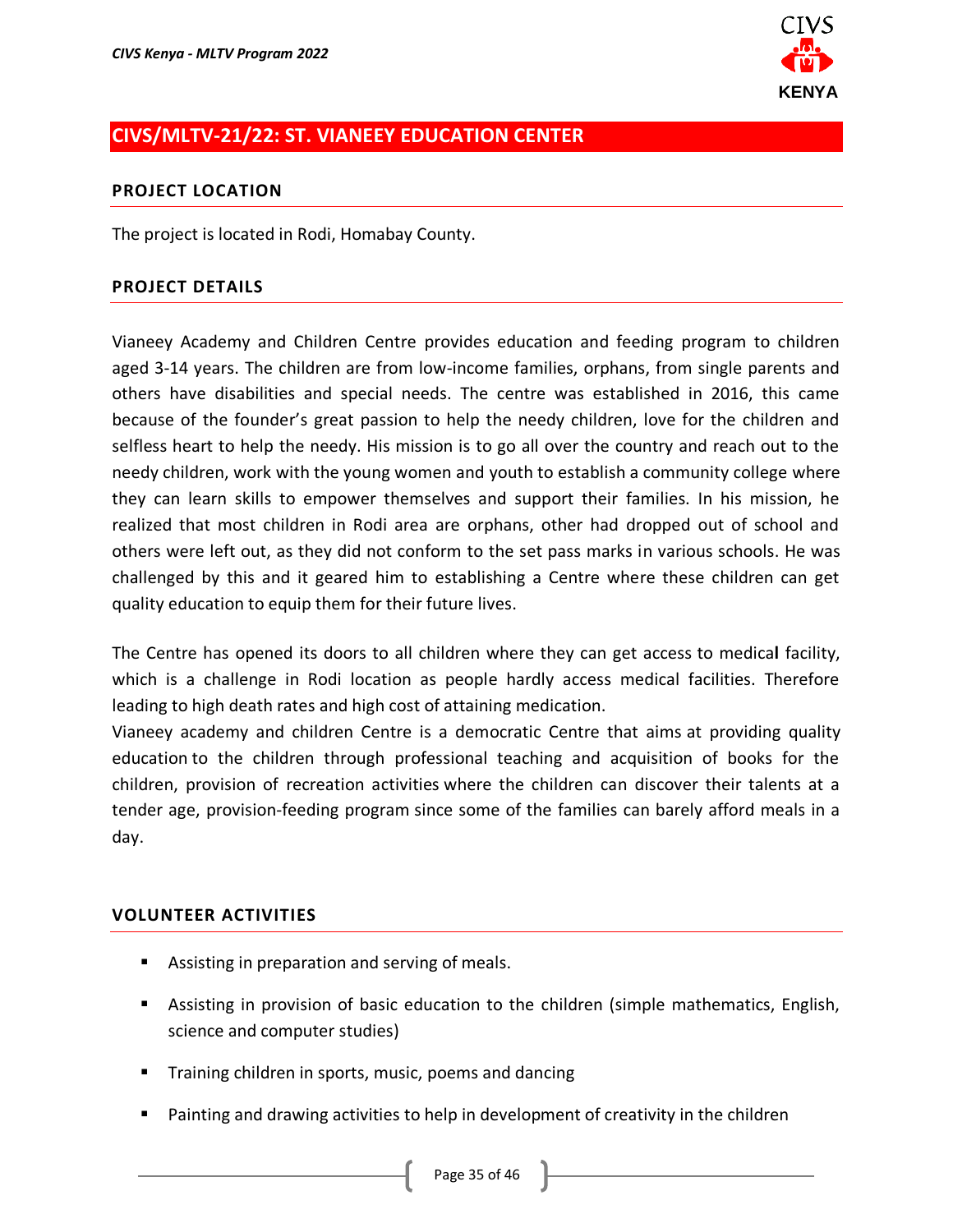

### <span id="page-34-0"></span>**CIVS/MLTV-21/22: ST. VIANEEY EDUCATION CENTER**

#### **PROJECT LOCATION**

The project is located in Rodi, Homabay County.

#### **PROJECT DETAILS**

Vianeey Academy and Children Centre provides education and feeding program to children aged 3-14 years. The children are from low-income families, orphans, from single parents and others have disabilities and special needs. The centre was established in 2016, this came because of the founder's great passion to help the needy children, love for the children and selfless heart to help the needy. His mission is to go all over the country and reach out to the needy children, work with the young women and youth to establish a community college where they can learn skills to empower themselves and support their families. In his mission, he realized that most children in Rodi area are orphans, other had dropped out of school and others were left out, as they did not conform to the set pass marks in various schools. He was challenged by this and it geared him to establishing a Centre where these children can get quality education to equip them for their future lives.

The Centre has opened its doors to all children where they can get access to medica**l** facility, which is a challenge in Rodi location as people hardly access medical facilities. Therefore leading to high death rates and high cost of attaining medication.

Vianeey academy and children Centre is a democratic Centre that aims at providing quality education to the children through professional teaching and acquisition of books for the children, provision of recreation activities where the children can discover their talents at a tender age, provision-feeding program since some of the families can barely afford meals in a day.

- Assisting in preparation and serving of meals.
- Assisting in provision of basic education to the children (simple mathematics, English, science and computer studies)
- **E** Training children in sports, music, poems and dancing
- Painting and drawing activities to help in development of creativity in the children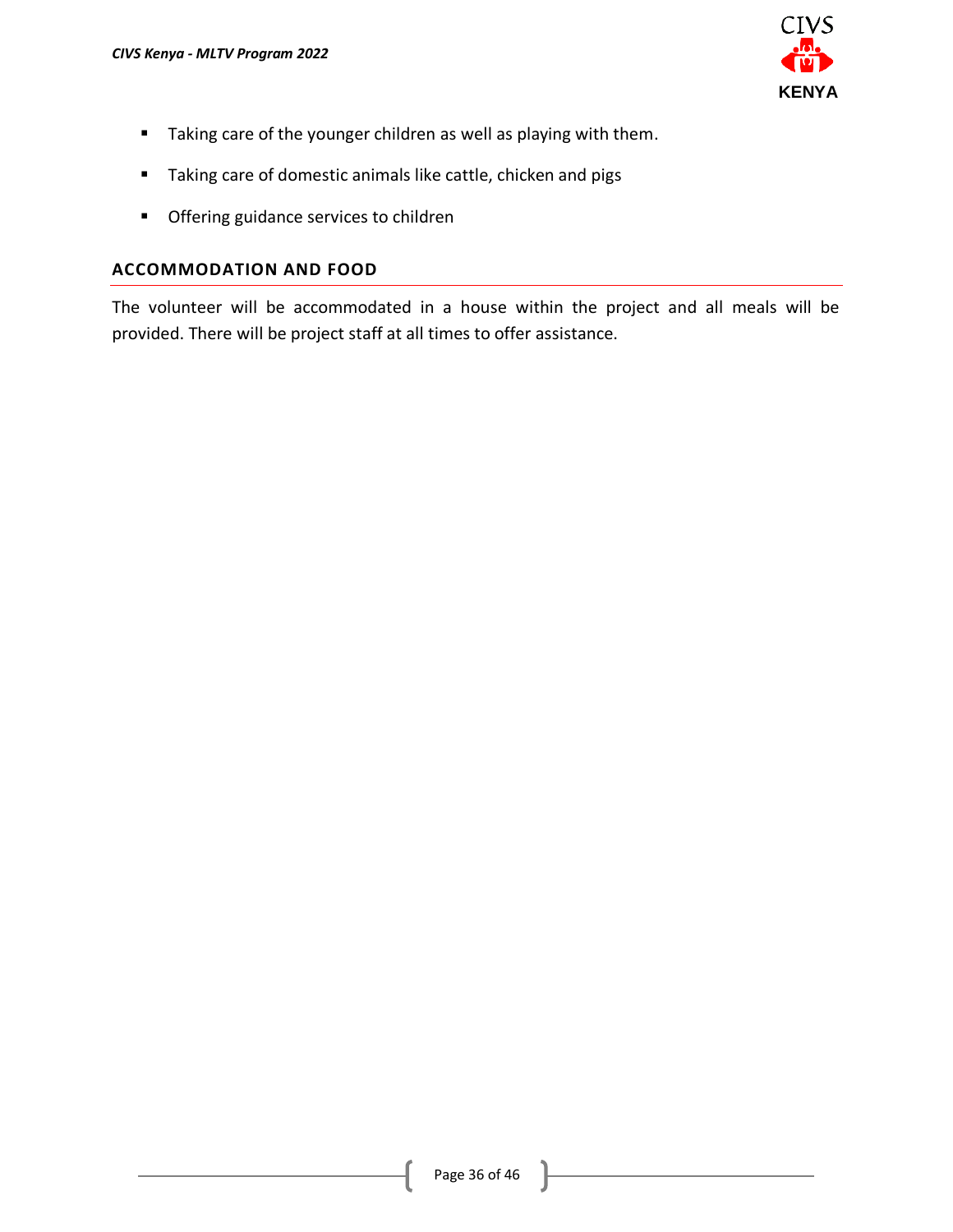

- Taking care of the younger children as well as playing with them.
- Taking care of domestic animals like cattle, chicken and pigs
- Offering guidance services to children

### **ACCOMMODATION AND FOOD**

The volunteer will be accommodated in a house within the project and all meals will be provided. There will be project staff at all times to offer assistance.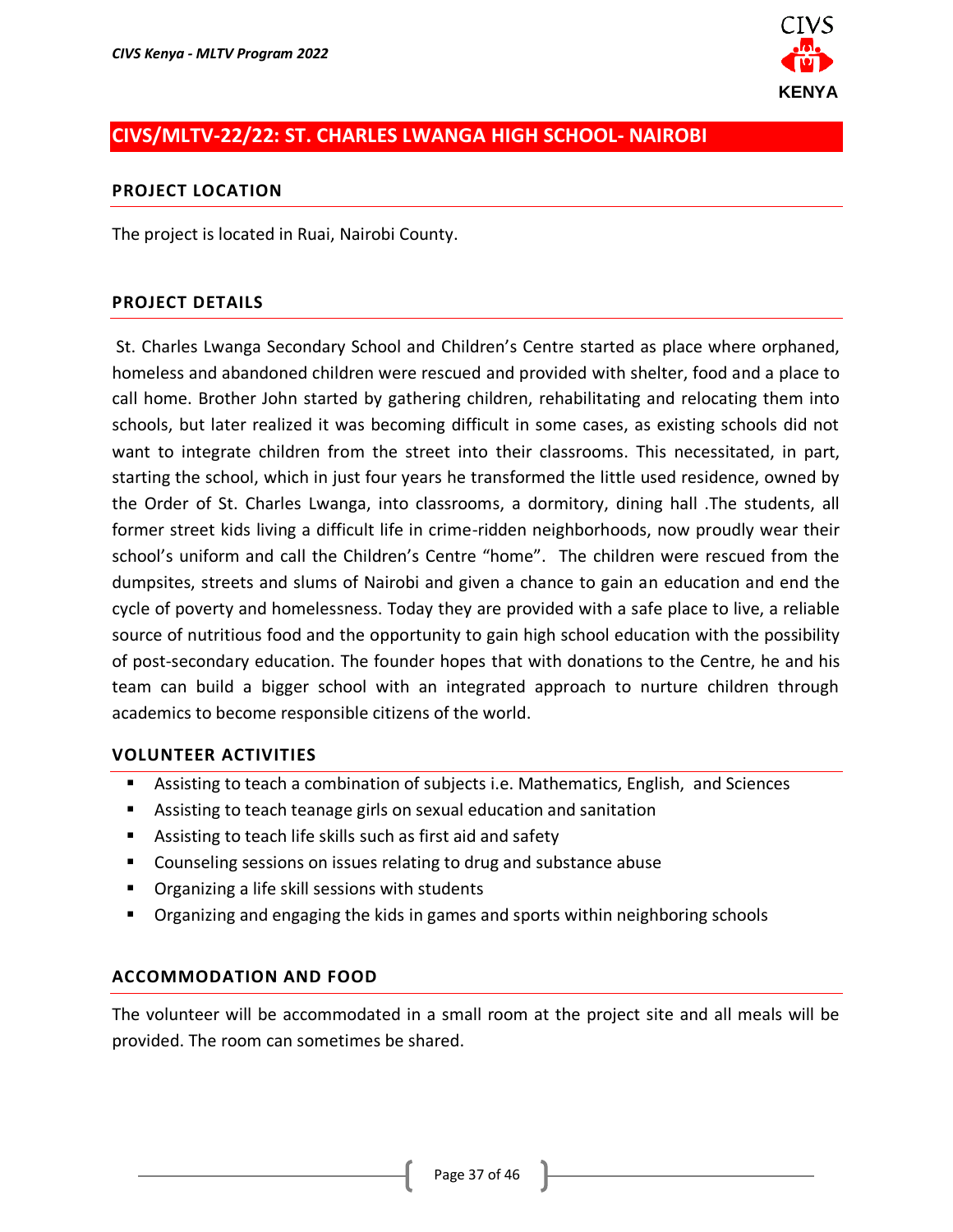

# <span id="page-36-0"></span>**CIVS/MLTV-22/22: ST. CHARLES LWANGA HIGH SCHOOL- NAIROBI**

#### **PROJECT LOCATION**

The project is located in Ruai, Nairobi County.

#### **PROJECT DETAILS**

St. Charles Lwanga Secondary School and Children's Centre started as place where orphaned, homeless and abandoned children were rescued and provided with shelter, food and a place to call home. Brother John started by gathering children, rehabilitating and relocating them into schools, but later realized it was becoming difficult in some cases, as existing schools did not want to integrate children from the street into their classrooms. This necessitated, in part, starting the school, which in just four years he transformed the little used residence, owned by the Order of St. Charles Lwanga, into classrooms, a dormitory, dining hall .The students, all former street kids living a difficult life in crime-ridden neighborhoods, now proudly wear their school's uniform and call the Children's Centre "home". The children were rescued from the dumpsites, streets and slums of Nairobi and given a chance to gain an education and end the cycle of poverty and homelessness. Today they are provided with a safe place to live, a reliable source of nutritious food and the opportunity to gain high school education with the possibility of post-secondary education. The founder hopes that with donations to the Centre, he and his team can build a bigger school with an integrated approach to nurture children through academics to become responsible citizens of the world.

#### **VOLUNTEER ACTIVITIES**

- Assisting to teach a combination of subjects i.e. Mathematics, English, and Sciences
- Assisting to teach teanage girls on sexual education and sanitation
- Assisting to teach life skills such as first aid and safety
- Counseling sessions on issues relating to drug and substance abuse
- Organizing a life skill sessions with students
- Organizing and engaging the kids in games and sports within neighboring schools

#### **ACCOMMODATION AND FOOD**

The volunteer will be accommodated in a small room at the project site and all meals will be provided. The room can sometimes be shared.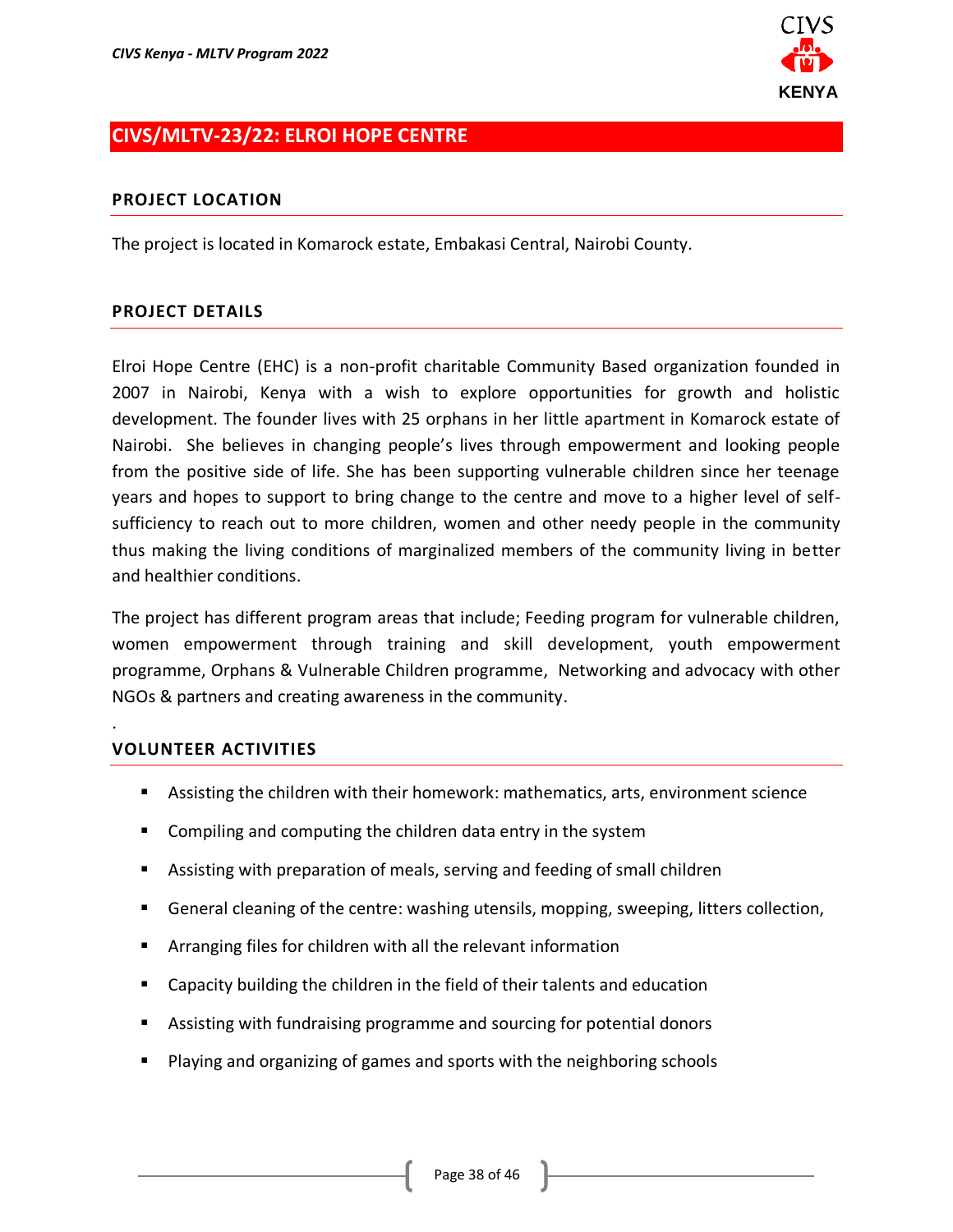

# <span id="page-37-0"></span>**CIVS/MLTV-23/22: ELROI HOPE CENTRE**

### **PROJECT LOCATION**

The project is located in Komarock estate, Embakasi Central, Nairobi County.

### **PROJECT DETAILS**

Elroi Hope Centre (EHC) is a non-profit charitable Community Based organization founded in 2007 in Nairobi, Kenya with a wish to explore opportunities for growth and holistic development. The founder lives with 25 orphans in her little apartment in Komarock estate of Nairobi. She believes in changing people's lives through empowerment and looking people from the positive side of life. She has been supporting vulnerable children since her teenage years and hopes to support to bring change to the centre and move to a higher level of selfsufficiency to reach out to more children, women and other needy people in the community thus making the living conditions of marginalized members of the community living in better and healthier conditions.

The project has different program areas that include; Feeding program for vulnerable children, women empowerment through training and skill development, youth empowerment programme, Orphans & Vulnerable Children programme, Networking and advocacy with other NGOs & partners and creating awareness in the community.

### **VOLUNTEER ACTIVITIES**

.

- Assisting the children with their homework: mathematics, arts, environment science
- Compiling and computing the children data entry in the system
- Assisting with preparation of meals, serving and feeding of small children
- General cleaning of the centre: washing utensils, mopping, sweeping, litters collection,
- Arranging files for children with all the relevant information
- Capacity building the children in the field of their talents and education
- Assisting with fundraising programme and sourcing for potential donors
- Playing and organizing of games and sports with the neighboring schools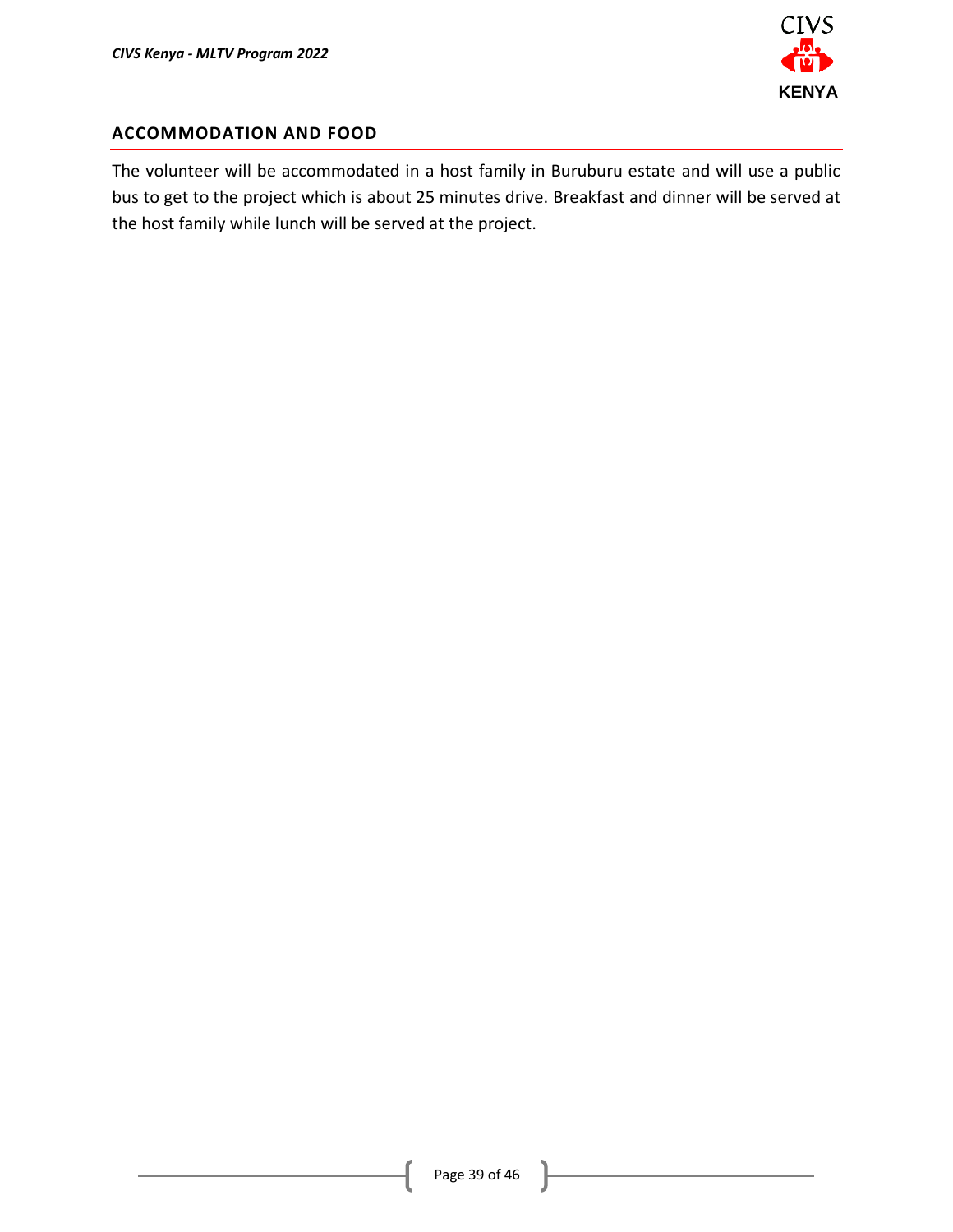

### **ACCOMMODATION AND FOOD**

The volunteer will be accommodated in a host family in Buruburu estate and will use a public bus to get to the project which is about 25 minutes drive. Breakfast and dinner will be served at the host family while lunch will be served at the project.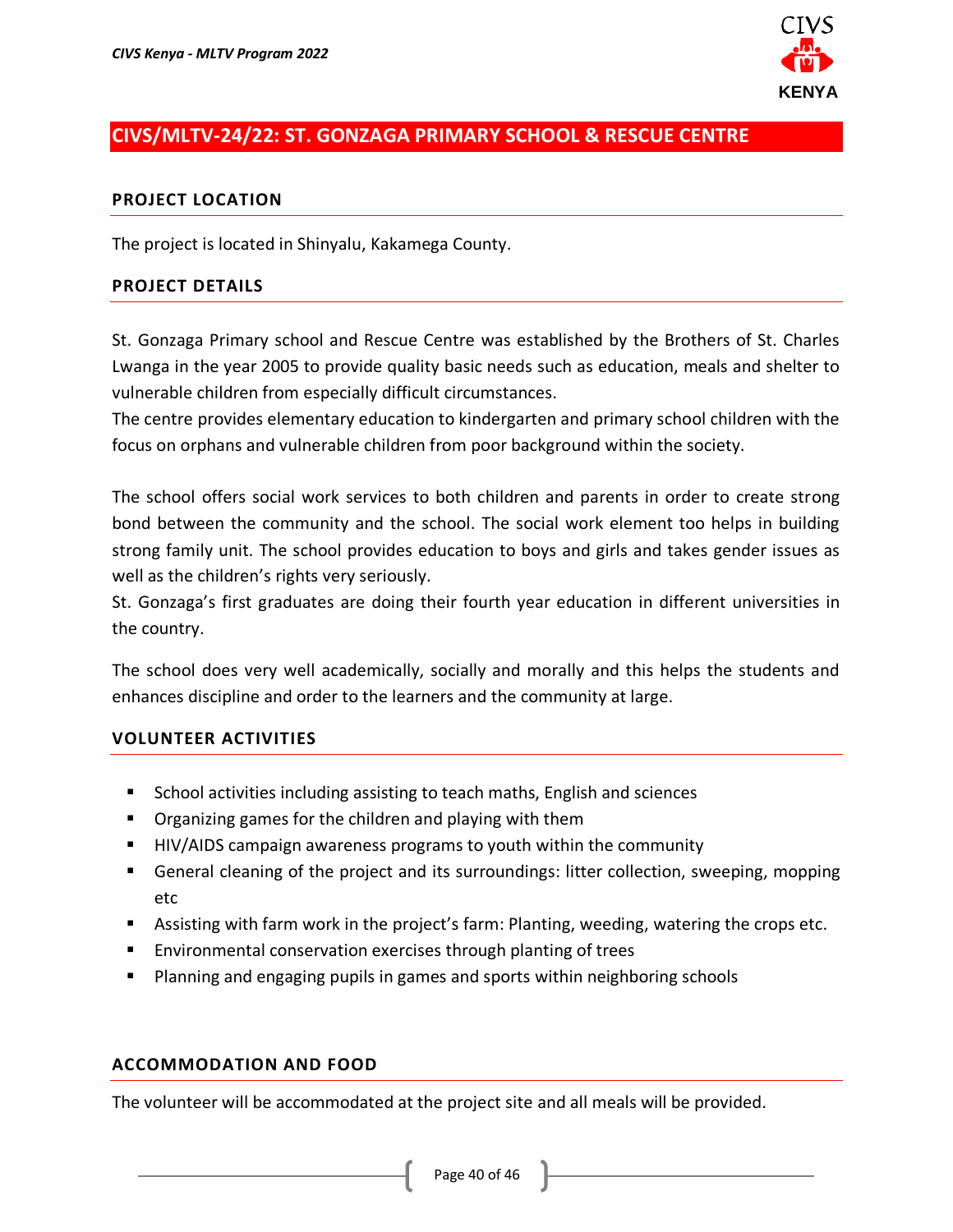

# <span id="page-39-0"></span>**CIVS/MLTV-24/22: ST. GONZAGA PRIMARY SCHOOL & RESCUE CENTRE**

#### **PROJECT LOCATION**

The project is located in Shinyalu, Kakamega County.

#### **PROJECT DETAILS**

St. Gonzaga Primary school and Rescue Centre was established by the Brothers of St. Charles Lwanga in the year 2005 to provide quality basic needs such as education, meals and shelter to vulnerable children from especially difficult circumstances.

The centre provides elementary education to kindergarten and primary school children with the focus on orphans and vulnerable children from poor background within the society.

The school offers social work services to both children and parents in order to create strong bond between the community and the school. The social work element too helps in building strong family unit. The school provides education to boys and girls and takes gender issues as well as the children's rights very seriously.

St. Gonzaga's first graduates are doing their fourth year education in different universities in the country.

The school does very well academically, socially and morally and this helps the students and enhances discipline and order to the learners and the community at large.

#### **VOLUNTEER ACTIVITIES**

- School activities including assisting to teach maths, English and sciences
- Organizing games for the children and playing with them
- HIV/AIDS campaign awareness programs to youth within the community
- General cleaning of the project and its surroundings: litter collection, sweeping, mopping etc
- Assisting with farm work in the project's farm: Planting, weeding, watering the crops etc.
- Environmental conservation exercises through planting of trees
- Planning and engaging pupils in games and sports within neighboring schools

#### **ACCOMMODATION AND FOOD**

The volunteer will be accommodated at the project site and all meals will be provided.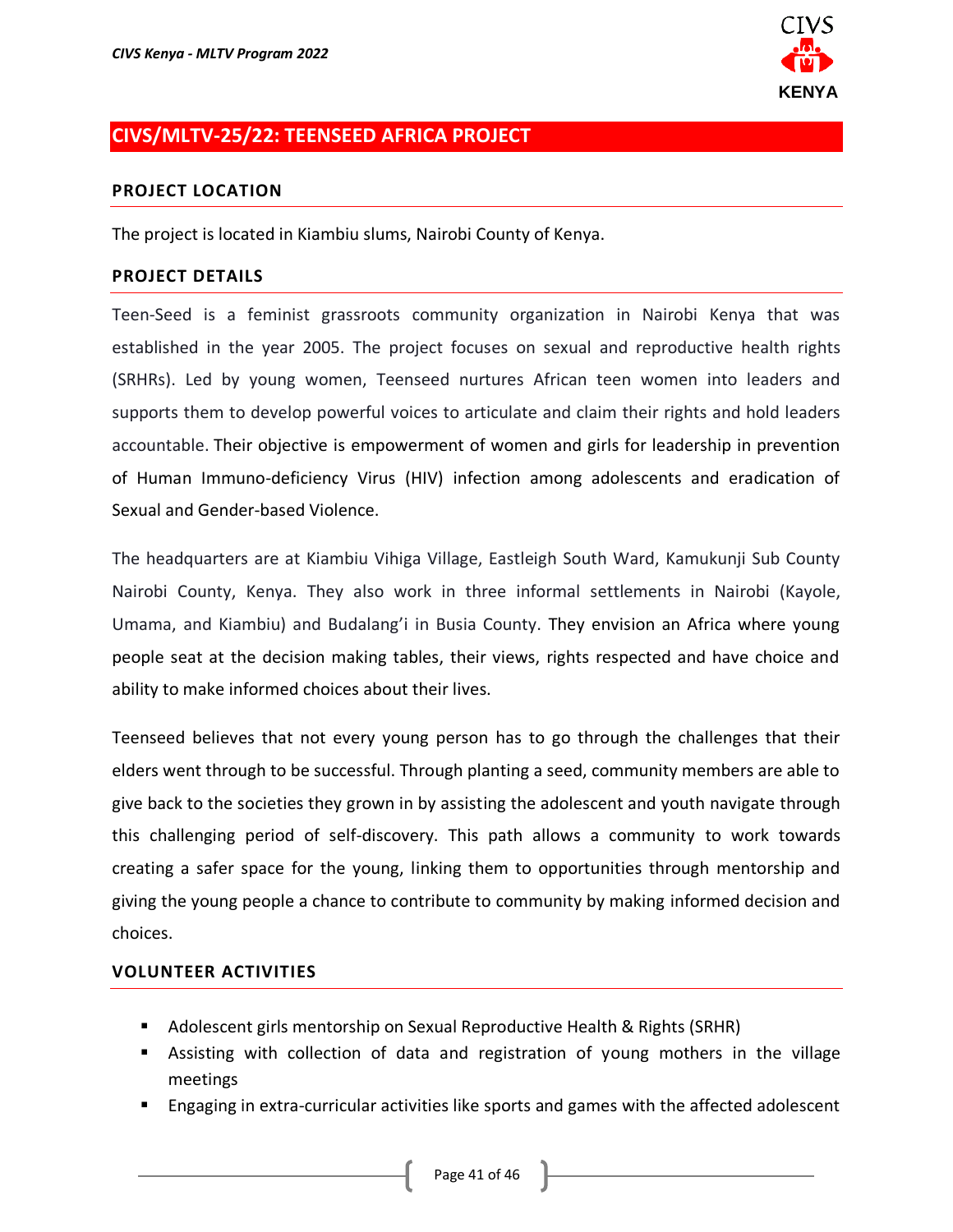

### <span id="page-40-0"></span>**CIVS/MLTV-25/22: TEENSEED AFRICA PROJECT**

#### **PROJECT LOCATION**

The project is located in Kiambiu slums, Nairobi County of Kenya.

#### **PROJECT DETAILS**

Teen-Seed is a feminist grassroots community organization in Nairobi Kenya that was established in the year 2005. The project focuses on sexual and reproductive health rights (SRHRs). Led by young women, Teenseed nurtures African teen women into leaders and supports them to develop powerful voices to articulate and claim their rights and hold leaders accountable. Their objective is empowerment of women and girls for leadership in prevention of Human Immuno-deficiency Virus (HIV) infection among adolescents and eradication of Sexual and Gender-based Violence.

The headquarters are at Kiambiu Vihiga Village, Eastleigh South Ward, Kamukunji Sub County Nairobi County, Kenya. They also work in three informal settlements in Nairobi (Kayole, Umama, and Kiambiu) and Budalang'i in Busia County. They envision an Africa where young people seat at the decision making tables, their views, rights respected and have choice and ability to make informed choices about their lives.

Teenseed believes that not every young person has to go through the challenges that their elders went through to be successful. Through planting a seed, community members are able to give back to the societies they grown in by assisting the adolescent and youth navigate through this challenging period of self-discovery. This path allows a community to work towards creating a safer space for the young, linking them to opportunities through mentorship and giving the young people a chance to contribute to community by making informed decision and choices.

- Adolescent girls mentorship on Sexual Reproductive Health & Rights (SRHR)
- **E** Assisting with collection of data and registration of young mothers in the village meetings
- Engaging in extra-curricular activities like sports and games with the affected adolescent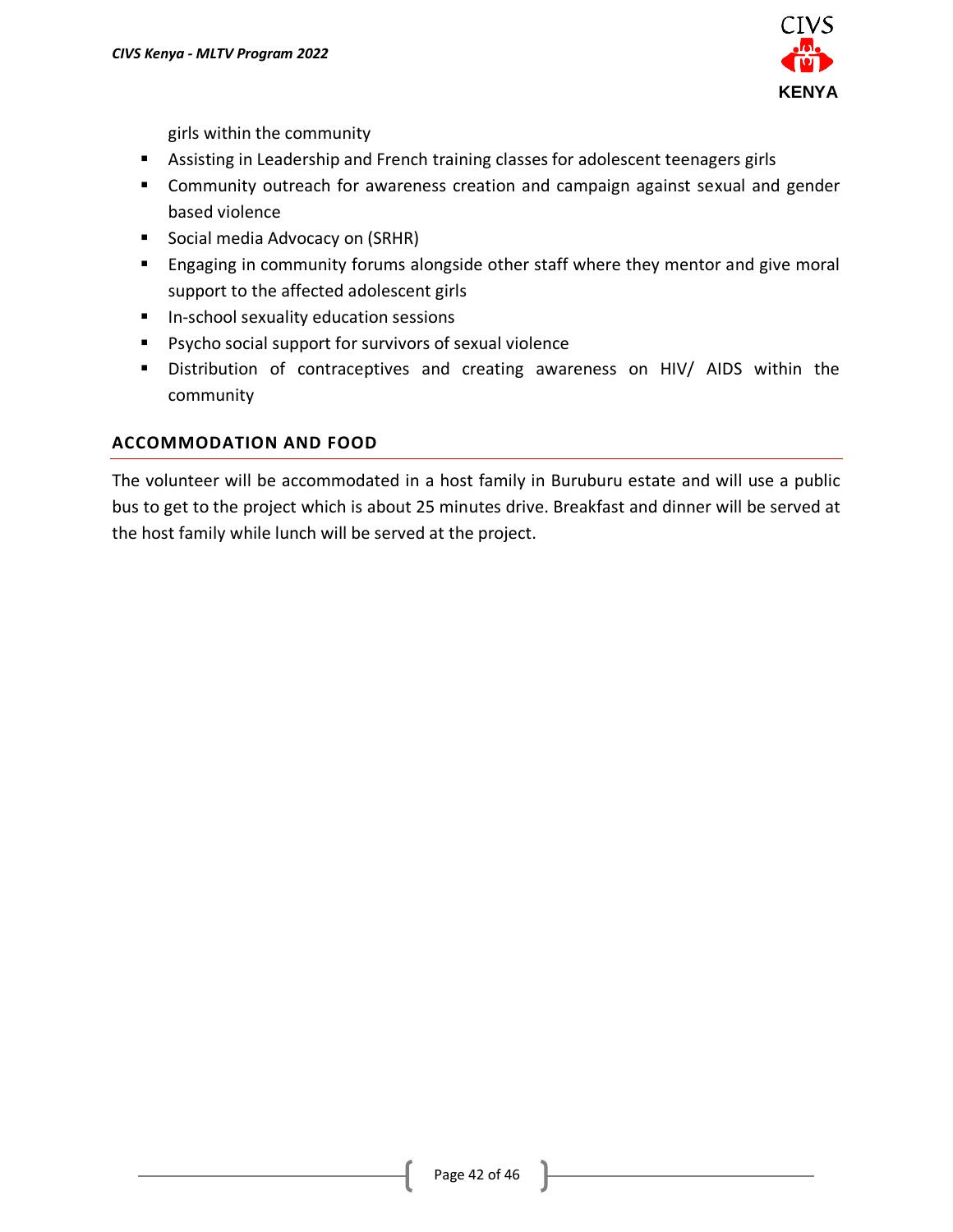

girls within the community

- Assisting in Leadership and French training classes for adolescent teenagers girls
- Community outreach for awareness creation and campaign against sexual and gender based violence
- Social media Advocacy on (SRHR)
- Engaging in community forums alongside other staff where they mentor and give moral support to the affected adolescent girls
- In-school sexuality education sessions
- Psycho social support for survivors of sexual violence
- Distribution of contraceptives and creating awareness on HIV/ AIDS within the community

### **ACCOMMODATION AND FOOD**

The volunteer will be accommodated in a host family in Buruburu estate and will use a public bus to get to the project which is about 25 minutes drive. Breakfast and dinner will be served at the host family while lunch will be served at the project.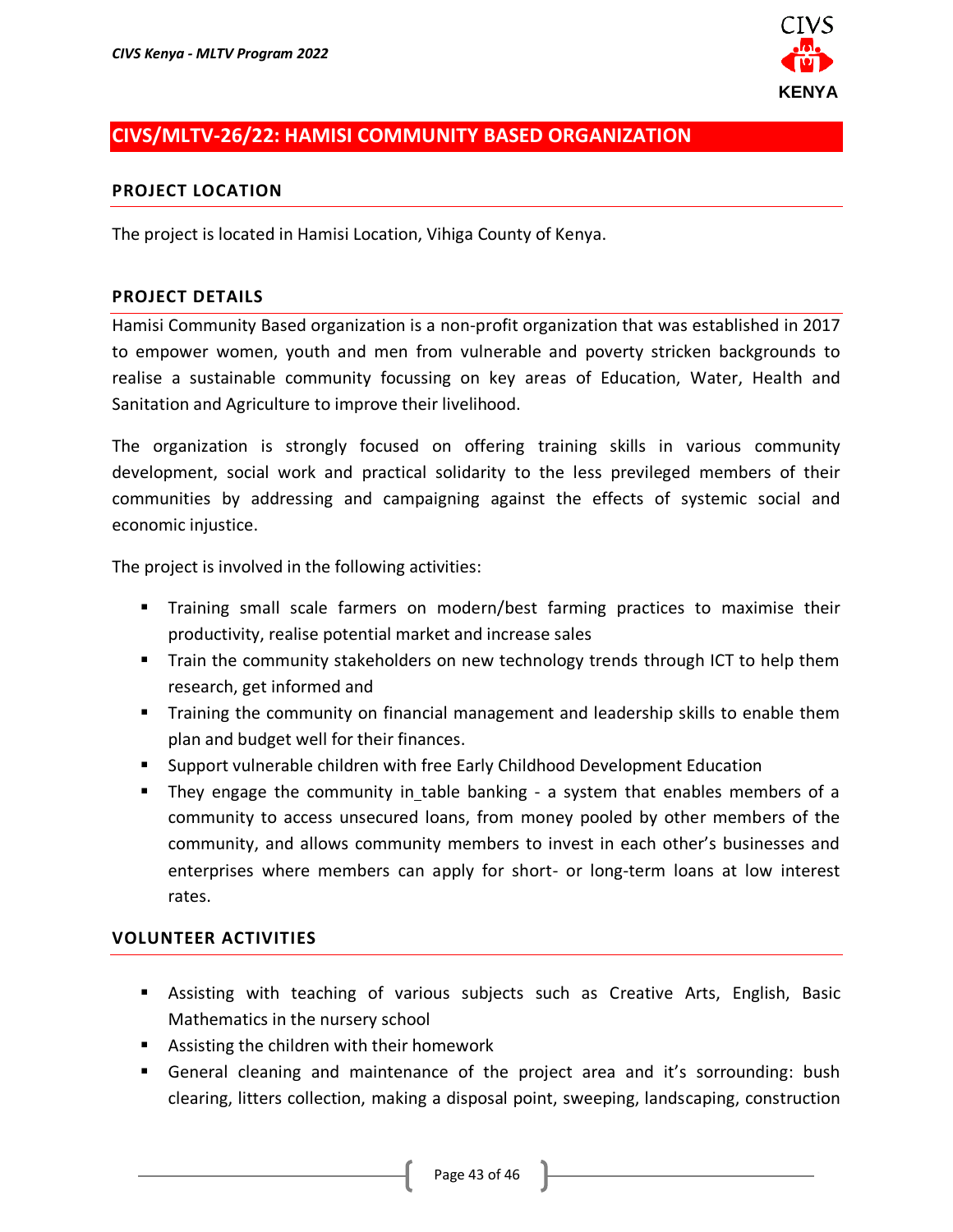

# <span id="page-42-0"></span>**CIVS/MLTV-26/22: HAMISI COMMUNITY BASED ORGANIZATION**

#### **PROJECT LOCATION**

The project is located in Hamisi Location, Vihiga County of Kenya.

#### **PROJECT DETAILS**

Hamisi Community Based organization is a non-profit organization that was established in 2017 to empower women, youth and men from vulnerable and poverty stricken backgrounds to realise a sustainable community focussing on key areas of Education, Water, Health and Sanitation and Agriculture to improve their livelihood.

The organization is strongly focused on offering training skills in various community development, social work and practical solidarity to the less previleged members of their communities by addressing and campaigning against the effects of systemic social and economic injustice.

The project is involved in the following activities:

- Training small scale farmers on modern/best farming practices to maximise their productivity, realise potential market and increase sales
- Train the community stakeholders on new technology trends through ICT to help them research, get informed and
- **•** Training the community on financial management and leadership skills to enable them plan and budget well for their finances.
- Support vulnerable children with free Early Childhood Development Education
- They engage the community in\_table banking a system that enables members of a community to access unsecured loans, from money pooled by other members of the community, and allows community members to invest in each other's businesses and enterprises where members can apply for short- or long-term loans at low interest rates.

- Assisting with teaching of various subjects such as Creative Arts, English, Basic Mathematics in the nursery school
- Assisting the children with their homework
- General cleaning and maintenance of the project area and it's sorrounding: bush clearing, litters collection, making a disposal point, sweeping, landscaping, construction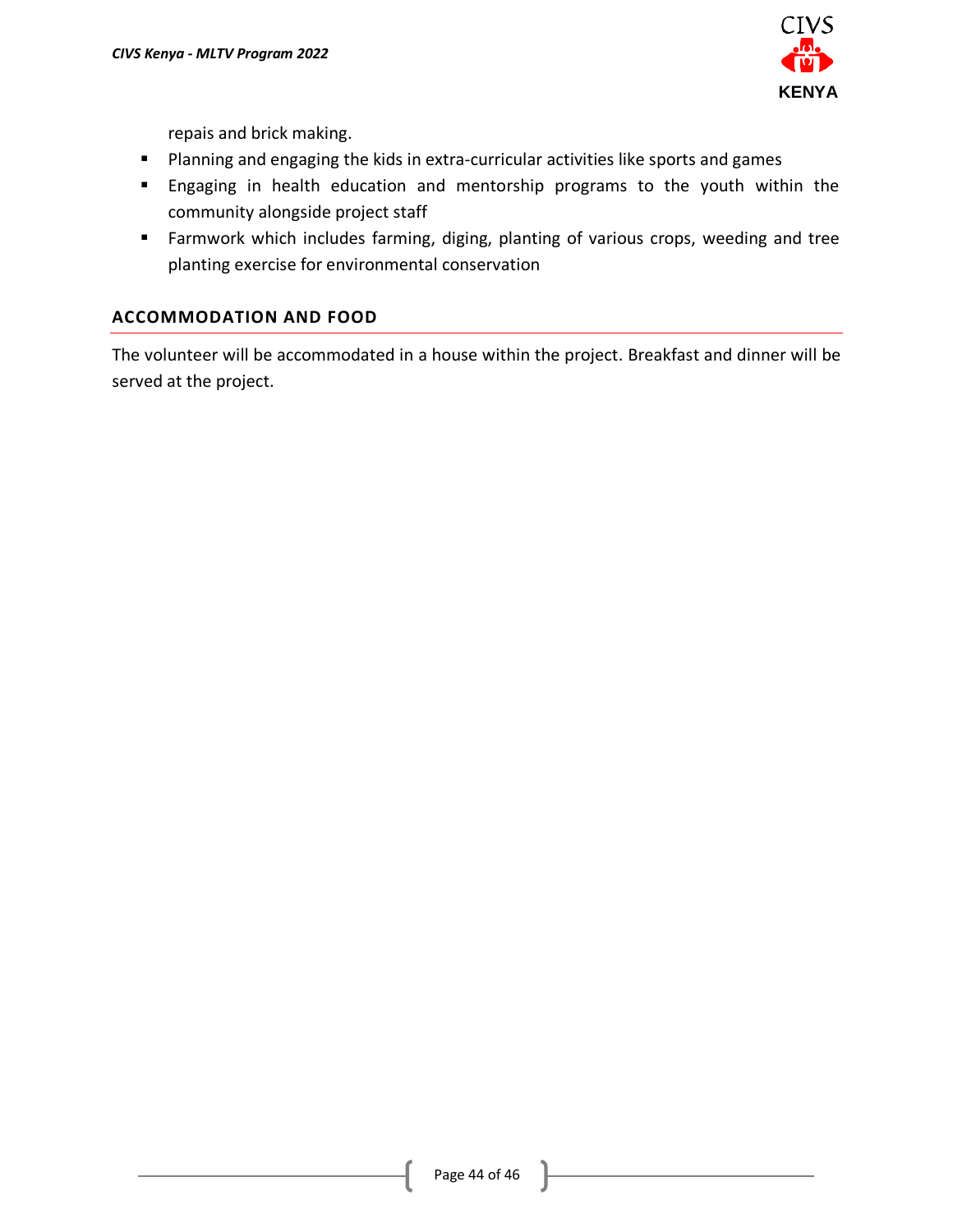

repais and brick making.

- Planning and engaging the kids in extra-curricular activities like sports and games
- Engaging in health education and mentorship programs to the youth within the community alongside project staff
- Farmwork which includes farming, diging, planting of various crops, weeding and tree planting exercise for environmental conservation

### **ACCOMMODATION AND FOOD**

The volunteer will be accommodated in a house within the project. Breakfast and dinner will be served at the project.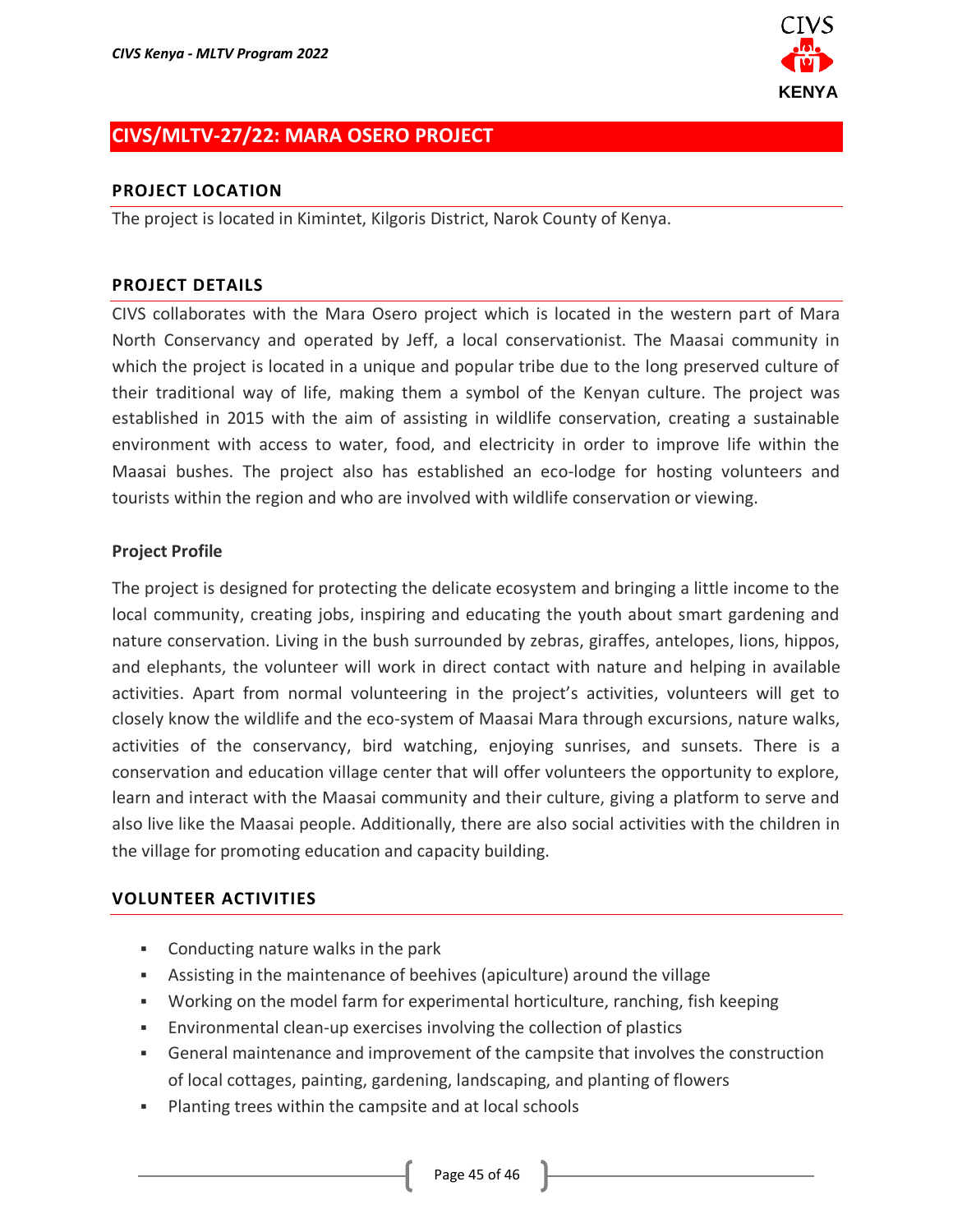

# <span id="page-44-0"></span>**CIVS/MLTV-27/22: MARA OSERO PROJECT**

### **PROJECT LOCATION**

The project is located in Kimintet, Kilgoris District, Narok County of Kenya.

### **PROJECT DETAILS**

CIVS collaborates with the Mara Osero project which is located in the western part of Mara North Conservancy and operated by Jeff, a local conservationist. The Maasai community in which the project is located in a unique and popular tribe due to the long preserved culture of their traditional way of life, making them a symbol of the Kenyan culture. The project was established in 2015 with the aim of assisting in wildlife conservation, creating a sustainable environment with access to water, food, and electricity in order to improve life within the Maasai bushes. The project also has established an eco-lodge for hosting volunteers and tourists within the region and who are involved with wildlife conservation or viewing.

### **Project Profile**

The project is designed for protecting the delicate ecosystem and bringing a little income to the local community, creating jobs, inspiring and educating the youth about smart gardening and nature conservation. Living in the bush surrounded by zebras, giraffes, antelopes, lions, hippos, and elephants, the volunteer will work in direct contact with nature and helping in available activities. Apart from normal volunteering in the project's activities, volunteers will get to closely know the wildlife and the eco-system of Maasai Mara through excursions, nature walks, activities of the conservancy, bird watching, enjoying sunrises, and sunsets. There is a conservation and education village center that will offer volunteers the opportunity to explore, learn and interact with the Maasai community and their culture, giving a platform to serve and also live like the Maasai people. Additionally, there are also social activities with the children in the village for promoting education and capacity building.

- Conducting nature walks in the park
- **EXEDENT** Assisting in the maintenance of beehives (apiculture) around the village
- Working on the model farm for experimental horticulture, ranching, fish keeping
- **Environmental clean-up exercises involving the collection of plastics**
- **•** General maintenance and improvement of the campsite that involves the construction of local cottages, painting, gardening, landscaping, and planting of flowers
- Planting trees within the campsite and at local schools